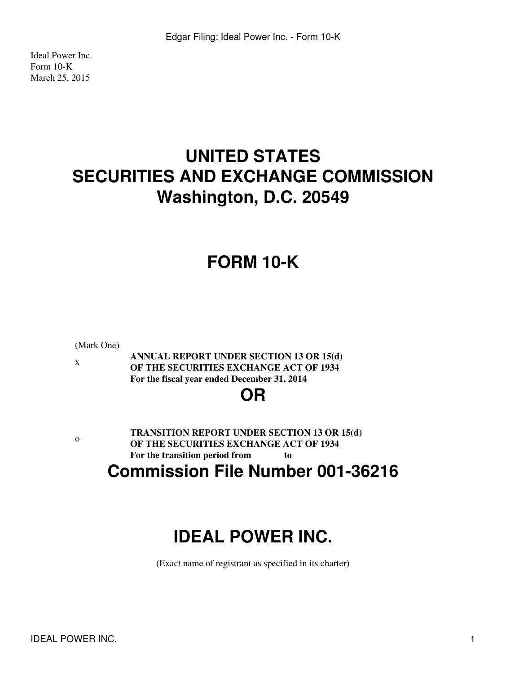Ideal Power Inc. Form 10-K March 25, 2015

# **UNITED STATES SECURITIES AND EXCHANGE COMMISSION Washington, D.C. 20549**

# **FORM 10-K**

(Mark One)

x

**ANNUAL REPORT UNDER SECTION 13 OR 15(d) OF THE SECURITIES EXCHANGE ACT OF 1934 For the fiscal year ended December 31, 2014**

# **OR**

o

**TRANSITION REPORT UNDER SECTION 13 OR 15(d) OF THE SECURITIES EXCHANGE ACT OF 1934 For the transition period from to** 

# **Commission File Number 001-36216**

# **IDEAL POWER INC.**

(Exact name of registrant as specified in its charter)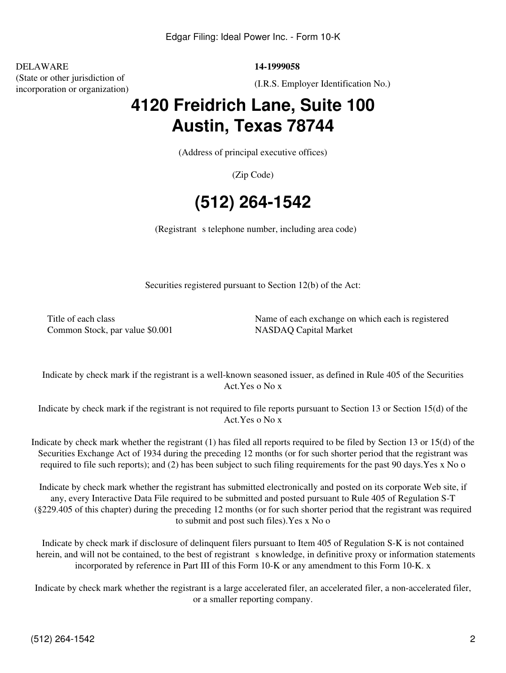DELAWARE **14-1999058** (State or other jurisdiction of (State of other jurisdiction or<br>incorporation or organization) (I.R.S. Employer Identification No.)

# **4120 Freidrich Lane, Suite 100 Austin, Texas 78744**

(Address of principal executive offices)

(Zip Code)

# **(512) 264-1542**

(Registrant s telephone number, including area code)

Securities registered pursuant to Section 12(b) of the Act:

Common Stock, par value \$0.001 NASDAQ Capital Market

Title of each class Name of each exchange on which each is registered

Indicate by check mark if the registrant is a well-known seasoned issuer, as defined in Rule 405 of the Securities Act.Yes o No x

Indicate by check mark if the registrant is not required to file reports pursuant to Section 13 or Section 15(d) of the Act.Yes o No x

Indicate by check mark whether the registrant (1) has filed all reports required to be filed by Section 13 or 15(d) of the Securities Exchange Act of 1934 during the preceding 12 months (or for such shorter period that the registrant was required to file such reports); and (2) has been subject to such filing requirements for the past 90 days.Yes x No o

Indicate by check mark whether the registrant has submitted electronically and posted on its corporate Web site, if any, every Interactive Data File required to be submitted and posted pursuant to Rule 405 of Regulation S-T (§229.405 of this chapter) during the preceding 12 months (or for such shorter period that the registrant was required to submit and post such files).Yes x No o

Indicate by check mark if disclosure of delinquent filers pursuant to Item 405 of Regulation S-K is not contained herein, and will not be contained, to the best of registrant s knowledge, in definitive proxy or information statements incorporated by reference in Part III of this Form 10-K or any amendment to this Form 10-K. x

Indicate by check mark whether the registrant is a large accelerated filer, an accelerated filer, a non-accelerated filer, or a smaller reporting company.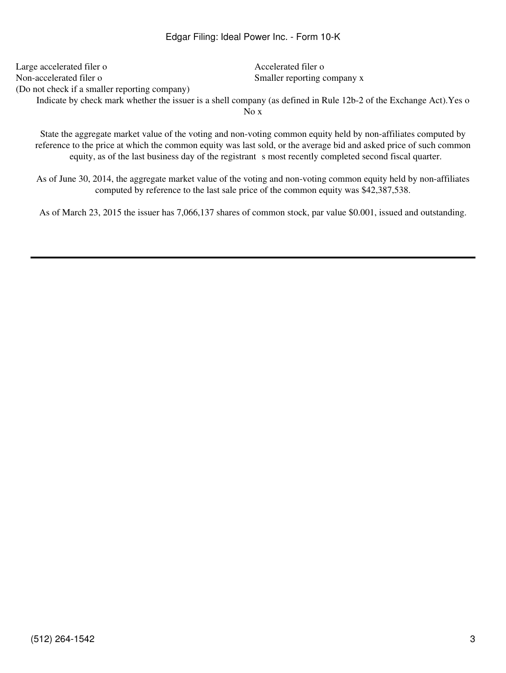Large accelerated filer o Accelerated filer o Non-accelerated filer o Smaller reporting company x (Do not check if a smaller reporting company)

Indicate by check mark whether the issuer is a shell company (as defined in Rule 12b-2 of the Exchange Act).Yes o No x

State the aggregate market value of the voting and non-voting common equity held by non-affiliates computed by reference to the price at which the common equity was last sold, or the average bid and asked price of such common equity, as of the last business day of the registrant s most recently completed second fiscal quarter.

As of June 30, 2014, the aggregate market value of the voting and non-voting common equity held by non-affiliates computed by reference to the last sale price of the common equity was \$42,387,538.

As of March 23, 2015 the issuer has 7,066,137 shares of common stock, par value \$0.001, issued and outstanding.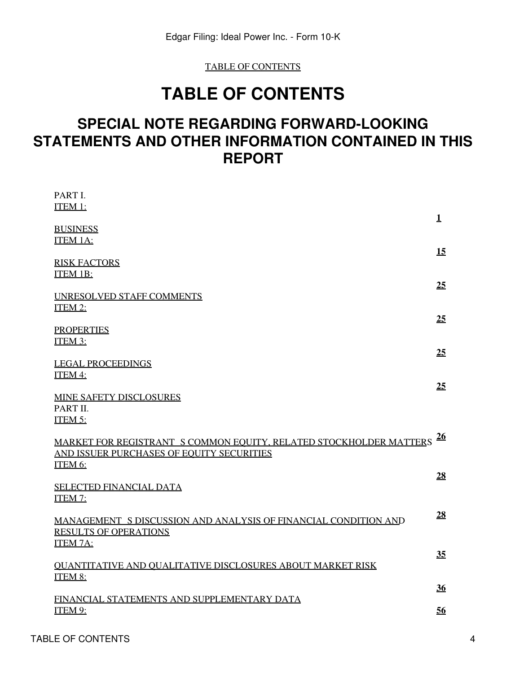# **TABLE OF CONTENTS**

## <span id="page-3-0"></span>**SPECIAL NOTE REGARDING FORWARD-LOOKING STATEMENTS AND OTHER INFORMATION CONTAINED IN THIS REPORT**

| PART I.<br>ITEM 1:                                                                                                         |             |
|----------------------------------------------------------------------------------------------------------------------------|-------------|
| <b>BUSINESS</b><br>ITEM 1A:                                                                                                | $\mathbf 1$ |
| <b>RISK FACTORS</b><br><b>ITEM 1B:</b>                                                                                     | <u>15</u>   |
| UNRESOLVED STAFF COMMENTS<br>ITEM 2:                                                                                       | 25          |
| <b>PROPERTIES</b><br>ITEM 3:                                                                                               | 25          |
| <b>LEGAL PROCEEDINGS</b><br>ITEM 4:                                                                                        | 25          |
| <b>MINE SAFETY DISCLOSURES</b><br>PART II.<br>ITEM 5:                                                                      | 25          |
| MARKET FOR REGISTRANT S COMMON EQUITY, RELATED STOCKHOLDER MATTERS<br>AND ISSUER PURCHASES OF EOUITY SECURITIES<br>ITEM 6: | 26          |
| <b>SELECTED FINANCIAL DATA</b><br>ITEM 7:                                                                                  | 28          |
| MANAGEMENT S DISCUSSION AND ANALYSIS OF FINANCIAL CONDITION AND<br><b>RESULTS OF OPERATIONS</b><br>ITEM 7A:                | 28          |
| <b>OUANTITATIVE AND OUALITATIVE DISCLOSURES ABOUT MARKET RISK</b><br>ITEM 8:                                               | 35          |
| FINANCIAL STATEMENTS AND SUPPLEMENTARY DATA                                                                                | 36          |
| ITEM 9:                                                                                                                    | 56          |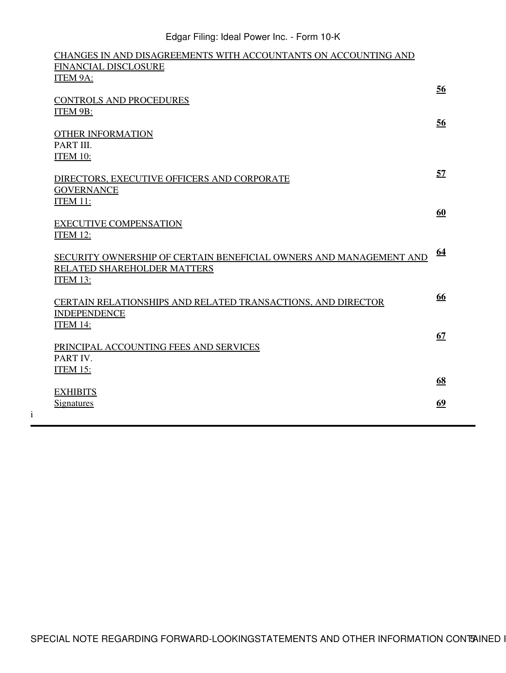| CHANGES IN AND DISAGREEMENTS WITH ACCOUNTANTS ON ACCOUNTING AND<br><b>FINANCIAL DISCLOSURE</b><br>ITEM 9A:           |    |
|----------------------------------------------------------------------------------------------------------------------|----|
| <b>CONTROLS AND PROCEDURES</b><br>ITEM 9B:                                                                           | 56 |
| <b>OTHER INFORMATION</b><br>PART III.<br>ITEM 10:                                                                    | 56 |
| DIRECTORS, EXECUTIVE OFFICERS AND CORPORATE<br><b>GOVERNANCE</b><br>ITEM 11:                                         | 57 |
| <b>EXECUTIVE COMPENSATION</b><br><b>ITEM 12:</b>                                                                     | 60 |
| SECURITY OWNERSHIP OF CERTAIN BENEFICIAL OWNERS AND MANAGEMENT AND<br>RELATED SHAREHOLDER MATTERS<br><b>ITEM 13:</b> | 64 |
| CERTAIN RELATIONSHIPS AND RELATED TRANSACTIONS, AND DIRECTOR<br><b>INDEPENDENCE</b><br>ITEM 14:                      | 66 |
| PRINCIPAL ACCOUNTING FEES AND SERVICES<br>PART IV.                                                                   | 67 |
| <b>ITEM 15:</b>                                                                                                      | 68 |
| <b>EXHIBITS</b><br><b>Signatures</b>                                                                                 | 69 |

i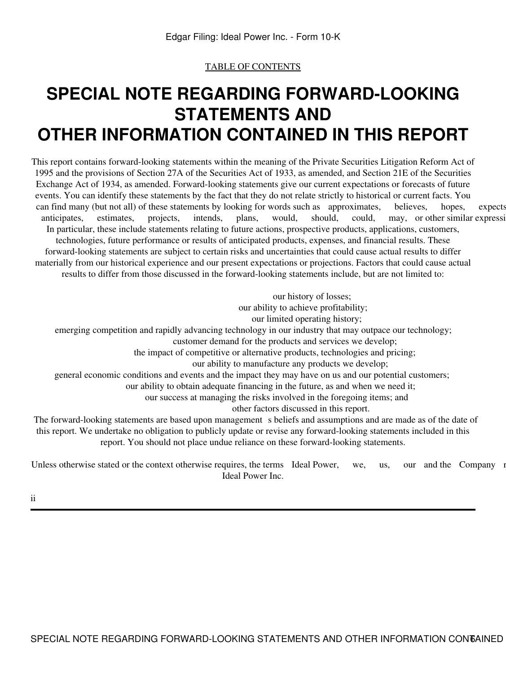# **SPECIAL NOTE REGARDING FORWARD-LOOKING STATEMENTS AND OTHER INFORMATION CONTAINED IN THIS REPORT**

This report contains forward-looking statements within the meaning of the Private Securities Litigation Reform Act of 1995 and the provisions of Section 27A of the Securities Act of 1933, as amended, and Section 21E of the Securities Exchange Act of 1934, as amended. Forward-looking statements give our current expectations or forecasts of future events. You can identify these statements by the fact that they do not relate strictly to historical or current facts. You can find many (but not all) of these statements by looking for words such as approximates, believes, hopes, expects anticipates, estimates, projects, intends, plans, would, should, could, may, or other similar expressions in the report. In particular, these include statements relating to future actions, prospective products, applications, customers, technologies, future performance or results of anticipated products, expenses, and financial results. These forward-looking statements are subject to certain risks and uncertainties that could cause actual results to differ materially from our historical experience and our present expectations or projections. Factors that could cause actual results to differ from those discussed in the forward-looking statements include, but are not limited to:

our history of losses;

our ability to achieve profitability;

our limited operating history;

emerging competition and rapidly advancing technology in our industry that may outpace our technology;

customer demand for the products and services we develop;

the impact of competitive or alternative products, technologies and pricing;

our ability to manufacture any products we develop;

general economic conditions and events and the impact they may have on us and our potential customers;

our ability to obtain adequate financing in the future, as and when we need it;

our success at managing the risks involved in the foregoing items; and

other factors discussed in this report.

The forward-looking statements are based upon management s beliefs and assumptions and are made as of the date of this report. We undertake no obligation to publicly update or revise any forward-looking statements included in this report. You should not place undue reliance on these forward-looking statements.

Unless otherwise stated or the context otherwise requires, the terms Ideal Power, we, us, our and the Company 1 Ideal Power Inc.

ii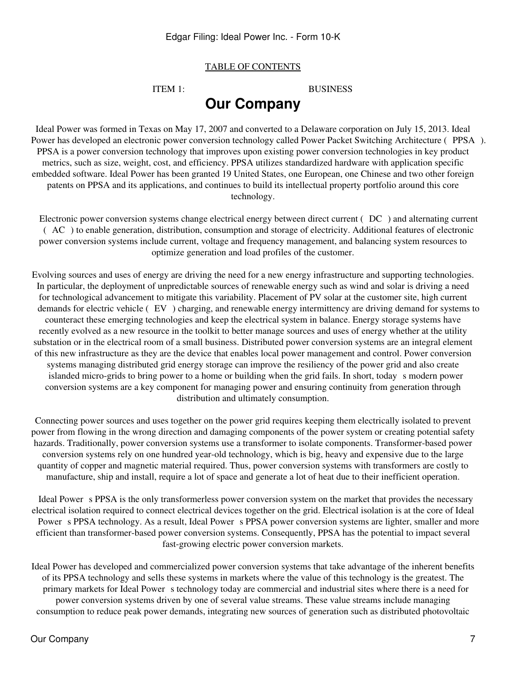ITEM 1: BUSINESS

## **Our Company**

<span id="page-6-0"></span>Ideal Power was formed in Texas on May 17, 2007 and converted to a Delaware corporation on July 15, 2013. Ideal Power has developed an electronic power conversion technology called Power Packet Switching Architecture (PPSA). PPSA is a power conversion technology that improves upon existing power conversion technologies in key product metrics, such as size, weight, cost, and efficiency. PPSA utilizes standardized hardware with application specific embedded software. Ideal Power has been granted 19 United States, one European, one Chinese and two other foreign patents on PPSA and its applications, and continues to build its intellectual property portfolio around this core technology.

Electronic power conversion systems change electrical energy between direct current (DC) and alternating current (AC) to enable generation, distribution, consumption and storage of electricity. Additional features of electronic power conversion systems include current, voltage and frequency management, and balancing system resources to optimize generation and load profiles of the customer.

Evolving sources and uses of energy are driving the need for a new energy infrastructure and supporting technologies. In particular, the deployment of unpredictable sources of renewable energy such as wind and solar is driving a need for technological advancement to mitigate this variability. Placement of PV solar at the customer site, high current demands for electric vehicle (EV) charging, and renewable energy intermittency are driving demand for systems to counteract these emerging technologies and keep the electrical system in balance. Energy storage systems have recently evolved as a new resource in the toolkit to better manage sources and uses of energy whether at the utility substation or in the electrical room of a small business. Distributed power conversion systems are an integral element of this new infrastructure as they are the device that enables local power management and control. Power conversion systems managing distributed grid energy storage can improve the resiliency of the power grid and also create islanded micro-grids to bring power to a home or building when the grid fails. In short, today s modern power conversion systems are a key component for managing power and ensuring continuity from generation through distribution and ultimately consumption.

Connecting power sources and uses together on the power grid requires keeping them electrically isolated to prevent power from flowing in the wrong direction and damaging components of the power system or creating potential safety hazards. Traditionally, power conversion systems use a transformer to isolate components. Transformer-based power conversion systems rely on one hundred year-old technology, which is big, heavy and expensive due to the large quantity of copper and magnetic material required. Thus, power conversion systems with transformers are costly to manufacture, ship and install, require a lot of space and generate a lot of heat due to their inefficient operation.

Ideal Power s PPSA is the only transformerless power conversion system on the market that provides the necessary electrical isolation required to connect electrical devices together on the grid. Electrical isolation is at the core of Ideal Power s PPSA technology. As a result, Ideal Power s PPSA power conversion systems are lighter, smaller and more efficient than transformer-based power conversion systems. Consequently, PPSA has the potential to impact several fast-growing electric power conversion markets.

Ideal Power has developed and commercialized power conversion systems that take advantage of the inherent benefits of its PPSA technology and sells these systems in markets where the value of this technology is the greatest. The primary markets for Ideal Power s technology today are commercial and industrial sites where there is a need for power conversion systems driven by one of several value streams. These value streams include managing consumption to reduce peak power demands, integrating new sources of generation such as distributed photovoltaic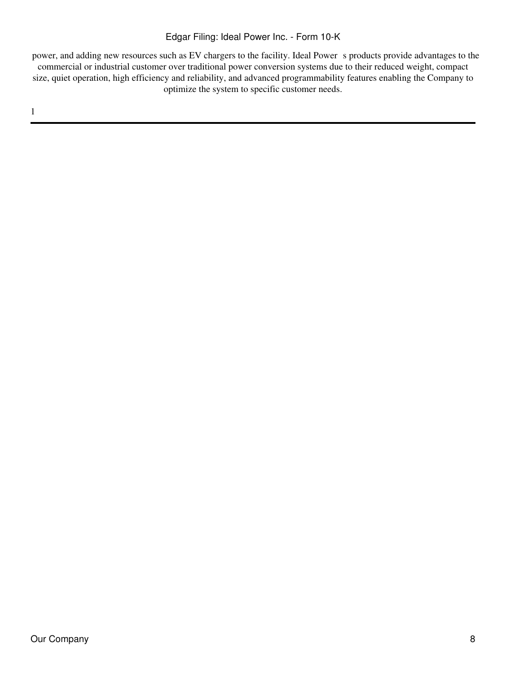power, and adding new resources such as EV chargers to the facility. Ideal Power s products provide advantages to the commercial or industrial customer over traditional power conversion systems due to their reduced weight, compact size, quiet operation, high efficiency and reliability, and advanced programmability features enabling the Company to optimize the system to specific customer needs.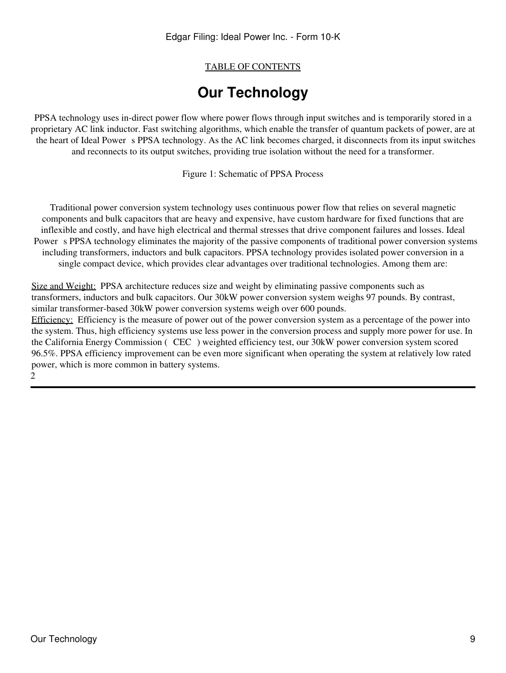## **Our Technology**

PPSA technology uses in-direct power flow where power flows through input switches and is temporarily stored in a proprietary AC link inductor. Fast switching algorithms, which enable the transfer of quantum packets of power, are at the heart of Ideal Power s PPSA technology. As the AC link becomes charged, it disconnects from its input switches and reconnects to its output switches, providing true isolation without the need for a transformer.

#### Figure 1: Schematic of PPSA Process

Traditional power conversion system technology uses continuous power flow that relies on several magnetic components and bulk capacitors that are heavy and expensive, have custom hardware for fixed functions that are inflexible and costly, and have high electrical and thermal stresses that drive component failures and losses. Ideal Power s PPSA technology eliminates the majority of the passive components of traditional power conversion systems including transformers, inductors and bulk capacitors. PPSA technology provides isolated power conversion in a single compact device, which provides clear advantages over traditional technologies. Among them are:

Size and Weight: PPSA architecture reduces size and weight by eliminating passive components such as transformers, inductors and bulk capacitors. Our 30kW power conversion system weighs 97 pounds. By contrast, similar transformer-based 30kW power conversion systems weigh over 600 pounds.

Efficiency: Efficiency is the measure of power out of the power conversion system as a percentage of the power into the system. Thus, high efficiency systems use less power in the conversion process and supply more power for use. In the California Energy Commission (CEC) weighted efficiency test, our 30kW power conversion system scored 96.5%. PPSA efficiency improvement can be even more significant when operating the system at relatively low rated power, which is more common in battery systems. 2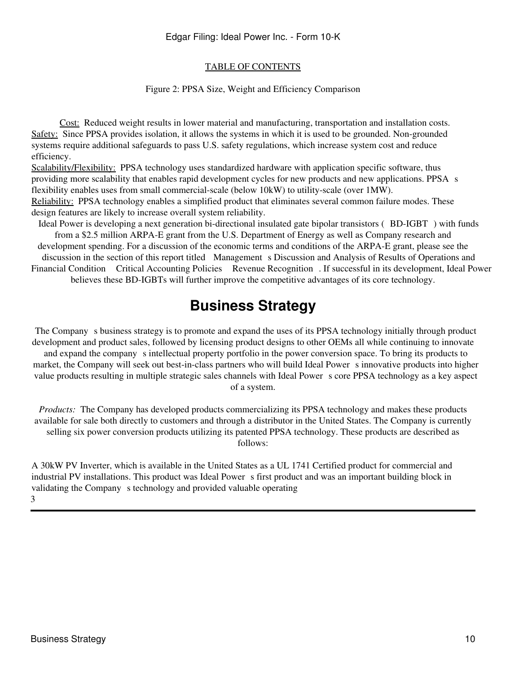### Figure 2: PPSA Size, Weight and Efficiency Comparison

Cost: Reduced weight results in lower material and manufacturing, transportation and installation costs. Safety: Since PPSA provides isolation, it allows the systems in which it is used to be grounded. Non-grounded systems require additional safeguards to pass U.S. safety regulations, which increase system cost and reduce efficiency.

Scalability/Flexibility: PPSA technology uses standardized hardware with application specific software, thus providing more scalability that enables rapid development cycles for new products and new applications. PPSA s flexibility enables uses from small commercial-scale (below 10kW) to utility-scale (over 1MW).

Reliability: PPSA technology enables a simplified product that eliminates several common failure modes. These design features are likely to increase overall system reliability.

Ideal Power is developing a next generation bi-directional insulated gate bipolar transistors (BD-IGBT) with funds from a \$2.5 million ARPA-E grant from the U.S. Department of Energy as well as Company research and development spending. For a discussion of the economic terms and conditions of the ARPA-E grant, please see the discussion in the section of this report titled Management s Discussion and Analysis of Results of Operations and Financial Condition Critical Accounting Policies Revenue Recognition. If successful in its development, Ideal Power believes these BD-IGBTs will further improve the competitive advantages of its core technology.

# **Business Strategy**

The Company s business strategy is to promote and expand the uses of its PPSA technology initially through product development and product sales, followed by licensing product designs to other OEMs all while continuing to innovate and expand the company s intellectual property portfolio in the power conversion space. To bring its products to market, the Company will seek out best-in-class partners who will build Ideal Power s innovative products into higher value products resulting in multiple strategic sales channels with Ideal Power s core PPSA technology as a key aspect of a system.

*Products:* The Company has developed products commercializing its PPSA technology and makes these products available for sale both directly to customers and through a distributor in the United States. The Company is currently selling six power conversion products utilizing its patented PPSA technology. These products are described as follows:

A 30kW PV Inverter, which is available in the United States as a UL 1741 Certified product for commercial and industrial PV installations. This product was Ideal Power s first product and was an important building block in validating the Company s technology and provided valuable operating 3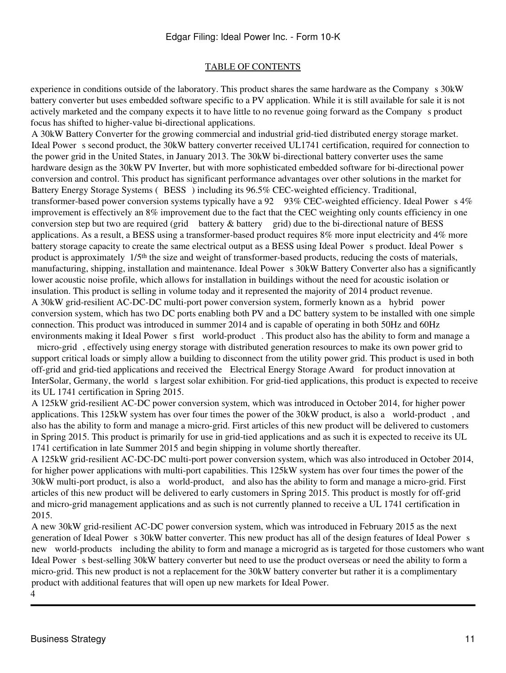experience in conditions outside of the laboratory. This product shares the same hardware as the Company s 30kW battery converter but uses embedded software specific to a PV application. While it is still available for sale it is not actively marketed and the company expects it to have little to no revenue going forward as the Company s product focus has shifted to higher-value bi-directional applications.

A 30kW Battery Converter for the growing commercial and industrial grid-tied distributed energy storage market. Ideal Power s second product, the 30kW battery converter received UL1741 certification, required for connection to the power grid in the United States, in January 2013. The 30kW bi-directional battery converter uses the same hardware design as the 30kW PV Inverter, but with more sophisticated embedded software for bi-directional power conversion and control. This product has significant performance advantages over other solutions in the market for Battery Energy Storage Systems (BESS) including its 96.5% CEC-weighted efficiency. Traditional, transformer-based power conversion systems typically have a 92 93% CEC-weighted efficiency. Ideal Power s 4% improvement is effectively an 8% improvement due to the fact that the CEC weighting only counts efficiency in one conversion step but two are required (grid battery & battery grid) due to the bi-directional nature of BESS applications. As a result, a BESS using a transformer-based product requires 8% more input electricity and 4% more battery storage capacity to create the same electrical output as a BESS using Ideal Power s product. Ideal Power s product is approximately 1/5<sup>th</sup> the size and weight of transformer-based products, reducing the costs of materials, manufacturing, shipping, installation and maintenance. Ideal Power s 30kW Battery Converter also has a significantly lower acoustic noise profile, which allows for installation in buildings without the need for acoustic isolation or insulation. This product is selling in volume today and it represented the majority of 2014 product revenue. A 30kW grid-resilient AC-DC-DC multi-port power conversion system, formerly known as a hybrid power conversion system, which has two DC ports enabling both PV and a DC battery system to be installed with one simple connection. This product was introduced in summer 2014 and is capable of operating in both 50Hz and 60Hz environments making it Ideal Power s first world-product. This product also has the ability to form and manage a

micro-grid, effectively using energy storage with distributed generation resources to make its own power grid to support critical loads or simply allow a building to disconnect from the utility power grid. This product is used in both off-grid and grid-tied applications and received the Electrical Energy Storage Award for product innovation at InterSolar, Germany, the world s largest solar exhibition. For grid-tied applications, this product is expected to receive its UL 1741 certification in Spring 2015.

A 125kW grid-resilient AC-DC power conversion system, which was introduced in October 2014, for higher power applications. This 125kW system has over four times the power of the 30kW product, is also a world-product, and also has the ability to form and manage a micro-grid. First articles of this new product will be delivered to customers in Spring 2015. This product is primarily for use in grid-tied applications and as such it is expected to receive its UL 1741 certification in late Summer 2015 and begin shipping in volume shortly thereafter.

A 125kW grid-resilient AC-DC-DC multi-port power conversion system, which was also introduced in October 2014, for higher power applications with multi-port capabilities. This 125kW system has over four times the power of the 30kW multi-port product, is also a world-product, and also has the ability to form and manage a micro-grid. First articles of this new product will be delivered to early customers in Spring 2015. This product is mostly for off-grid and micro-grid management applications and as such is not currently planned to receive a UL 1741 certification in 2015.

A new 30kW grid-resilient AC-DC power conversion system, which was introduced in February 2015 as the next generation of Ideal Powers 30kW batter converter. This new product has all of the design features of Ideal Powers new world-products including the ability to form and manage a microgrid as is targeted for those customers who want Ideal Power s best-selling 30kW battery converter but need to use the product overseas or need the ability to form a micro-grid. This new product is not a replacement for the 30kW battery converter but rather it is a complimentary product with additional features that will open up new markets for Ideal Power.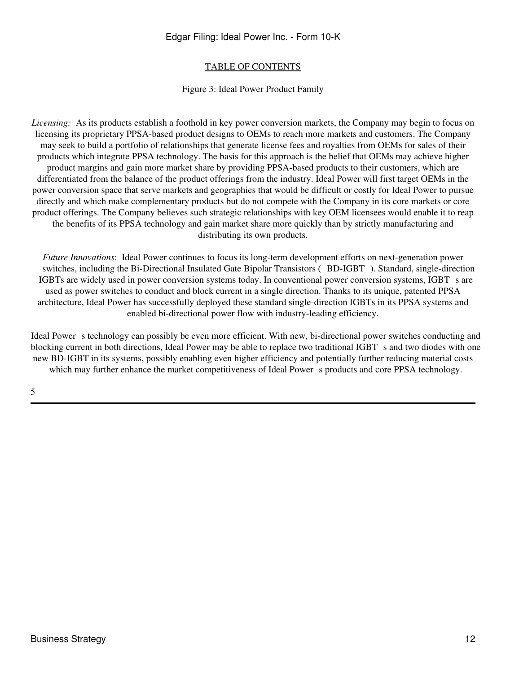### [TABLE OF CONTENTS](#page-3-0)

#### Figure 3: Ideal Power Product Family

*Licensing:* As its products establish a foothold in key power conversion markets, the Company may begin to focus on licensing its proprietary PPSA-based product designs to OEMs to reach more markets and customers. The Company may seek to build a portfolio of relationships that generate license fees and royalties from OEMs for sales of their products which integrate PPSA technology. The basis for this approach is the belief that OEMs may achieve higher product margins and gain more market share by providing PPSA-based products to their customers, which are differentiated from the balance of the product offerings from the industry. Ideal Power will first target OEMs in the power conversion space that serve markets and geographies that would be difficult or costly for Ideal Power to pursue directly and which make complementary products but do not compete with the Company in its core markets or core product offerings. The Company believes such strategic relationships with key OEM licensees would enable it to reap the benefits of its PPSA technology and gain market share more quickly than by strictly manufacturing and distributing its own products.

*Future Innovations*: Ideal Power continues to focus its long-term development efforts on next-generation power switches, including the Bi-Directional Insulated Gate Bipolar Transistors (BD-IGBT). Standard, single-direction IGBTs are widely used in power conversion systems today. In conventional power conversion systems, IGBT s are used as power switches to conduct and block current in a single direction. Thanks to its unique, patented PPSA architecture, Ideal Power has successfully deployed these standard single-direction IGBTs in its PPSA systems and enabled bi-directional power flow with industry-leading efficiency.

Ideal Power s technology can possibly be even more efficient. With new, bi-directional power switches conducting and blocking current in both directions, Ideal Power may be able to replace two traditional IGBT s and two diodes with one new BD-IGBT in its systems, possibly enabling even higher efficiency and potentially further reducing material costs which may further enhance the market competitiveness of Ideal Power s products and core PPSA technology.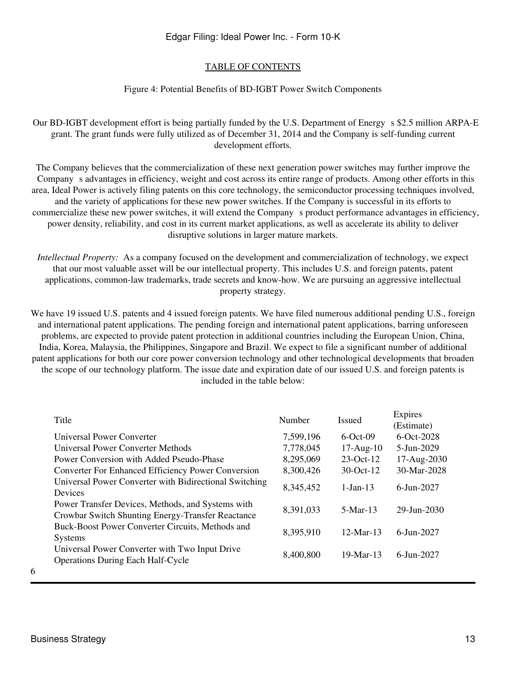### [TABLE OF CONTENTS](#page-3-0)

#### Figure 4: Potential Benefits of BD-IGBT Power Switch Components

Our BD-IGBT development effort is being partially funded by the U.S. Department of Energys \$2.5 million ARPA-E grant. The grant funds were fully utilized as of December 31, 2014 and the Company is self-funding current development efforts.

The Company believes that the commercialization of these next generation power switches may further improve the Company s advantages in efficiency, weight and cost across its entire range of products. Among other efforts in this area, Ideal Power is actively filing patents on this core technology, the semiconductor processing techniques involved, and the variety of applications for these new power switches. If the Company is successful in its efforts to commercialize these new power switches, it will extend the Companys product performance advantages in efficiency, power density, reliability, and cost in its current market applications, as well as accelerate its ability to deliver disruptive solutions in larger mature markets.

*Intellectual Property:* As a company focused on the development and commercialization of technology, we expect that our most valuable asset will be our intellectual property. This includes U.S. and foreign patents, patent applications, common-law trademarks, trade secrets and know-how. We are pursuing an aggressive intellectual property strategy.

We have 19 issued U.S. patents and 4 issued foreign patents. We have filed numerous additional pending U.S., foreign and international patent applications. The pending foreign and international patent applications, barring unforeseen problems, are expected to provide patent protection in additional countries including the European Union, China, India, Korea, Malaysia, the Philippines, Singapore and Brazil. We expect to file a significant number of additional patent applications for both our core power conversion technology and other technological developments that broaden the scope of our technology platform. The issue date and expiration date of our issued U.S. and foreign patents is included in the table below:

| Title                                                                                                  | Number    | <b>Issued</b> | Expires<br>(Estimate) |
|--------------------------------------------------------------------------------------------------------|-----------|---------------|-----------------------|
| Universal Power Converter                                                                              | 7,599,196 | $6$ -Oct-09   | $6 - Oct - 2028$      |
| Universal Power Converter Methods                                                                      | 7,778,045 | $17-Aug-10$   | 5-Jun-2029            |
| Power Conversion with Added Pseudo-Phase                                                               | 8,295,069 | $23-Oct-12$   | 17-Aug-2030           |
| <b>Converter For Enhanced Efficiency Power Conversion</b>                                              | 8,300,426 | $30$ -Oct-12  | 30-Mar-2028           |
| Universal Power Converter with Bidirectional Switching<br>Devices                                      | 8,345,452 | $1-Jan-13$    | $6$ -Jun-2027         |
| Power Transfer Devices, Methods, and Systems with<br>Crowbar Switch Shunting Energy-Transfer Reactance | 8,391,033 | $5-Mar-13$    | $29$ -Jun- $2030$     |
| Buck-Boost Power Converter Circuits, Methods and<br><b>Systems</b>                                     | 8,395,910 | $12-Mar-13$   | 6-Jun-2027            |
| Universal Power Converter with Two Input Drive<br><b>Operations During Each Half-Cycle</b>             | 8,400,800 | $19-Mar-13$   | 6-Jun-2027            |
|                                                                                                        |           |               |                       |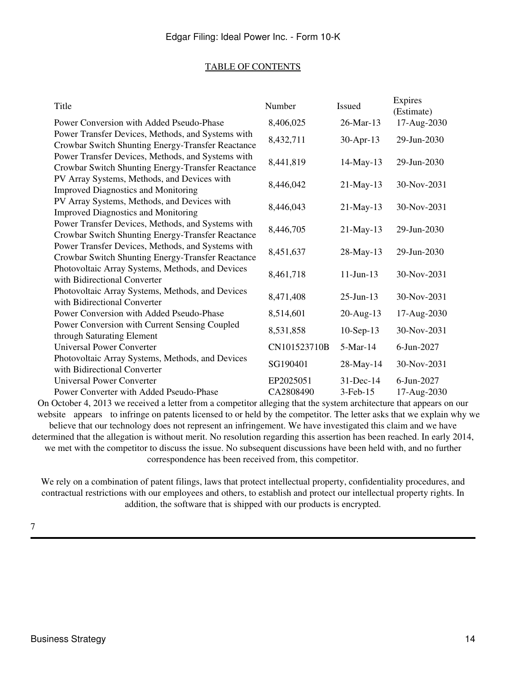| Title                                                                                                  | Number                 | <b>Issued</b>                  | Expires<br>(Estimate)     |
|--------------------------------------------------------------------------------------------------------|------------------------|--------------------------------|---------------------------|
| Power Conversion with Added Pseudo-Phase                                                               | 8,406,025              | $26$ -Mar-13                   | 17-Aug-2030               |
| Power Transfer Devices, Methods, and Systems with<br>Crowbar Switch Shunting Energy-Transfer Reactance | 8,432,711              | 30-Apr-13                      | 29-Jun-2030               |
| Power Transfer Devices, Methods, and Systems with<br>Crowbar Switch Shunting Energy-Transfer Reactance | 8,441,819              | 14-May-13                      | 29-Jun-2030               |
| PV Array Systems, Methods, and Devices with<br><b>Improved Diagnostics and Monitoring</b>              | 8,446,042              | $21$ -May-13                   | 30-Nov-2031               |
| PV Array Systems, Methods, and Devices with<br><b>Improved Diagnostics and Monitoring</b>              | 8,446,043              | $21$ -May-13                   | 30-Nov-2031               |
| Power Transfer Devices, Methods, and Systems with<br>Crowbar Switch Shunting Energy-Transfer Reactance | 8,446,705              | $21$ -May-13                   | 29-Jun-2030               |
| Power Transfer Devices, Methods, and Systems with<br>Crowbar Switch Shunting Energy-Transfer Reactance | 8,451,637              | 28-May-13                      | 29-Jun-2030               |
| Photovoltaic Array Systems, Methods, and Devices<br>with Bidirectional Converter                       | 8,461,718              | $11$ -Jun- $13$                | 30-Nov-2031               |
| Photovoltaic Array Systems, Methods, and Devices<br>with Bidirectional Converter                       | 8,471,408              | $25$ -Jun-13                   | 30-Nov-2031               |
| Power Conversion with Added Pseudo-Phase                                                               | 8,514,601              | $20$ -Aug-13                   | 17-Aug-2030               |
| Power Conversion with Current Sensing Coupled<br>through Saturating Element                            | 8,531,858              | $10-Sep-13$                    | 30-Nov-2031               |
| <b>Universal Power Converter</b>                                                                       | CN101523710B           | 5-Mar-14                       | 6-Jun-2027                |
| Photovoltaic Array Systems, Methods, and Devices<br>with Bidirectional Converter                       | SG190401               | 28-May-14                      | 30-Nov-2031               |
| Universal Power Converter<br>Power Converter with Added Pseudo-Phase                                   | EP2025051<br>CA2808490 | $31$ -Dec-14<br>$3$ -Feb- $15$ | 6-Jun-2027<br>17-Aug-2030 |

On October 4, 2013 we received a letter from a competitor alleging that the system architecture that appears on our website appears to infringe on patents licensed to or held by the competitor. The letter asks that we explain why we believe that our technology does not represent an infringement. We have investigated this claim and we have determined that the allegation is without merit. No resolution regarding this assertion has been reached. In early 2014, we met with the competitor to discuss the issue. No subsequent discussions have been held with, and no further correspondence has been received from, this competitor.

We rely on a combination of patent filings, laws that protect intellectual property, confidentiality procedures, and contractual restrictions with our employees and others, to establish and protect our intellectual property rights. In addition, the software that is shipped with our products is encrypted.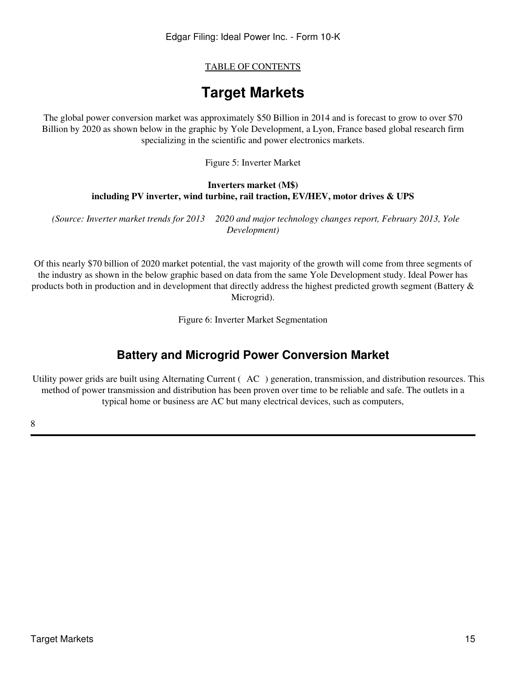## **Target Markets**

The global power conversion market was approximately \$50 Billion in 2014 and is forecast to grow to over \$70 Billion by 2020 as shown below in the graphic by Yole Development, a Lyon, France based global research firm specializing in the scientific and power electronics markets.

Figure 5: Inverter Market

### **Inverters market (M\$) including PV inverter, wind turbine, rail traction, EV/HEV, motor drives & UPS**

*(Source: Inverter market trends for 2013 2020 and major technology changes report, February 2013, Yole Development)*

Of this nearly \$70 billion of 2020 market potential, the vast majority of the growth will come from three segments of the industry as shown in the below graphic based on data from the same Yole Development study. Ideal Power has products both in production and in development that directly address the highest predicted growth segment (Battery & Microgrid).

Figure 6: Inverter Market Segmentation

## **Battery and Microgrid Power Conversion Market**

Utility power grids are built using Alternating Current (AC) generation, transmission, and distribution resources. This method of power transmission and distribution has been proven over time to be reliable and safe. The outlets in a typical home or business are AC but many electrical devices, such as computers,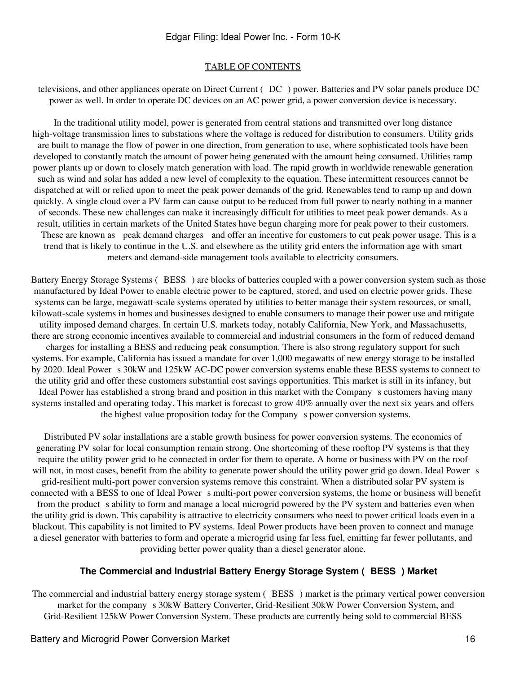televisions, and other appliances operate on Direct Current (DC) power. Batteries and PV solar panels produce DC power as well. In order to operate DC devices on an AC power grid, a power conversion device is necessary.

In the traditional utility model, power is generated from central stations and transmitted over long distance high-voltage transmission lines to substations where the voltage is reduced for distribution to consumers. Utility grids are built to manage the flow of power in one direction, from generation to use, where sophisticated tools have been developed to constantly match the amount of power being generated with the amount being consumed. Utilities ramp power plants up or down to closely match generation with load. The rapid growth in worldwide renewable generation such as wind and solar has added a new level of complexity to the equation. These intermittent resources cannot be dispatched at will or relied upon to meet the peak power demands of the grid. Renewables tend to ramp up and down quickly. A single cloud over a PV farm can cause output to be reduced from full power to nearly nothing in a manner of seconds. These new challenges can make it increasingly difficult for utilities to meet peak power demands. As a result, utilities in certain markets of the United States have begun charging more for peak power to their customers. These are known as peak demand charges and offer an incentive for customers to cut peak power usage. This is a trend that is likely to continue in the U.S. and elsewhere as the utility grid enters the information age with smart meters and demand-side management tools available to electricity consumers.

Battery Energy Storage Systems (BESS) are blocks of batteries coupled with a power conversion system such as those manufactured by Ideal Power to enable electric power to be captured, stored, and used on electric power grids. These systems can be large, megawatt-scale systems operated by utilities to better manage their system resources, or small, kilowatt-scale systems in homes and businesses designed to enable consumers to manage their power use and mitigate utility imposed demand charges. In certain U.S. markets today, notably California, New York, and Massachusetts, there are strong economic incentives available to commercial and industrial consumers in the form of reduced demand charges for installing a BESS and reducing peak consumption. There is also strong regulatory support for such systems. For example, California has issued a mandate for over 1,000 megawatts of new energy storage to be installed by 2020. Ideal Power s 30kW and 125kW AC-DC power conversion systems enable these BESS systems to connect to the utility grid and offer these customers substantial cost savings opportunities. This market is still in its infancy, but Ideal Power has established a strong brand and position in this market with the Companys customers having many systems installed and operating today. This market is forecast to grow 40% annually over the next six years and offers the highest value proposition today for the Company s power conversion systems.

Distributed PV solar installations are a stable growth business for power conversion systems. The economics of generating PV solar for local consumption remain strong. One shortcoming of these rooftop PV systems is that they require the utility power grid to be connected in order for them to operate. A home or business with PV on the roof will not, in most cases, benefit from the ability to generate power should the utility power grid go down. Ideal Power s grid-resilient multi-port power conversion systems remove this constraint. When a distributed solar PV system is connected with a BESS to one of Ideal Power s multi-port power conversion systems, the home or business will benefit from the product s ability to form and manage a local microgrid powered by the PV system and batteries even when the utility grid is down. This capability is attractive to electricity consumers who need to power critical loads even in a blackout. This capability is not limited to PV systems. Ideal Power products have been proven to connect and manage a diesel generator with batteries to form and operate a microgrid using far less fuel, emitting far fewer pollutants, and providing better power quality than a diesel generator alone.

### **The Commercial and Industrial Battery Energy Storage System (BESS) Market**

The commercial and industrial battery energy storage system (BESS) market is the primary vertical power conversion market for the company s 30kW Battery Converter, Grid-Resilient 30kW Power Conversion System, and Grid-Resilient 125kW Power Conversion System. These products are currently being sold to commercial BESS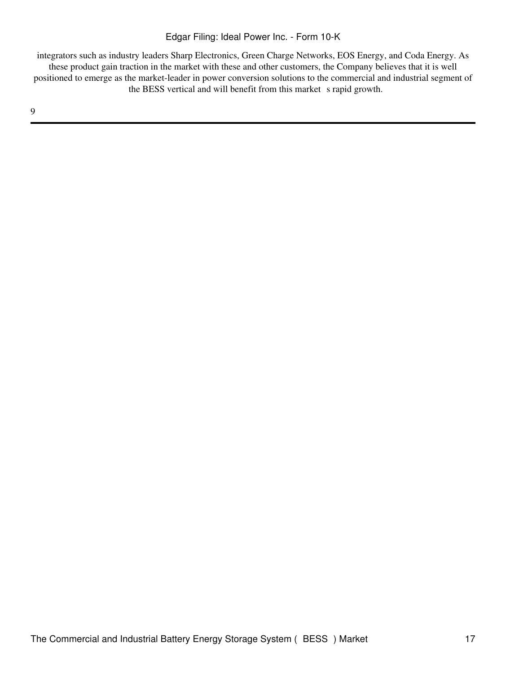integrators such as industry leaders Sharp Electronics, Green Charge Networks, EOS Energy, and Coda Energy. As these product gain traction in the market with these and other customers, the Company believes that it is well positioned to emerge as the market-leader in power conversion solutions to the commercial and industrial segment of the BESS vertical and will benefit from this market s rapid growth.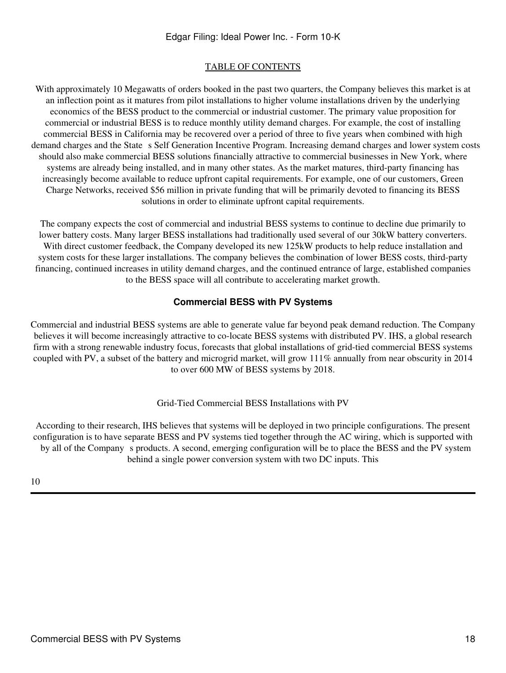#### [TABLE OF CONTENTS](#page-3-0)

With approximately 10 Megawatts of orders booked in the past two quarters, the Company believes this market is at an inflection point as it matures from pilot installations to higher volume installations driven by the underlying economics of the BESS product to the commercial or industrial customer. The primary value proposition for commercial or industrial BESS is to reduce monthly utility demand charges. For example, the cost of installing commercial BESS in California may be recovered over a period of three to five years when combined with high demand charges and the State s Self Generation Incentive Program. Increasing demand charges and lower system costs should also make commercial BESS solutions financially attractive to commercial businesses in New York, where systems are already being installed, and in many other states. As the market matures, third-party financing has increasingly become available to reduce upfront capital requirements. For example, one of our customers, Green Charge Networks, received \$56 million in private funding that will be primarily devoted to financing its BESS solutions in order to eliminate upfront capital requirements.

The company expects the cost of commercial and industrial BESS systems to continue to decline due primarily to lower battery costs. Many larger BESS installations had traditionally used several of our 30kW battery converters. With direct customer feedback, the Company developed its new 125kW products to help reduce installation and system costs for these larger installations. The company believes the combination of lower BESS costs, third-party financing, continued increases in utility demand charges, and the continued entrance of large, established companies to the BESS space will all contribute to accelerating market growth.

#### **Commercial BESS with PV Systems**

Commercial and industrial BESS systems are able to generate value far beyond peak demand reduction. The Company believes it will become increasingly attractive to co-locate BESS systems with distributed PV. IHS, a global research firm with a strong renewable industry focus, forecasts that global installations of grid-tied commercial BESS systems coupled with PV, a subset of the battery and microgrid market, will grow 111% annually from near obscurity in 2014 to over 600 MW of BESS systems by 2018.

#### Grid-Tied Commercial BESS Installations with PV

According to their research, IHS believes that systems will be deployed in two principle configurations. The present configuration is to have separate BESS and PV systems tied together through the AC wiring, which is supported with by all of the Company s products. A second, emerging configuration will be to place the BESS and the PV system behind a single power conversion system with two DC inputs. This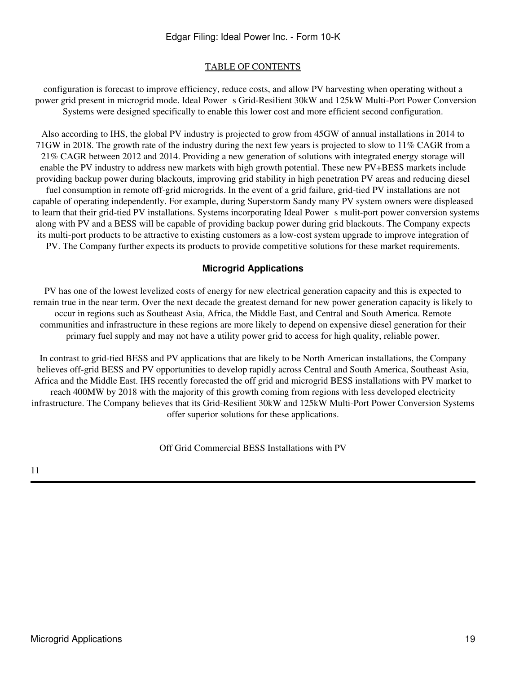#### [TABLE OF CONTENTS](#page-3-0)

configuration is forecast to improve efficiency, reduce costs, and allow PV harvesting when operating without a power grid present in microgrid mode. Ideal Power s Grid-Resilient 30kW and 125kW Multi-Port Power Conversion Systems were designed specifically to enable this lower cost and more efficient second configuration.

Also according to IHS, the global PV industry is projected to grow from 45GW of annual installations in 2014 to 71GW in 2018. The growth rate of the industry during the next few years is projected to slow to 11% CAGR from a 21% CAGR between 2012 and 2014. Providing a new generation of solutions with integrated energy storage will enable the PV industry to address new markets with high growth potential. These new PV+BESS markets include providing backup power during blackouts, improving grid stability in high penetration PV areas and reducing diesel fuel consumption in remote off-grid microgrids. In the event of a grid failure, grid-tied PV installations are not capable of operating independently. For example, during Superstorm Sandy many PV system owners were displeased to learn that their grid-tied PV installations. Systems incorporating Ideal Power s mulit-port power conversion systems along with PV and a BESS will be capable of providing backup power during grid blackouts. The Company expects its multi-port products to be attractive to existing customers as a low-cost system upgrade to improve integration of PV. The Company further expects its products to provide competitive solutions for these market requirements.

### **Microgrid Applications**

PV has one of the lowest levelized costs of energy for new electrical generation capacity and this is expected to remain true in the near term. Over the next decade the greatest demand for new power generation capacity is likely to occur in regions such as Southeast Asia, Africa, the Middle East, and Central and South America. Remote communities and infrastructure in these regions are more likely to depend on expensive diesel generation for their primary fuel supply and may not have a utility power grid to access for high quality, reliable power.

In contrast to grid-tied BESS and PV applications that are likely to be North American installations, the Company believes off-grid BESS and PV opportunities to develop rapidly across Central and South America, Southeast Asia, Africa and the Middle East. IHS recently forecasted the off grid and microgrid BESS installations with PV market to reach 400MW by 2018 with the majority of this growth coming from regions with less developed electricity infrastructure. The Company believes that its Grid-Resilient 30kW and 125kW Multi-Port Power Conversion Systems offer superior solutions for these applications.

Off Grid Commercial BESS Installations with PV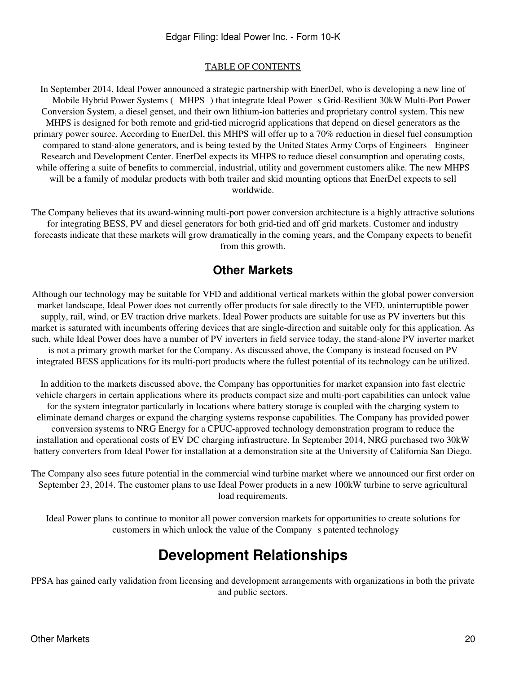In September 2014, Ideal Power announced a strategic partnership with EnerDel, who is developing a new line of Mobile Hybrid Power Systems (MHPS) that integrate Ideal Power s Grid-Resilient 30kW Multi-Port Power Conversion System, a diesel genset, and their own lithium-ion batteries and proprietary control system. This new MHPS is designed for both remote and grid-tied microgrid applications that depend on diesel generators as the primary power source. According to EnerDel, this MHPS will offer up to a 70% reduction in diesel fuel consumption compared to stand-alone generators, and is being tested by the United States Army Corps of Engineers Engineer Research and Development Center. EnerDel expects its MHPS to reduce diesel consumption and operating costs, while offering a suite of benefits to commercial, industrial, utility and government customers alike. The new MHPS will be a family of modular products with both trailer and skid mounting options that EnerDel expects to sell worldwide.

The Company believes that its award-winning multi-port power conversion architecture is a highly attractive solutions for integrating BESS, PV and diesel generators for both grid-tied and off grid markets. Customer and industry forecasts indicate that these markets will grow dramatically in the coming years, and the Company expects to benefit from this growth.

### **Other Markets**

Although our technology may be suitable for VFD and additional vertical markets within the global power conversion market landscape, Ideal Power does not currently offer products for sale directly to the VFD, uninterruptible power supply, rail, wind, or EV traction drive markets. Ideal Power products are suitable for use as PV inverters but this market is saturated with incumbents offering devices that are single-direction and suitable only for this application. As such, while Ideal Power does have a number of PV inverters in field service today, the stand-alone PV inverter market is not a primary growth market for the Company. As discussed above, the Company is instead focused on PV integrated BESS applications for its multi-port products where the fullest potential of its technology can be utilized.

In addition to the markets discussed above, the Company has opportunities for market expansion into fast electric vehicle chargers in certain applications where its products compact size and multi-port capabilities can unlock value for the system integrator particularly in locations where battery storage is coupled with the charging system to eliminate demand charges or expand the charging systems response capabilities. The Company has provided power conversion systems to NRG Energy for a CPUC-approved technology demonstration program to reduce the installation and operational costs of EV DC charging infrastructure. In September 2014, NRG purchased two 30kW battery converters from Ideal Power for installation at a demonstration site at the University of California San Diego.

The Company also sees future potential in the commercial wind turbine market where we announced our first order on September 23, 2014. The customer plans to use Ideal Power products in a new 100kW turbine to serve agricultural load requirements.

Ideal Power plans to continue to monitor all power conversion markets for opportunities to create solutions for customers in which unlock the value of the Company s patented technology

## **Development Relationships**

PPSA has gained early validation from licensing and development arrangements with organizations in both the private and public sectors.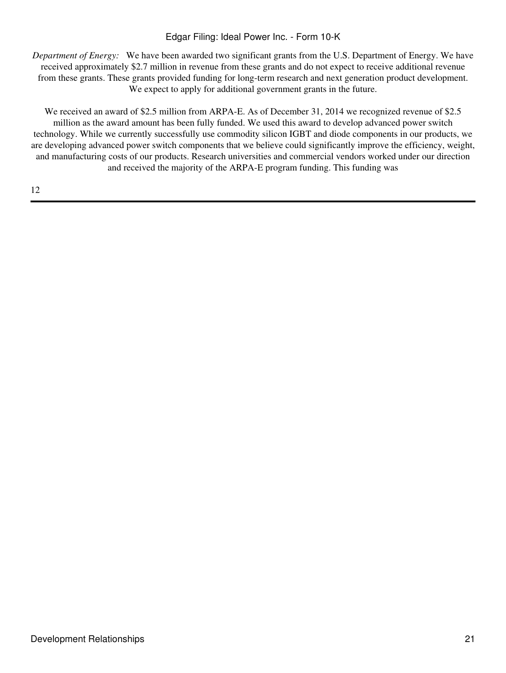*Department of Energy:* We have been awarded two significant grants from the U.S. Department of Energy. We have received approximately \$2.7 million in revenue from these grants and do not expect to receive additional revenue from these grants. These grants provided funding for long-term research and next generation product development. We expect to apply for additional government grants in the future.

We received an award of \$2.5 million from ARPA-E. As of December 31, 2014 we recognized revenue of \$2.5 million as the award amount has been fully funded. We used this award to develop advanced power switch technology. While we currently successfully use commodity silicon IGBT and diode components in our products, we are developing advanced power switch components that we believe could significantly improve the efficiency, weight, and manufacturing costs of our products. Research universities and commercial vendors worked under our direction and received the majority of the ARPA-E program funding. This funding was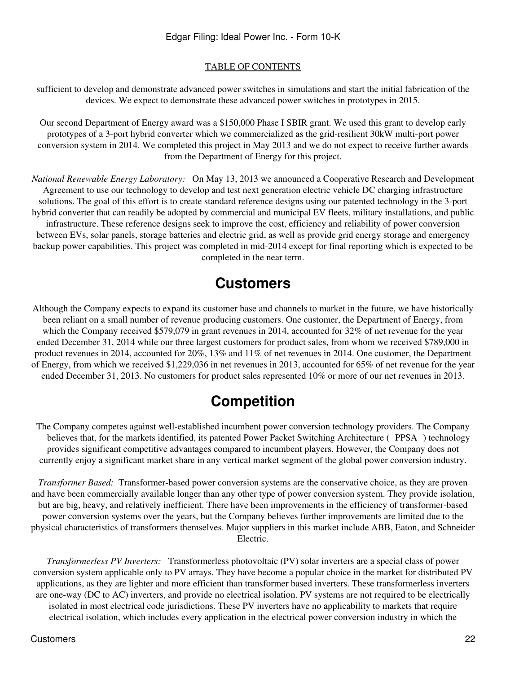sufficient to develop and demonstrate advanced power switches in simulations and start the initial fabrication of the devices. We expect to demonstrate these advanced power switches in prototypes in 2015.

Our second Department of Energy award was a \$150,000 Phase I SBIR grant. We used this grant to develop early prototypes of a 3-port hybrid converter which we commercialized as the grid-resilient 30kW multi-port power conversion system in 2014. We completed this project in May 2013 and we do not expect to receive further awards from the Department of Energy for this project.

*National Renewable Energy Laboratory:* On May 13, 2013 we announced a Cooperative Research and Development Agreement to use our technology to develop and test next generation electric vehicle DC charging infrastructure solutions. The goal of this effort is to create standard reference designs using our patented technology in the 3-port hybrid converter that can readily be adopted by commercial and municipal EV fleets, military installations, and public infrastructure. These reference designs seek to improve the cost, efficiency and reliability of power conversion between EVs, solar panels, storage batteries and electric grid, as well as provide grid energy storage and emergency backup power capabilities. This project was completed in mid-2014 except for final reporting which is expected to be completed in the near term.

## **Customers**

Although the Company expects to expand its customer base and channels to market in the future, we have historically been reliant on a small number of revenue producing customers. One customer, the Department of Energy, from which the Company received \$579,079 in grant revenues in 2014, accounted for 32% of net revenue for the year ended December 31, 2014 while our three largest customers for product sales, from whom we received \$789,000 in product revenues in 2014, accounted for 20%, 13% and 11% of net revenues in 2014. One customer, the Department of Energy, from which we received \$1,229,036 in net revenues in 2013, accounted for 65% of net revenue for the year ended December 31, 2013. No customers for product sales represented 10% or more of our net revenues in 2013.

## **Competition**

The Company competes against well-established incumbent power conversion technology providers. The Company believes that, for the markets identified, its patented Power Packet Switching Architecture (PPSA) technology provides significant competitive advantages compared to incumbent players. However, the Company does not currently enjoy a significant market share in any vertical market segment of the global power conversion industry.

*Transformer Based:* Transformer-based power conversion systems are the conservative choice, as they are proven and have been commercially available longer than any other type of power conversion system. They provide isolation, but are big, heavy, and relatively inefficient. There have been improvements in the efficiency of transformer-based power conversion systems over the years, but the Company believes further improvements are limited due to the physical characteristics of transformers themselves. Major suppliers in this market include ABB, Eaton, and Schneider Electric.

*Transformerless PV Inverters:* Transformerless photovoltaic (PV) solar inverters are a special class of power conversion system applicable only to PV arrays. They have become a popular choice in the market for distributed PV applications, as they are lighter and more efficient than transformer based inverters. These transformerless inverters are one-way (DC to AC) inverters, and provide no electrical isolation. PV systems are not required to be electrically isolated in most electrical code jurisdictions. These PV inverters have no applicability to markets that require electrical isolation, which includes every application in the electrical power conversion industry in which the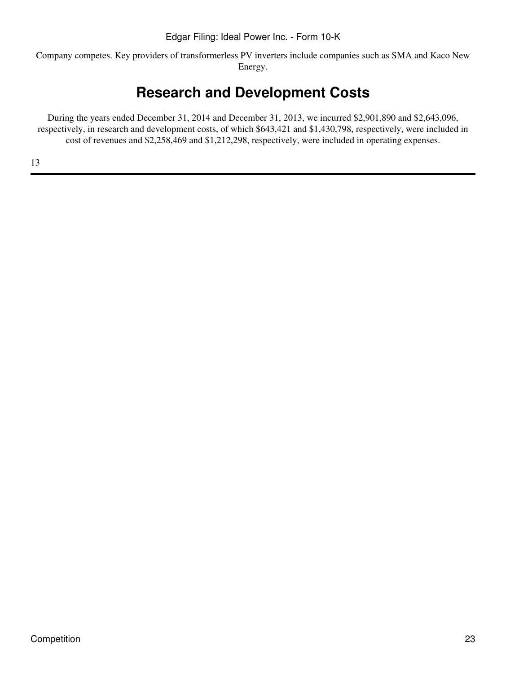Company competes. Key providers of transformerless PV inverters include companies such as SMA and Kaco New Energy.

## **Research and Development Costs**

During the years ended December 31, 2014 and December 31, 2013, we incurred \$2,901,890 and \$2,643,096, respectively, in research and development costs, of which \$643,421 and \$1,430,798, respectively, were included in cost of revenues and \$2,258,469 and \$1,212,298, respectively, were included in operating expenses.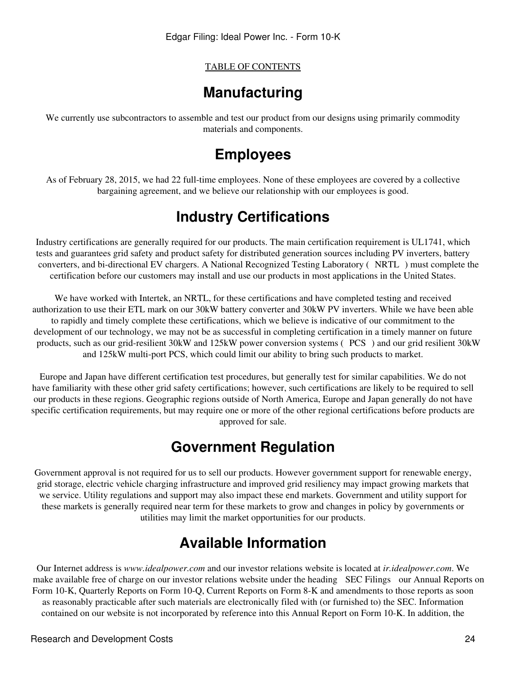## **Manufacturing**

We currently use subcontractors to assemble and test our product from our designs using primarily commodity materials and components.

## **Employees**

As of February 28, 2015, we had 22 full-time employees. None of these employees are covered by a collective bargaining agreement, and we believe our relationship with our employees is good.

## **Industry Certifications**

Industry certifications are generally required for our products. The main certification requirement is UL1741, which tests and guarantees grid safety and product safety for distributed generation sources including PV inverters, battery converters, and bi-directional EV chargers. A National Recognized Testing Laboratory (NRTL) must complete the certification before our customers may install and use our products in most applications in the United States.

We have worked with Intertek, an NRTL, for these certifications and have completed testing and received authorization to use their ETL mark on our 30kW battery converter and 30kW PV inverters. While we have been able to rapidly and timely complete these certifications, which we believe is indicative of our commitment to the development of our technology, we may not be as successful in completing certification in a timely manner on future products, such as our grid-resilient 30kW and 125kW power conversion systems (PCS) and our grid resilient 30kW and 125kW multi-port PCS, which could limit our ability to bring such products to market.

Europe and Japan have different certification test procedures, but generally test for similar capabilities. We do not have familiarity with these other grid safety certifications; however, such certifications are likely to be required to sell our products in these regions. Geographic regions outside of North America, Europe and Japan generally do not have specific certification requirements, but may require one or more of the other regional certifications before products are approved for sale.

## **Government Regulation**

Government approval is not required for us to sell our products. However government support for renewable energy, grid storage, electric vehicle charging infrastructure and improved grid resiliency may impact growing markets that we service. Utility regulations and support may also impact these end markets. Government and utility support for these markets is generally required near term for these markets to grow and changes in policy by governments or utilities may limit the market opportunities for our products.

## **Available Information**

Our Internet address is *www.idealpower.com* and our investor relations website is located at *ir.idealpower.com*. We make available free of charge on our investor relations website under the heading SEC Filings our Annual Reports on Form 10-K, Quarterly Reports on Form 10-Q, Current Reports on Form 8-K and amendments to those reports as soon as reasonably practicable after such materials are electronically filed with (or furnished to) the SEC. Information contained on our website is not incorporated by reference into this Annual Report on Form 10-K. In addition, the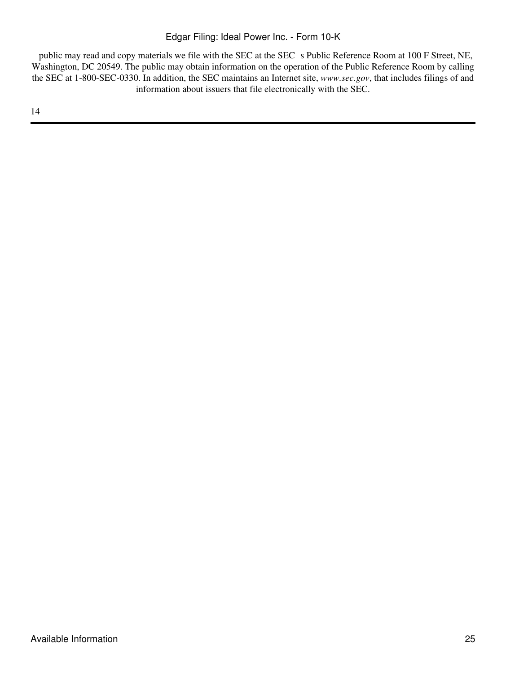public may read and copy materials we file with the SEC at the SEC s Public Reference Room at 100 F Street, NE, Washington, DC 20549. The public may obtain information on the operation of the Public Reference Room by calling the SEC at 1-800-SEC-0330. In addition, the SEC maintains an Internet site, *www.sec.gov*, that includes filings of and information about issuers that file electronically with the SEC.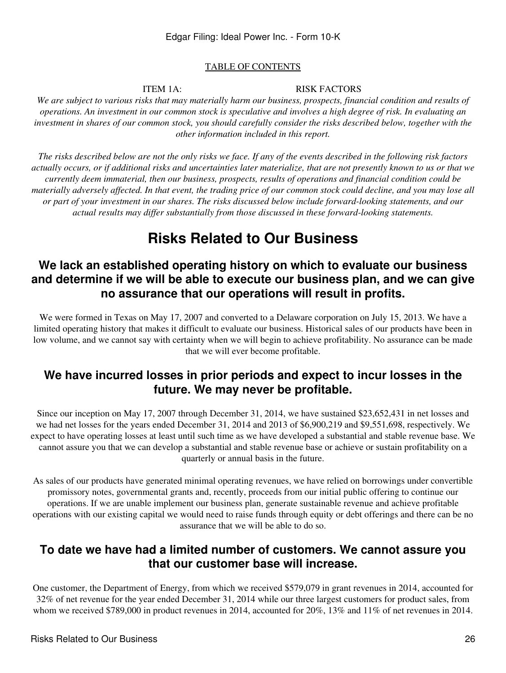ITEM 1A: RISK FACTORS

<span id="page-25-0"></span>*We are subject to various risks that may materially harm our business, prospects, financial condition and results of operations. An investment in our common stock is speculative and involves a high degree of risk. In evaluating an investment in shares of our common stock, you should carefully consider the risks described below, together with the other information included in this report.*

*The risks described below are not the only risks we face. If any of the events described in the following risk factors actually occurs, or if additional risks and uncertainties later materialize, that are not presently known to us or that we currently deem immaterial, then our business, prospects, results of operations and financial condition could be materially adversely affected. In that event, the trading price of our common stock could decline, and you may lose all or part of your investment in our shares. The risks discussed below include forward-looking statements, and our actual results may differ substantially from those discussed in these forward-looking statements.*

## **Risks Related to Our Business**

### **We lack an established operating history on which to evaluate our business and determine if we will be able to execute our business plan, and we can give no assurance that our operations will result in profits.**

We were formed in Texas on May 17, 2007 and converted to a Delaware corporation on July 15, 2013. We have a limited operating history that makes it difficult to evaluate our business. Historical sales of our products have been in low volume, and we cannot say with certainty when we will begin to achieve profitability. No assurance can be made that we will ever become profitable.

## **We have incurred losses in prior periods and expect to incur losses in the future. We may never be profitable.**

Since our inception on May 17, 2007 through December 31, 2014, we have sustained \$23,652,431 in net losses and we had net losses for the years ended December 31, 2014 and 2013 of \$6,900,219 and \$9,551,698, respectively. We expect to have operating losses at least until such time as we have developed a substantial and stable revenue base. We cannot assure you that we can develop a substantial and stable revenue base or achieve or sustain profitability on a quarterly or annual basis in the future.

As sales of our products have generated minimal operating revenues, we have relied on borrowings under convertible promissory notes, governmental grants and, recently, proceeds from our initial public offering to continue our operations. If we are unable implement our business plan, generate sustainable revenue and achieve profitable operations with our existing capital we would need to raise funds through equity or debt offerings and there can be no assurance that we will be able to do so.

## **To date we have had a limited number of customers. We cannot assure you that our customer base will increase.**

One customer, the Department of Energy, from which we received \$579,079 in grant revenues in 2014, accounted for 32% of net revenue for the year ended December 31, 2014 while our three largest customers for product sales, from whom we received \$789,000 in product revenues in 2014, accounted for 20%, 13% and 11% of net revenues in 2014.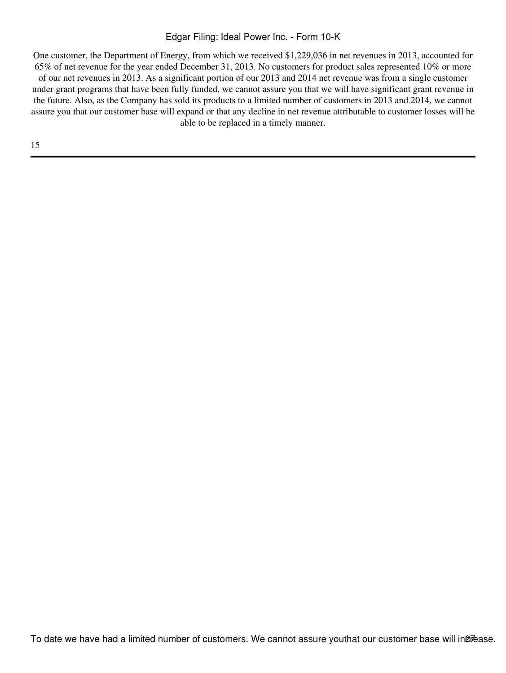One customer, the Department of Energy, from which we received \$1,229,036 in net revenues in 2013, accounted for 65% of net revenue for the year ended December 31, 2013. No customers for product sales represented 10% or more of our net revenues in 2013. As a significant portion of our 2013 and 2014 net revenue was from a single customer under grant programs that have been fully funded, we cannot assure you that we will have significant grant revenue in the future. Also, as the Company has sold its products to a limited number of customers in 2013 and 2014, we cannot assure you that our customer base will expand or that any decline in net revenue attributable to customer losses will be able to be replaced in a timely manner.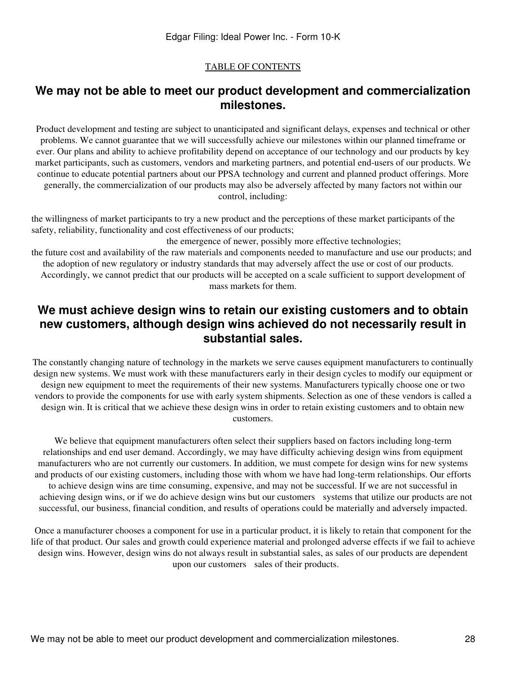### **We may not be able to meet our product development and commercialization milestones.**

Product development and testing are subject to unanticipated and significant delays, expenses and technical or other problems. We cannot guarantee that we will successfully achieve our milestones within our planned timeframe or ever. Our plans and ability to achieve profitability depend on acceptance of our technology and our products by key market participants, such as customers, vendors and marketing partners, and potential end-users of our products. We continue to educate potential partners about our PPSA technology and current and planned product offerings. More generally, the commercialization of our products may also be adversely affected by many factors not within our control, including:

the willingness of market participants to try a new product and the perceptions of these market participants of the safety, reliability, functionality and cost effectiveness of our products;

the emergence of newer, possibly more effective technologies;

the future cost and availability of the raw materials and components needed to manufacture and use our products; and the adoption of new regulatory or industry standards that may adversely affect the use or cost of our products. Accordingly, we cannot predict that our products will be accepted on a scale sufficient to support development of mass markets for them.

## **We must achieve design wins to retain our existing customers and to obtain new customers, although design wins achieved do not necessarily result in substantial sales.**

The constantly changing nature of technology in the markets we serve causes equipment manufacturers to continually design new systems. We must work with these manufacturers early in their design cycles to modify our equipment or design new equipment to meet the requirements of their new systems. Manufacturers typically choose one or two vendors to provide the components for use with early system shipments. Selection as one of these vendors is called a design win. It is critical that we achieve these design wins in order to retain existing customers and to obtain new customers.

We believe that equipment manufacturers often select their suppliers based on factors including long-term relationships and end user demand. Accordingly, we may have difficulty achieving design wins from equipment manufacturers who are not currently our customers. In addition, we must compete for design wins for new systems and products of our existing customers, including those with whom we have had long-term relationships. Our efforts to achieve design wins are time consuming, expensive, and may not be successful. If we are not successful in achieving design wins, or if we do achieve design wins but our customers systems that utilize our products are not successful, our business, financial condition, and results of operations could be materially and adversely impacted.

Once a manufacturer chooses a component for use in a particular product, it is likely to retain that component for the life of that product. Our sales and growth could experience material and prolonged adverse effects if we fail to achieve design wins. However, design wins do not always result in substantial sales, as sales of our products are dependent upon our customers sales of their products.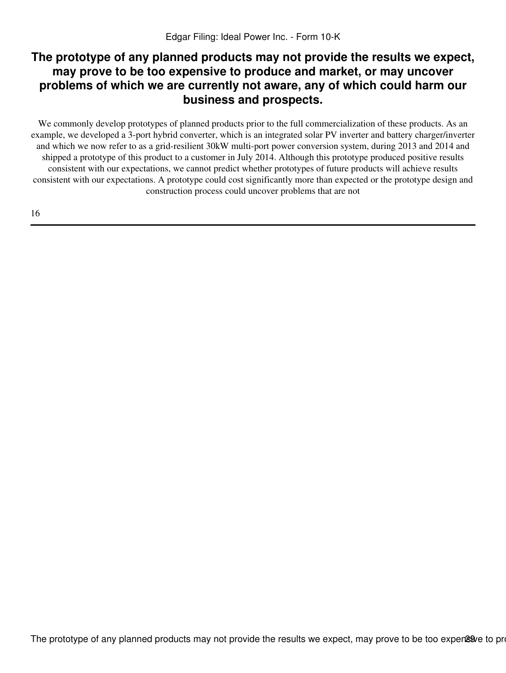## **The prototype of any planned products may not provide the results we expect, may prove to be too expensive to produce and market, or may uncover problems of which we are currently not aware, any of which could harm our business and prospects.**

We commonly develop prototypes of planned products prior to the full commercialization of these products. As an example, we developed a 3-port hybrid converter, which is an integrated solar PV inverter and battery charger/inverter and which we now refer to as a grid-resilient 30kW multi-port power conversion system, during 2013 and 2014 and shipped a prototype of this product to a customer in July 2014. Although this prototype produced positive results consistent with our expectations, we cannot predict whether prototypes of future products will achieve results consistent with our expectations. A prototype could cost significantly more than expected or the prototype design and construction process could uncover problems that are not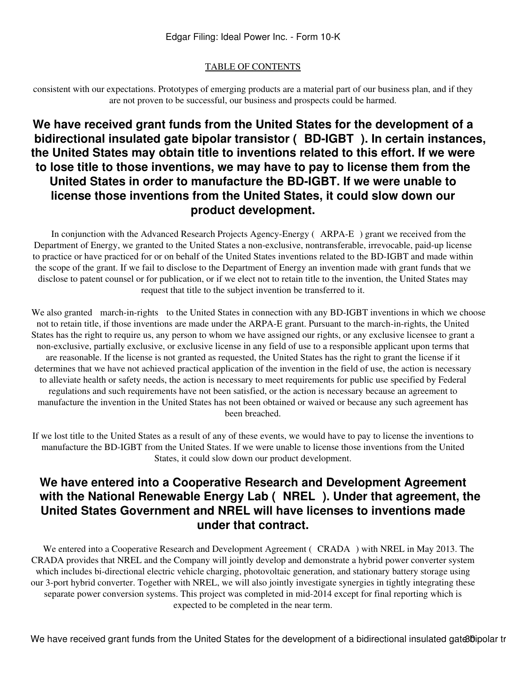consistent with our expectations. Prototypes of emerging products are a material part of our business plan, and if they are not proven to be successful, our business and prospects could be harmed.

## **We have received grant funds from the United States for the development of a bidirectional insulated gate bipolar transistor (BD-IGBT). In certain instances, the United States may obtain title to inventions related to this effort. If we were to lose title to those inventions, we may have to pay to license them from the United States in order to manufacture the BD-IGBT. If we were unable to license those inventions from the United States, it could slow down our product development.**

In conjunction with the Advanced Research Projects Agency-Energy (ARPA-E) grant we received from the Department of Energy, we granted to the United States a non-exclusive, nontransferable, irrevocable, paid-up license to practice or have practiced for or on behalf of the United States inventions related to the BD-IGBT and made within the scope of the grant. If we fail to disclose to the Department of Energy an invention made with grant funds that we disclose to patent counsel or for publication, or if we elect not to retain title to the invention, the United States may request that title to the subject invention be transferred to it.

We also granted march-in-rights to the United States in connection with any BD-IGBT inventions in which we choose not to retain title, if those inventions are made under the ARPA-E grant. Pursuant to the march-in-rights, the United States has the right to require us, any person to whom we have assigned our rights, or any exclusive licensee to grant a non-exclusive, partially exclusive, or exclusive license in any field of use to a responsible applicant upon terms that are reasonable. If the license is not granted as requested, the United States has the right to grant the license if it determines that we have not achieved practical application of the invention in the field of use, the action is necessary to alleviate health or safety needs, the action is necessary to meet requirements for public use specified by Federal regulations and such requirements have not been satisfied, or the action is necessary because an agreement to manufacture the invention in the United States has not been obtained or waived or because any such agreement has been breached.

If we lost title to the United States as a result of any of these events, we would have to pay to license the inventions to manufacture the BD-IGBT from the United States. If we were unable to license those inventions from the United States, it could slow down our product development.

## **We have entered into a Cooperative Research and Development Agreement** with the National Renewable Energy Lab ( NREL ). Under that agreement, the **United States Government and NREL will have licenses to inventions made under that contract.**

We entered into a Cooperative Research and Development Agreement (CRADA) with NREL in May 2013. The CRADA provides that NREL and the Company will jointly develop and demonstrate a hybrid power converter system which includes bi-directional electric vehicle charging, photovoltaic generation, and stationary battery storage using our 3-port hybrid converter. Together with NREL, we will also jointly investigate synergies in tightly integrating these separate power conversion systems. This project was completed in mid-2014 except for final reporting which is expected to be completed in the near term.

We have received grant funds from the United States for the development of a bidirectional insulated gate 3bipolar tr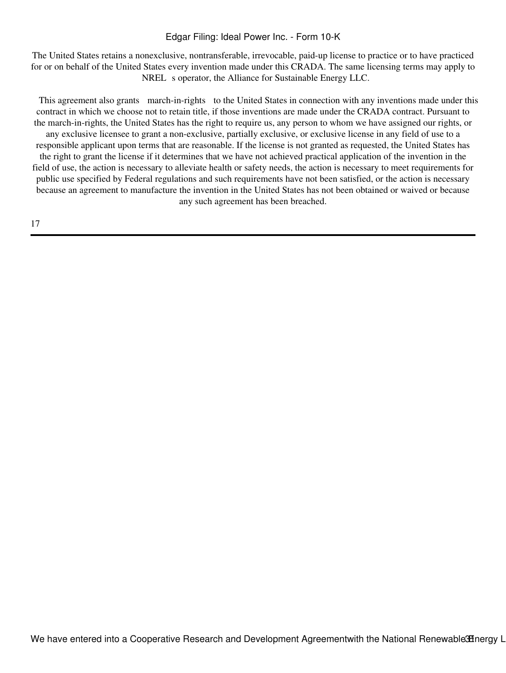The United States retains a nonexclusive, nontransferable, irrevocable, paid-up license to practice or to have practiced for or on behalf of the United States every invention made under this CRADA. The same licensing terms may apply to NREL s operator, the Alliance for Sustainable Energy LLC.

This agreement also grants march-in-rights to the United States in connection with any inventions made under this contract in which we choose not to retain title, if those inventions are made under the CRADA contract. Pursuant to the march-in-rights, the United States has the right to require us, any person to whom we have assigned our rights, or any exclusive licensee to grant a non-exclusive, partially exclusive, or exclusive license in any field of use to a responsible applicant upon terms that are reasonable. If the license is not granted as requested, the United States has the right to grant the license if it determines that we have not achieved practical application of the invention in the field of use, the action is necessary to alleviate health or safety needs, the action is necessary to meet requirements for public use specified by Federal regulations and such requirements have not been satisfied, or the action is necessary because an agreement to manufacture the invention in the United States has not been obtained or waived or because any such agreement has been breached.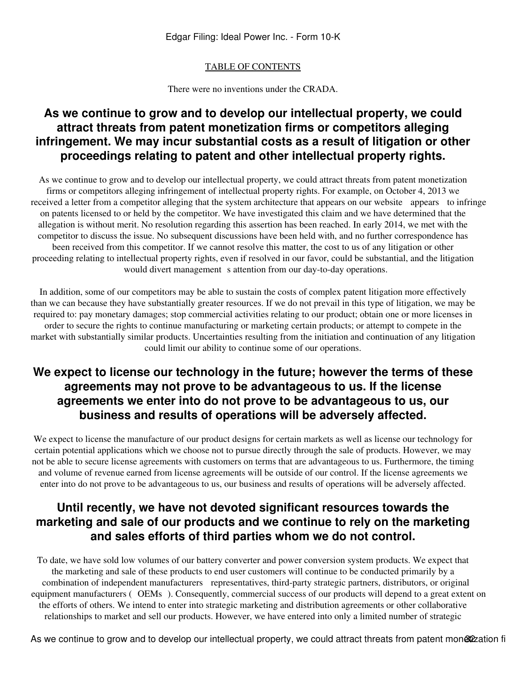### [TABLE OF CONTENTS](#page-3-0)

There were no inventions under the CRADA.

## **As we continue to grow and to develop our intellectual property, we could attract threats from patent monetization firms or competitors alleging infringement. We may incur substantial costs as a result of litigation or other proceedings relating to patent and other intellectual property rights.**

As we continue to grow and to develop our intellectual property, we could attract threats from patent monetization firms or competitors alleging infringement of intellectual property rights. For example, on October 4, 2013 we received a letter from a competitor alleging that the system architecture that appears on our website appears to infringe on patents licensed to or held by the competitor. We have investigated this claim and we have determined that the allegation is without merit. No resolution regarding this assertion has been reached. In early 2014, we met with the competitor to discuss the issue. No subsequent discussions have been held with, and no further correspondence has been received from this competitor. If we cannot resolve this matter, the cost to us of any litigation or other proceeding relating to intellectual property rights, even if resolved in our favor, could be substantial, and the litigation would divert management s attention from our day-to-day operations.

In addition, some of our competitors may be able to sustain the costs of complex patent litigation more effectively than we can because they have substantially greater resources. If we do not prevail in this type of litigation, we may be required to: pay monetary damages; stop commercial activities relating to our product; obtain one or more licenses in order to secure the rights to continue manufacturing or marketing certain products; or attempt to compete in the market with substantially similar products. Uncertainties resulting from the initiation and continuation of any litigation could limit our ability to continue some of our operations.

## **We expect to license our technology in the future; however the terms of these agreements may not prove to be advantageous to us. If the license agreements we enter into do not prove to be advantageous to us, our business and results of operations will be adversely affected.**

We expect to license the manufacture of our product designs for certain markets as well as license our technology for certain potential applications which we choose not to pursue directly through the sale of products. However, we may not be able to secure license agreements with customers on terms that are advantageous to us. Furthermore, the timing and volume of revenue earned from license agreements will be outside of our control. If the license agreements we enter into do not prove to be advantageous to us, our business and results of operations will be adversely affected.

### **Until recently, we have not devoted significant resources towards the marketing and sale of our products and we continue to rely on the marketing and sales efforts of third parties whom we do not control.**

To date, we have sold low volumes of our battery converter and power conversion system products. We expect that the marketing and sale of these products to end user customers will continue to be conducted primarily by a combination of independent manufacturers representatives, third-party strategic partners, distributors, or original equipment manufacturers (OEMs). Consequently, commercial success of our products will depend to a great extent on the efforts of others. We intend to enter into strategic marketing and distribution agreements or other collaborative relationships to market and sell our products. However, we have entered into only a limited number of strategic

As we continue to grow and to develop our intellectual property, we could attract threats from patent monet patent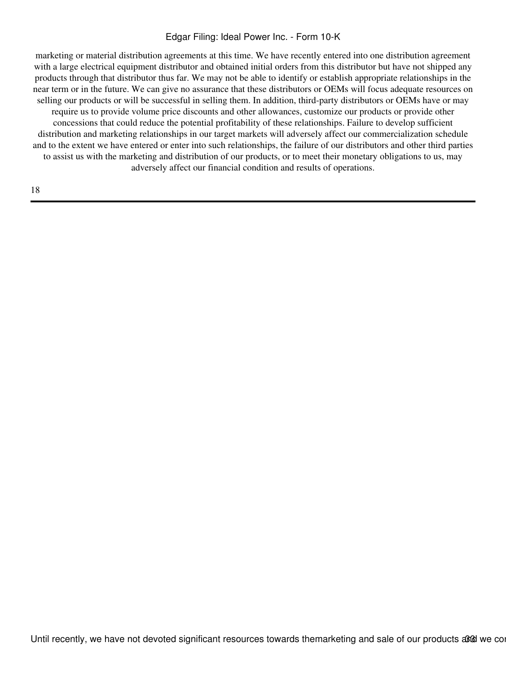marketing or material distribution agreements at this time. We have recently entered into one distribution agreement with a large electrical equipment distributor and obtained initial orders from this distributor but have not shipped any products through that distributor thus far. We may not be able to identify or establish appropriate relationships in the near term or in the future. We can give no assurance that these distributors or OEMs will focus adequate resources on selling our products or will be successful in selling them. In addition, third-party distributors or OEMs have or may require us to provide volume price discounts and other allowances, customize our products or provide other concessions that could reduce the potential profitability of these relationships. Failure to develop sufficient distribution and marketing relationships in our target markets will adversely affect our commercialization schedule and to the extent we have entered or enter into such relationships, the failure of our distributors and other third parties to assist us with the marketing and distribution of our products, or to meet their monetary obligations to us, may adversely affect our financial condition and results of operations.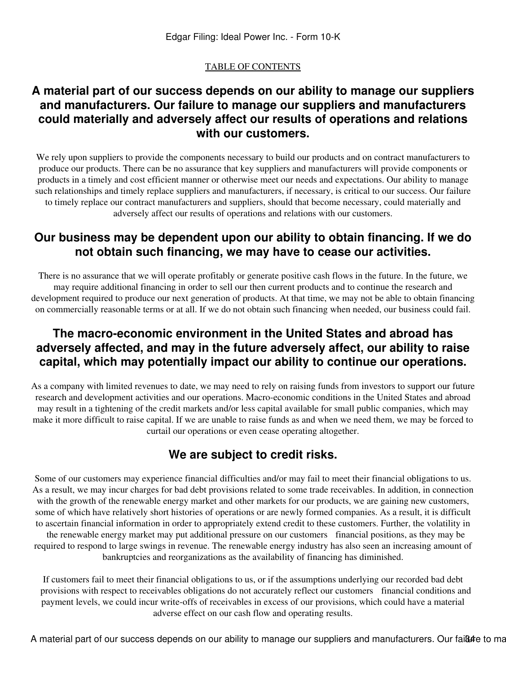### **A material part of our success depends on our ability to manage our suppliers and manufacturers. Our failure to manage our suppliers and manufacturers could materially and adversely affect our results of operations and relations with our customers.**

We rely upon suppliers to provide the components necessary to build our products and on contract manufacturers to produce our products. There can be no assurance that key suppliers and manufacturers will provide components or products in a timely and cost efficient manner or otherwise meet our needs and expectations. Our ability to manage such relationships and timely replace suppliers and manufacturers, if necessary, is critical to our success. Our failure to timely replace our contract manufacturers and suppliers, should that become necessary, could materially and adversely affect our results of operations and relations with our customers.

### **Our business may be dependent upon our ability to obtain financing. If we do not obtain such financing, we may have to cease our activities.**

There is no assurance that we will operate profitably or generate positive cash flows in the future. In the future, we may require additional financing in order to sell our then current products and to continue the research and development required to produce our next generation of products. At that time, we may not be able to obtain financing on commercially reasonable terms or at all. If we do not obtain such financing when needed, our business could fail.

## **The macro-economic environment in the United States and abroad has adversely affected, and may in the future adversely affect, our ability to raise capital, which may potentially impact our ability to continue our operations.**

As a company with limited revenues to date, we may need to rely on raising funds from investors to support our future research and development activities and our operations. Macro-economic conditions in the United States and abroad may result in a tightening of the credit markets and/or less capital available for small public companies, which may make it more difficult to raise capital. If we are unable to raise funds as and when we need them, we may be forced to curtail our operations or even cease operating altogether.

## **We are subject to credit risks.**

Some of our customers may experience financial difficulties and/or may fail to meet their financial obligations to us. As a result, we may incur charges for bad debt provisions related to some trade receivables. In addition, in connection with the growth of the renewable energy market and other markets for our products, we are gaining new customers, some of which have relatively short histories of operations or are newly formed companies. As a result, it is difficult to ascertain financial information in order to appropriately extend credit to these customers. Further, the volatility in the renewable energy market may put additional pressure on our customers financial positions, as they may be required to respond to large swings in revenue. The renewable energy industry has also seen an increasing amount of bankruptcies and reorganizations as the availability of financing has diminished.

If customers fail to meet their financial obligations to us, or if the assumptions underlying our recorded bad debt provisions with respect to receivables obligations do not accurately reflect our customers financial conditions and payment levels, we could incur write-offs of receivables in excess of our provisions, which could have a material adverse effect on our cash flow and operating results.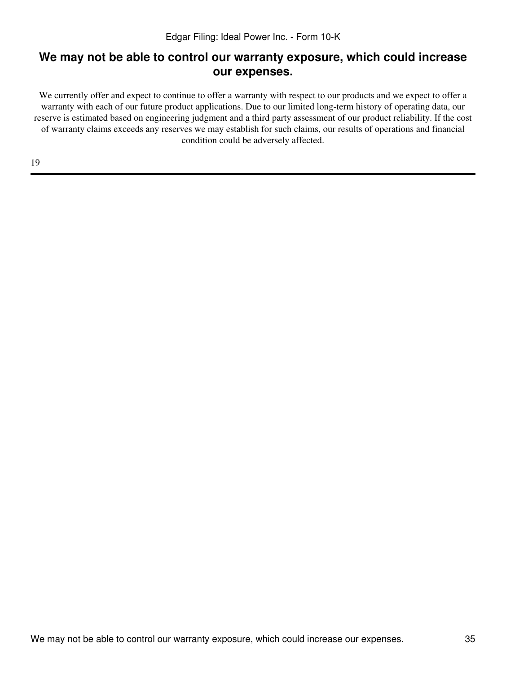### **We may not be able to control our warranty exposure, which could increase our expenses.**

We currently offer and expect to continue to offer a warranty with respect to our products and we expect to offer a warranty with each of our future product applications. Due to our limited long-term history of operating data, our reserve is estimated based on engineering judgment and a third party assessment of our product reliability. If the cost of warranty claims exceeds any reserves we may establish for such claims, our results of operations and financial condition could be adversely affected.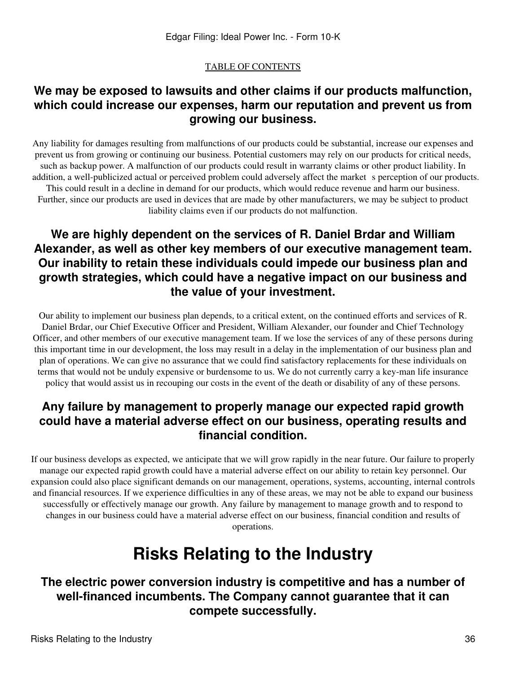### **We may be exposed to lawsuits and other claims if our products malfunction, which could increase our expenses, harm our reputation and prevent us from growing our business.**

Any liability for damages resulting from malfunctions of our products could be substantial, increase our expenses and prevent us from growing or continuing our business. Potential customers may rely on our products for critical needs, such as backup power. A malfunction of our products could result in warranty claims or other product liability. In addition, a well-publicized actual or perceived problem could adversely affect the market s perception of our products. This could result in a decline in demand for our products, which would reduce revenue and harm our business. Further, since our products are used in devices that are made by other manufacturers, we may be subject to product liability claims even if our products do not malfunction.

## **We are highly dependent on the services of R. Daniel Brdar and William Alexander, as well as other key members of our executive management team. Our inability to retain these individuals could impede our business plan and growth strategies, which could have a negative impact on our business and the value of your investment.**

Our ability to implement our business plan depends, to a critical extent, on the continued efforts and services of R. Daniel Brdar, our Chief Executive Officer and President, William Alexander, our founder and Chief Technology Officer, and other members of our executive management team. If we lose the services of any of these persons during this important time in our development, the loss may result in a delay in the implementation of our business plan and plan of operations. We can give no assurance that we could find satisfactory replacements for these individuals on terms that would not be unduly expensive or burdensome to us. We do not currently carry a key-man life insurance policy that would assist us in recouping our costs in the event of the death or disability of any of these persons.

### **Any failure by management to properly manage our expected rapid growth could have a material adverse effect on our business, operating results and financial condition.**

If our business develops as expected, we anticipate that we will grow rapidly in the near future. Our failure to properly manage our expected rapid growth could have a material adverse effect on our ability to retain key personnel. Our expansion could also place significant demands on our management, operations, systems, accounting, internal controls and financial resources. If we experience difficulties in any of these areas, we may not be able to expand our business successfully or effectively manage our growth. Any failure by management to manage growth and to respond to changes in our business could have a material adverse effect on our business, financial condition and results of operations.

# **Risks Relating to the Industry**

**The electric power conversion industry is competitive and has a number of well-financed incumbents. The Company cannot guarantee that it can compete successfully.**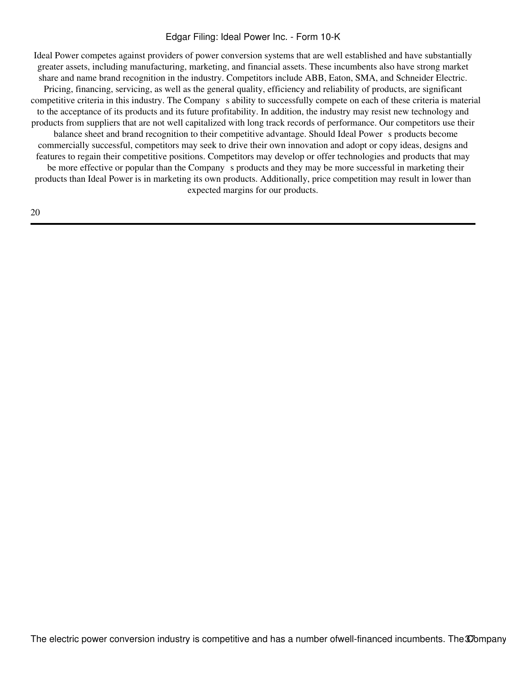Ideal Power competes against providers of power conversion systems that are well established and have substantially greater assets, including manufacturing, marketing, and financial assets. These incumbents also have strong market share and name brand recognition in the industry. Competitors include ABB, Eaton, SMA, and Schneider Electric. Pricing, financing, servicing, as well as the general quality, efficiency and reliability of products, are significant competitive criteria in this industry. The Company s ability to successfully compete on each of these criteria is material to the acceptance of its products and its future profitability. In addition, the industry may resist new technology and products from suppliers that are not well capitalized with long track records of performance. Our competitors use their balance sheet and brand recognition to their competitive advantage. Should Ideal Power s products become commercially successful, competitors may seek to drive their own innovation and adopt or copy ideas, designs and features to regain their competitive positions. Competitors may develop or offer technologies and products that may be more effective or popular than the Company s products and they may be more successful in marketing their products than Ideal Power is in marketing its own products. Additionally, price competition may result in lower than expected margins for our products.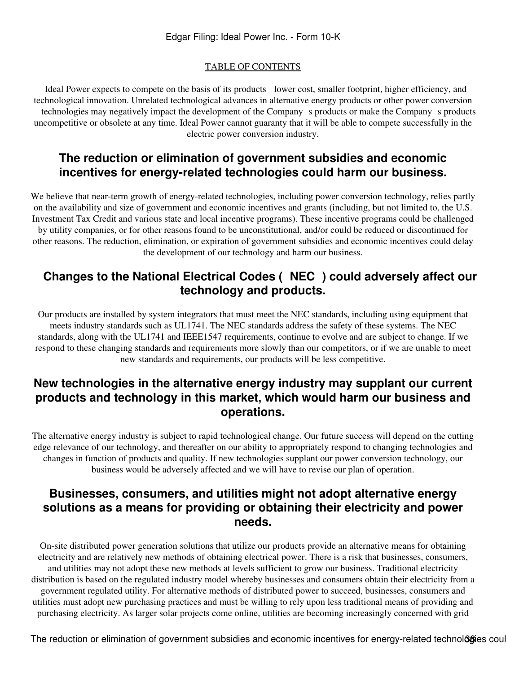Ideal Power expects to compete on the basis of its products lower cost, smaller footprint, higher efficiency, and technological innovation. Unrelated technological advances in alternative energy products or other power conversion technologies may negatively impact the development of the Company s products or make the Company s products uncompetitive or obsolete at any time. Ideal Power cannot guaranty that it will be able to compete successfully in the electric power conversion industry.

# **The reduction or elimination of government subsidies and economic incentives for energy-related technologies could harm our business.**

We believe that near-term growth of energy-related technologies, including power conversion technology, relies partly on the availability and size of government and economic incentives and grants (including, but not limited to, the U.S. Investment Tax Credit and various state and local incentive programs). These incentive programs could be challenged by utility companies, or for other reasons found to be unconstitutional, and/or could be reduced or discontinued for other reasons. The reduction, elimination, or expiration of government subsidies and economic incentives could delay the development of our technology and harm our business.

# **Changes to the National Electrical Codes (NEC) could adversely affect our technology and products.**

Our products are installed by system integrators that must meet the NEC standards, including using equipment that meets industry standards such as UL1741. The NEC standards address the safety of these systems. The NEC standards, along with the UL1741 and IEEE1547 requirements, continue to evolve and are subject to change. If we respond to these changing standards and requirements more slowly than our competitors, or if we are unable to meet new standards and requirements, our products will be less competitive.

## **New technologies in the alternative energy industry may supplant our current products and technology in this market, which would harm our business and operations.**

The alternative energy industry is subject to rapid technological change. Our future success will depend on the cutting edge relevance of our technology, and thereafter on our ability to appropriately respond to changing technologies and changes in function of products and quality. If new technologies supplant our power conversion technology, our business would be adversely affected and we will have to revise our plan of operation.

## **Businesses, consumers, and utilities might not adopt alternative energy solutions as a means for providing or obtaining their electricity and power needs.**

On-site distributed power generation solutions that utilize our products provide an alternative means for obtaining electricity and are relatively new methods of obtaining electrical power. There is a risk that businesses, consumers, and utilities may not adopt these new methods at levels sufficient to grow our business. Traditional electricity distribution is based on the regulated industry model whereby businesses and consumers obtain their electricity from a government regulated utility. For alternative methods of distributed power to succeed, businesses, consumers and utilities must adopt new purchasing practices and must be willing to rely upon less traditional means of providing and purchasing electricity. As larger solar projects come online, utilities are becoming increasingly concerned with grid

The reduction or elimination of government subsidies and economic incentives for energy-related technologies coul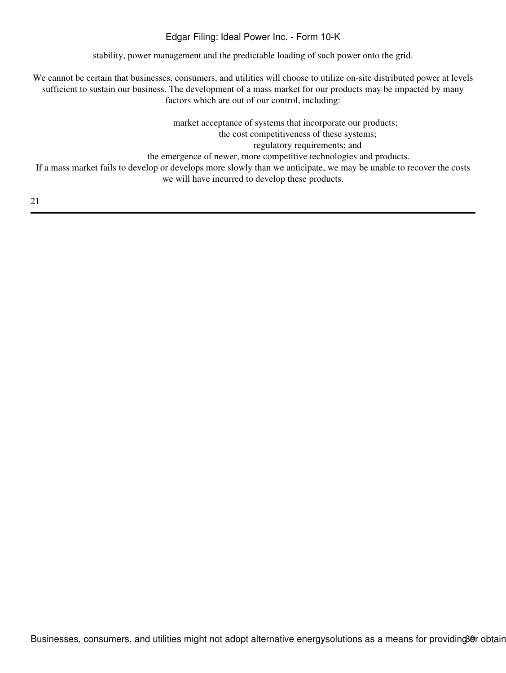stability, power management and the predictable loading of such power onto the grid.

We cannot be certain that businesses, consumers, and utilities will choose to utilize on-site distributed power at levels sufficient to sustain our business. The development of a mass market for our products may be impacted by many factors which are out of our control, including:

market acceptance of systems that incorporate our products; the cost competitiveness of these systems; regulatory requirements; and the emergence of newer, more competitive technologies and products. If a mass market fails to develop or develops more slowly than we anticipate, we may be unable to recover the costs we will have incurred to develop these products.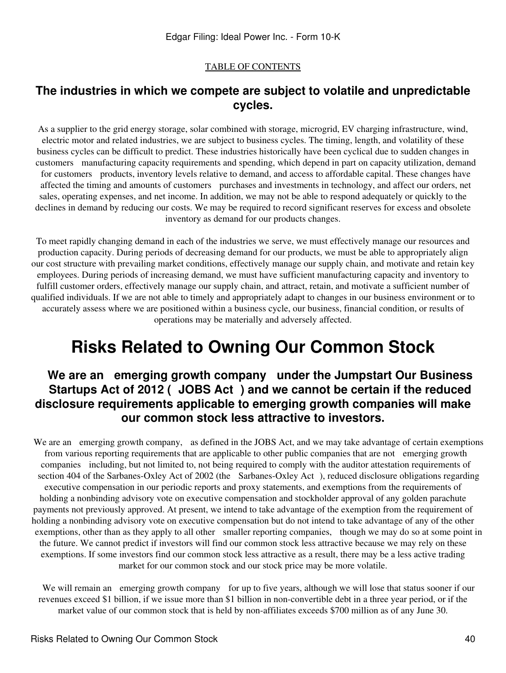## **The industries in which we compete are subject to volatile and unpredictable cycles.**

As a supplier to the grid energy storage, solar combined with storage, microgrid, EV charging infrastructure, wind, electric motor and related industries, we are subject to business cycles. The timing, length, and volatility of these business cycles can be difficult to predict. These industries historically have been cyclical due to sudden changes in customers manufacturing capacity requirements and spending, which depend in part on capacity utilization, demand for customers products, inventory levels relative to demand, and access to affordable capital. These changes have affected the timing and amounts of customers purchases and investments in technology, and affect our orders, net sales, operating expenses, and net income. In addition, we may not be able to respond adequately or quickly to the declines in demand by reducing our costs. We may be required to record significant reserves for excess and obsolete inventory as demand for our products changes.

To meet rapidly changing demand in each of the industries we serve, we must effectively manage our resources and production capacity. During periods of decreasing demand for our products, we must be able to appropriately align our cost structure with prevailing market conditions, effectively manage our supply chain, and motivate and retain key employees. During periods of increasing demand, we must have sufficient manufacturing capacity and inventory to fulfill customer orders, effectively manage our supply chain, and attract, retain, and motivate a sufficient number of qualified individuals. If we are not able to timely and appropriately adapt to changes in our business environment or to accurately assess where we are positioned within a business cycle, our business, financial condition, or results of operations may be materially and adversely affected.

# **Risks Related to Owning Our Common Stock**

## **We are an emerging growth company under the Jumpstart Our Business Startups Act of 2012 (JOBS Act) and we cannot be certain if the reduced disclosure requirements applicable to emerging growth companies will make our common stock less attractive to investors.**

We are an emerging growth company, as defined in the JOBS Act, and we may take advantage of certain exemptions from various reporting requirements that are applicable to other public companies that are not emerging growth companies including, but not limited to, not being required to comply with the auditor attestation requirements of section 404 of the Sarbanes-Oxley Act of 2002 (the Sarbanes-Oxley Act), reduced disclosure obligations regarding executive compensation in our periodic reports and proxy statements, and exemptions from the requirements of holding a nonbinding advisory vote on executive compensation and stockholder approval of any golden parachute payments not previously approved. At present, we intend to take advantage of the exemption from the requirement of holding a nonbinding advisory vote on executive compensation but do not intend to take advantage of any of the other exemptions, other than as they apply to all other smaller reporting companies, though we may do so at some point in the future. We cannot predict if investors will find our common stock less attractive because we may rely on these exemptions. If some investors find our common stock less attractive as a result, there may be a less active trading market for our common stock and our stock price may be more volatile.

We will remain an emerging growth company for up to five years, although we will lose that status sooner if our revenues exceed \$1 billion, if we issue more than \$1 billion in non-convertible debt in a three year period, or if the market value of our common stock that is held by non-affiliates exceeds \$700 million as of any June 30.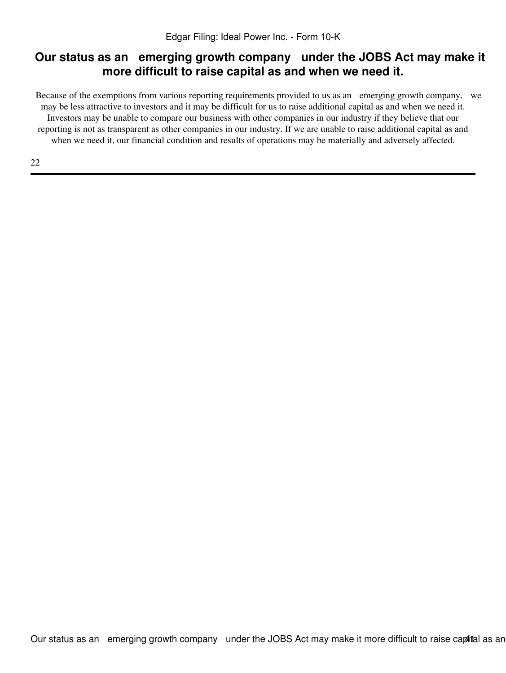## **Our status as an emerging growth company under the JOBS Act may make it more difficult to raise capital as and when we need it.**

Because of the exemptions from various reporting requirements provided to us as an emerging growth company, we may be less attractive to investors and it may be difficult for us to raise additional capital as and when we need it. Investors may be unable to compare our business with other companies in our industry if they believe that our reporting is not as transparent as other companies in our industry. If we are unable to raise additional capital as and when we need it, our financial condition and results of operations may be materially and adversely affected.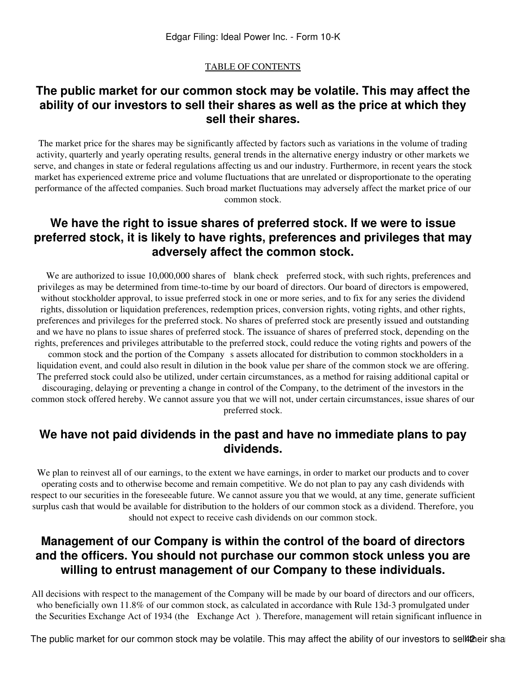## **The public market for our common stock may be volatile. This may affect the ability of our investors to sell their shares as well as the price at which they sell their shares.**

The market price for the shares may be significantly affected by factors such as variations in the volume of trading activity, quarterly and yearly operating results, general trends in the alternative energy industry or other markets we serve, and changes in state or federal regulations affecting us and our industry. Furthermore, in recent years the stock market has experienced extreme price and volume fluctuations that are unrelated or disproportionate to the operating performance of the affected companies. Such broad market fluctuations may adversely affect the market price of our common stock.

## **We have the right to issue shares of preferred stock. If we were to issue preferred stock, it is likely to have rights, preferences and privileges that may adversely affect the common stock.**

We are authorized to issue 10,000,000 shares of blank check preferred stock, with such rights, preferences and privileges as may be determined from time-to-time by our board of directors. Our board of directors is empowered, without stockholder approval, to issue preferred stock in one or more series, and to fix for any series the dividend rights, dissolution or liquidation preferences, redemption prices, conversion rights, voting rights, and other rights, preferences and privileges for the preferred stock. No shares of preferred stock are presently issued and outstanding and we have no plans to issue shares of preferred stock. The issuance of shares of preferred stock, depending on the rights, preferences and privileges attributable to the preferred stock, could reduce the voting rights and powers of the common stock and the portion of the Company s assets allocated for distribution to common stockholders in a liquidation event, and could also result in dilution in the book value per share of the common stock we are offering. The preferred stock could also be utilized, under certain circumstances, as a method for raising additional capital or discouraging, delaying or preventing a change in control of the Company, to the detriment of the investors in the common stock offered hereby. We cannot assure you that we will not, under certain circumstances, issue shares of our preferred stock.

## **We have not paid dividends in the past and have no immediate plans to pay dividends.**

We plan to reinvest all of our earnings, to the extent we have earnings, in order to market our products and to cover operating costs and to otherwise become and remain competitive. We do not plan to pay any cash dividends with respect to our securities in the foreseeable future. We cannot assure you that we would, at any time, generate sufficient surplus cash that would be available for distribution to the holders of our common stock as a dividend. Therefore, you should not expect to receive cash dividends on our common stock.

# **Management of our Company is within the control of the board of directors and the officers. You should not purchase our common stock unless you are willing to entrust management of our Company to these individuals.**

All decisions with respect to the management of the Company will be made by our board of directors and our officers, who beneficially own 11.8% of our common stock, as calculated in accordance with Rule 13d-3 promulgated under the Securities Exchange Act of 1934 (the Exchange Act). Therefore, management will retain significant influence in

The public market for our common stock may be volatile. This may affect the ability of our investors to sell their sha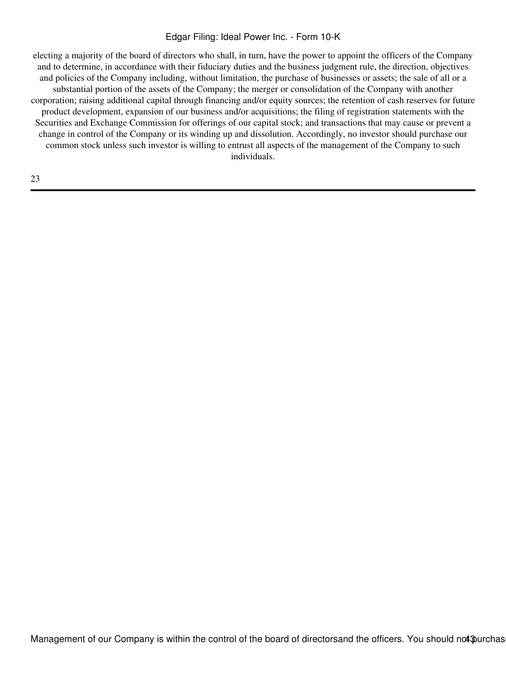electing a majority of the board of directors who shall, in turn, have the power to appoint the officers of the Company and to determine, in accordance with their fiduciary duties and the business judgment rule, the direction, objectives and policies of the Company including, without limitation, the purchase of businesses or assets; the sale of all or a substantial portion of the assets of the Company; the merger or consolidation of the Company with another corporation; raising additional capital through financing and/or equity sources; the retention of cash reserves for future product development, expansion of our business and/or acquisitions; the filing of registration statements with the Securities and Exchange Commission for offerings of our capital stock; and transactions that may cause or prevent a change in control of the Company or its winding up and dissolution. Accordingly, no investor should purchase our common stock unless such investor is willing to entrust all aspects of the management of the Company to such individuals.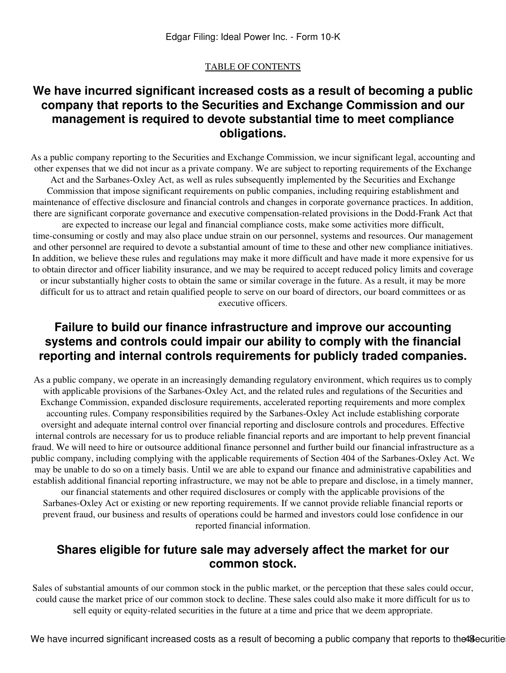## **We have incurred significant increased costs as a result of becoming a public company that reports to the Securities and Exchange Commission and our management is required to devote substantial time to meet compliance obligations.**

As a public company reporting to the Securities and Exchange Commission, we incur significant legal, accounting and other expenses that we did not incur as a private company. We are subject to reporting requirements of the Exchange

Act and the Sarbanes-Oxley Act, as well as rules subsequently implemented by the Securities and Exchange Commission that impose significant requirements on public companies, including requiring establishment and maintenance of effective disclosure and financial controls and changes in corporate governance practices. In addition, there are significant corporate governance and executive compensation-related provisions in the Dodd-Frank Act that

are expected to increase our legal and financial compliance costs, make some activities more difficult, time-consuming or costly and may also place undue strain on our personnel, systems and resources. Our management and other personnel are required to devote a substantial amount of time to these and other new compliance initiatives. In addition, we believe these rules and regulations may make it more difficult and have made it more expensive for us to obtain director and officer liability insurance, and we may be required to accept reduced policy limits and coverage or incur substantially higher costs to obtain the same or similar coverage in the future. As a result, it may be more difficult for us to attract and retain qualified people to serve on our board of directors, our board committees or as executive officers.

## **Failure to build our finance infrastructure and improve our accounting systems and controls could impair our ability to comply with the financial reporting and internal controls requirements for publicly traded companies.**

As a public company, we operate in an increasingly demanding regulatory environment, which requires us to comply with applicable provisions of the Sarbanes-Oxley Act, and the related rules and regulations of the Securities and Exchange Commission, expanded disclosure requirements, accelerated reporting requirements and more complex accounting rules. Company responsibilities required by the Sarbanes-Oxley Act include establishing corporate oversight and adequate internal control over financial reporting and disclosure controls and procedures. Effective internal controls are necessary for us to produce reliable financial reports and are important to help prevent financial fraud. We will need to hire or outsource additional finance personnel and further build our financial infrastructure as a public company, including complying with the applicable requirements of Section 404 of the Sarbanes-Oxley Act. We may be unable to do so on a timely basis. Until we are able to expand our finance and administrative capabilities and establish additional financial reporting infrastructure, we may not be able to prepare and disclose, in a timely manner, our financial statements and other required disclosures or comply with the applicable provisions of the

Sarbanes-Oxley Act or existing or new reporting requirements. If we cannot provide reliable financial reports or prevent fraud, our business and results of operations could be harmed and investors could lose confidence in our reported financial information.

## **Shares eligible for future sale may adversely affect the market for our common stock.**

Sales of substantial amounts of our common stock in the public market, or the perception that these sales could occur, could cause the market price of our common stock to decline. These sales could also make it more difficult for us to sell equity or equity-related securities in the future at a time and price that we deem appropriate.

We have incurred significant increased costs as a result of becoming a public company that reports to the 49 ecuritie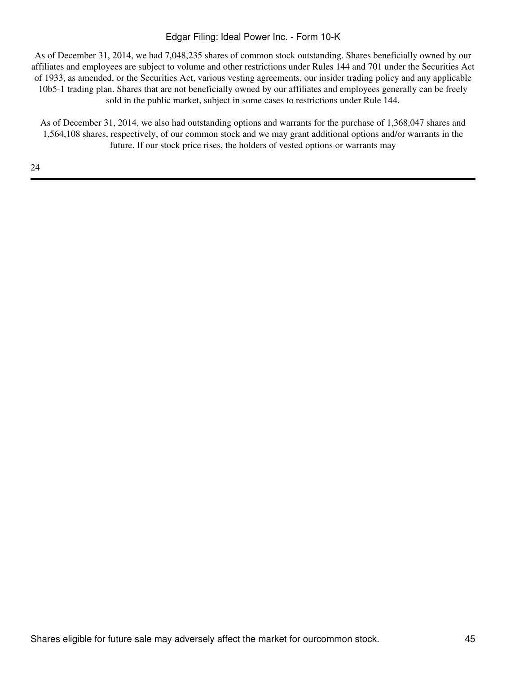As of December 31, 2014, we had 7,048,235 shares of common stock outstanding. Shares beneficially owned by our affiliates and employees are subject to volume and other restrictions under Rules 144 and 701 under the Securities Act of 1933, as amended, or the Securities Act, various vesting agreements, our insider trading policy and any applicable 10b5-1 trading plan. Shares that are not beneficially owned by our affiliates and employees generally can be freely sold in the public market, subject in some cases to restrictions under Rule 144.

As of December 31, 2014, we also had outstanding options and warrants for the purchase of 1,368,047 shares and 1,564,108 shares, respectively, of our common stock and we may grant additional options and/or warrants in the future. If our stock price rises, the holders of vested options or warrants may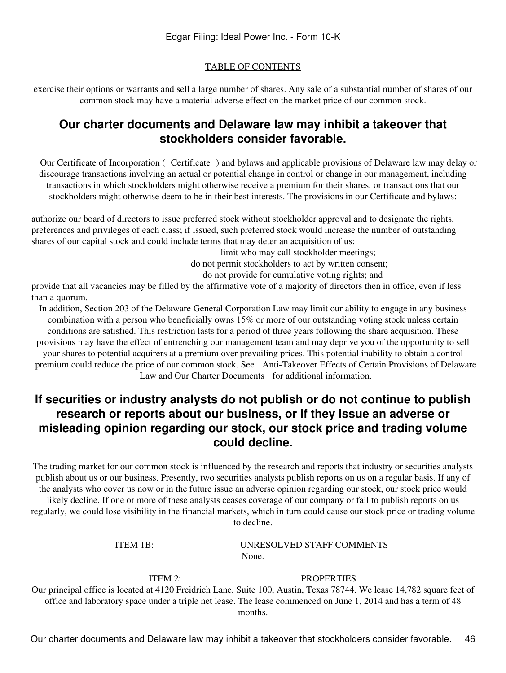exercise their options or warrants and sell a large number of shares. Any sale of a substantial number of shares of our common stock may have a material adverse effect on the market price of our common stock.

## **Our charter documents and Delaware law may inhibit a takeover that stockholders consider favorable.**

Our Certificate of Incorporation (Certificate) and bylaws and applicable provisions of Delaware law may delay or discourage transactions involving an actual or potential change in control or change in our management, including transactions in which stockholders might otherwise receive a premium for their shares, or transactions that our stockholders might otherwise deem to be in their best interests. The provisions in our Certificate and bylaws:

authorize our board of directors to issue preferred stock without stockholder approval and to designate the rights, preferences and privileges of each class; if issued, such preferred stock would increase the number of outstanding shares of our capital stock and could include terms that may deter an acquisition of us;

limit who may call stockholder meetings;

do not permit stockholders to act by written consent;

do not provide for cumulative voting rights; and

provide that all vacancies may be filled by the affirmative vote of a majority of directors then in office, even if less than a quorum.

In addition, Section 203 of the Delaware General Corporation Law may limit our ability to engage in any business combination with a person who beneficially owns 15% or more of our outstanding voting stock unless certain conditions are satisfied. This restriction lasts for a period of three years following the share acquisition. These provisions may have the effect of entrenching our management team and may deprive you of the opportunity to sell your shares to potential acquirers at a premium over prevailing prices. This potential inability to obtain a control premium could reduce the price of our common stock. See Anti-Takeover Effects of Certain Provisions of Delaware Law and Our Charter Documents for additional information.

## **If securities or industry analysts do not publish or do not continue to publish research or reports about our business, or if they issue an adverse or misleading opinion regarding our stock, our stock price and trading volume could decline.**

The trading market for our common stock is influenced by the research and reports that industry or securities analysts publish about us or our business. Presently, two securities analysts publish reports on us on a regular basis. If any of the analysts who cover us now or in the future issue an adverse opinion regarding our stock, our stock price would likely decline. If one or more of these analysts ceases coverage of our company or fail to publish reports on us regularly, we could lose visibility in the financial markets, which in turn could cause our stock price or trading volume to decline.

ITEM 1B: UNRESOLVED STAFF COMMENTS None.

ITEM 2: PROPERTIES

Our principal office is located at 4120 Freidrich Lane, Suite 100, Austin, Texas 78744. We lease 14,782 square feet of office and laboratory space under a triple net lease. The lease commenced on June 1, 2014 and has a term of 48 months.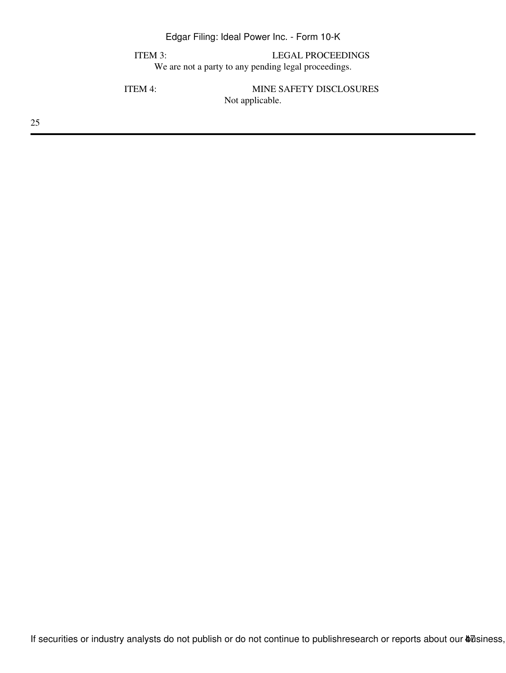ITEM 3: LEGAL PROCEEDINGS We are not a party to any pending legal proceedings.

ITEM 4: MINE SAFETY DISCLOSURES Not applicable.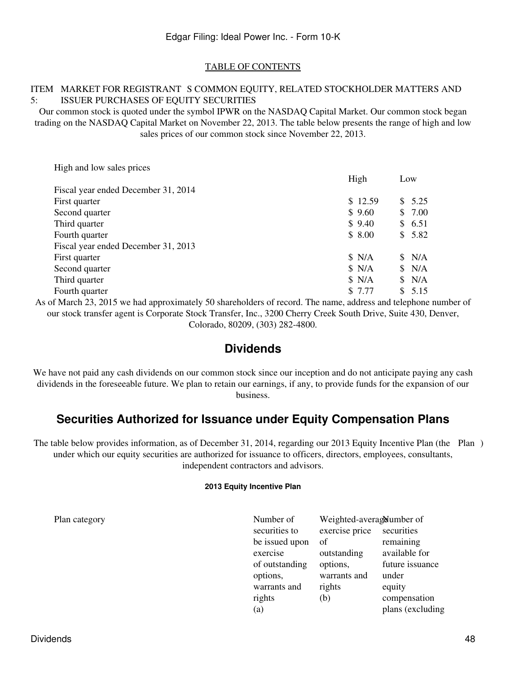#### ITEM MARKET FOR REGISTRANT S COMMON EQUITY, RELATED STOCKHOLDER MATTERS AND 5: ISSUER PURCHASES OF EQUITY SECURITIES

Our common stock is quoted under the symbol IPWR on the NASDAQ Capital Market. Our common stock began trading on the NASDAQ Capital Market on November 22, 2013. The table below presents the range of high and low sales prices of our common stock since November 22, 2013.

| THEIT and TOW bared priced          |         |        |
|-------------------------------------|---------|--------|
|                                     | High    | Low    |
| Fiscal year ended December 31, 2014 |         |        |
| First quarter                       | \$12.59 | \$5.25 |
| Second quarter                      | \$9.60  | \$7.00 |
| Third quarter                       | \$9.40  | \$6.51 |
| Fourth quarter                      | \$8.00  | \$5.82 |
| Fiscal year ended December 31, 2013 |         |        |
| First quarter                       | \$ N/A  | \$ N/A |
| Second quarter                      | \$ N/A  | \$ N/A |
| Third quarter                       | \$ N/A  | \$ N/A |
| Fourth quarter                      | \$7.77  | \$5.15 |
|                                     |         |        |

As of March 23, 2015 we had approximately 50 shareholders of record. The name, address and telephone number of our stock transfer agent is Corporate Stock Transfer, Inc., 3200 Cherry Creek South Drive, Suite 430, Denver, Colorado, 80209, (303) 282-4800.

## **Dividends**

We have not paid any cash dividends on our common stock since our inception and do not anticipate paying any cash dividends in the foreseeable future. We plan to retain our earnings, if any, to provide funds for the expansion of our business.

## **Securities Authorized for Issuance under Equity Compensation Plans**

The table below provides information, as of December 31, 2014, regarding our 2013 Equity Incentive Plan (the Plan) under which our equity securities are authorized for issuance to officers, directors, employees, consultants, independent contractors and advisors.

### **2013 Equity Incentive Plan**

| Plan category | Number of<br>securities to<br>be issued upon<br>exercise<br>of outstanding<br>options, | Weighted-averagedumber of<br>exercise price<br>of<br>outstanding<br>options,<br>warrants and | securities<br>remaining<br>available for<br>future issuance<br>under |
|---------------|----------------------------------------------------------------------------------------|----------------------------------------------------------------------------------------------|----------------------------------------------------------------------|
|               |                                                                                        |                                                                                              |                                                                      |
|               | warrants and                                                                           | rights                                                                                       | equity                                                               |
|               | rights                                                                                 | (b)                                                                                          | compensation                                                         |
|               | (a)                                                                                    |                                                                                              | plans (excluding                                                     |

High and low sales prices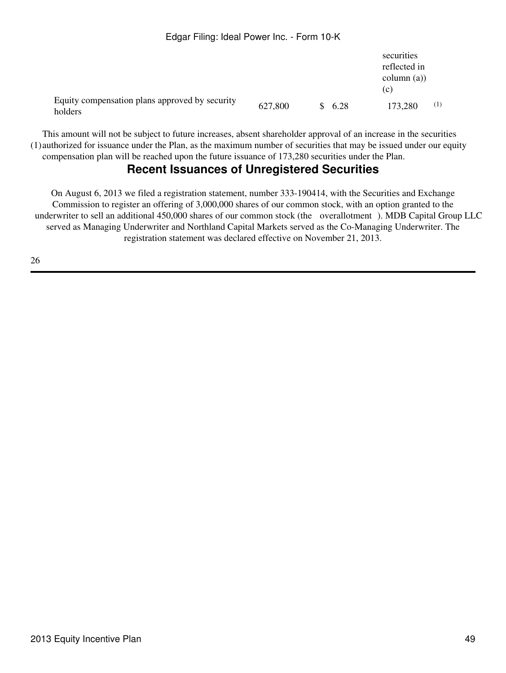|  | Edgar Filing: Ideal Power Inc. - Form 10-K |
|--|--------------------------------------------|
|--|--------------------------------------------|

|                                                           |         |        | securities<br>reflected in<br>column (a))<br>(c) |
|-----------------------------------------------------------|---------|--------|--------------------------------------------------|
| Equity compensation plans approved by security<br>holders | 627,800 | \$6.28 | (1)<br>173,280                                   |

(1) authorized for issuance under the Plan, as the maximum number of securities that may be issued under our equity This amount will not be subject to future increases, absent shareholder approval of an increase in the securities compensation plan will be reached upon the future issuance of 173,280 securities under the Plan.

## **Recent Issuances of Unregistered Securities**

On August 6, 2013 we filed a registration statement, number 333-190414, with the Securities and Exchange Commission to register an offering of 3,000,000 shares of our common stock, with an option granted to the underwriter to sell an additional 450,000 shares of our common stock (the overallotment). MDB Capital Group LLC served as Managing Underwriter and Northland Capital Markets served as the Co-Managing Underwriter. The registration statement was declared effective on November 21, 2013.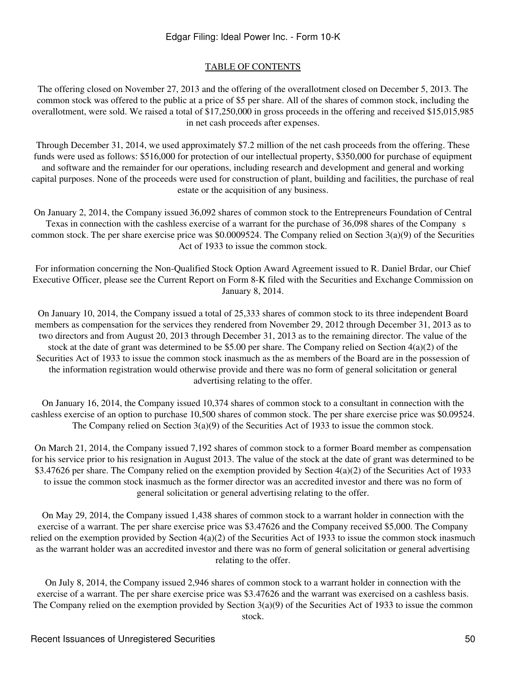### [TABLE OF CONTENTS](#page-3-0)

The offering closed on November 27, 2013 and the offering of the overallotment closed on December 5, 2013. The common stock was offered to the public at a price of \$5 per share. All of the shares of common stock, including the overallotment, were sold. We raised a total of \$17,250,000 in gross proceeds in the offering and received \$15,015,985 in net cash proceeds after expenses.

Through December 31, 2014, we used approximately \$7.2 million of the net cash proceeds from the offering. These funds were used as follows: \$516,000 for protection of our intellectual property, \$350,000 for purchase of equipment and software and the remainder for our operations, including research and development and general and working capital purposes. None of the proceeds were used for construction of plant, building and facilities, the purchase of real estate or the acquisition of any business.

On January 2, 2014, the Company issued 36,092 shares of common stock to the Entrepreneurs Foundation of Central Texas in connection with the cashless exercise of a warrant for the purchase of 36,098 shares of the Companys common stock. The per share exercise price was  $$0.0009524$ . The Company relied on Section  $3(a)(9)$  of the Securities Act of 1933 to issue the common stock.

For information concerning the Non-Qualified Stock Option Award Agreement issued to R. Daniel Brdar, our Chief Executive Officer, please see the Current Report on Form 8-K filed with the Securities and Exchange Commission on January 8, 2014.

On January 10, 2014, the Company issued a total of 25,333 shares of common stock to its three independent Board members as compensation for the services they rendered from November 29, 2012 through December 31, 2013 as to two directors and from August 20, 2013 through December 31, 2013 as to the remaining director. The value of the stock at the date of grant was determined to be \$5.00 per share. The Company relied on Section 4(a)(2) of the Securities Act of 1933 to issue the common stock inasmuch as the as members of the Board are in the possession of the information registration would otherwise provide and there was no form of general solicitation or general advertising relating to the offer.

On January 16, 2014, the Company issued 10,374 shares of common stock to a consultant in connection with the cashless exercise of an option to purchase 10,500 shares of common stock. The per share exercise price was \$0.09524. The Company relied on Section  $3(a)(9)$  of the Securities Act of 1933 to issue the common stock.

On March 21, 2014, the Company issued 7,192 shares of common stock to a former Board member as compensation for his service prior to his resignation in August 2013. The value of the stock at the date of grant was determined to be \$3.47626 per share. The Company relied on the exemption provided by Section 4(a)(2) of the Securities Act of 1933 to issue the common stock inasmuch as the former director was an accredited investor and there was no form of general solicitation or general advertising relating to the offer.

On May 29, 2014, the Company issued 1,438 shares of common stock to a warrant holder in connection with the exercise of a warrant. The per share exercise price was \$3.47626 and the Company received \$5,000. The Company relied on the exemption provided by Section 4(a)(2) of the Securities Act of 1933 to issue the common stock inasmuch as the warrant holder was an accredited investor and there was no form of general solicitation or general advertising relating to the offer.

On July 8, 2014, the Company issued 2,946 shares of common stock to a warrant holder in connection with the exercise of a warrant. The per share exercise price was \$3.47626 and the warrant was exercised on a cashless basis. The Company relied on the exemption provided by Section 3(a)(9) of the Securities Act of 1933 to issue the common stock.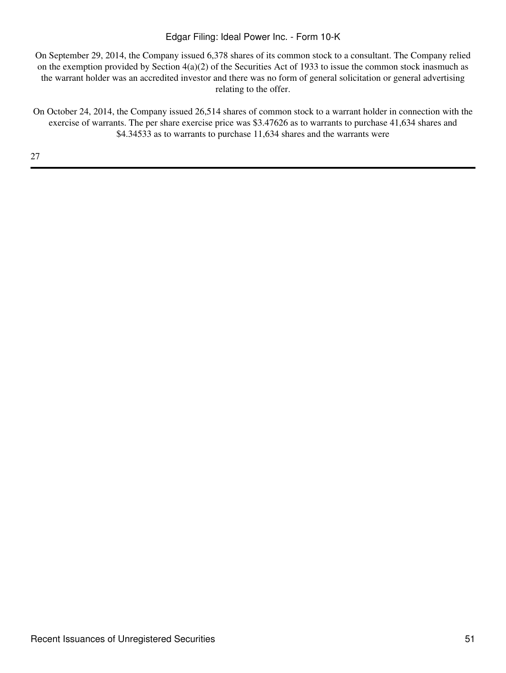On September 29, 2014, the Company issued 6,378 shares of its common stock to a consultant. The Company relied on the exemption provided by Section 4(a)(2) of the Securities Act of 1933 to issue the common stock inasmuch as the warrant holder was an accredited investor and there was no form of general solicitation or general advertising relating to the offer.

On October 24, 2014, the Company issued 26,514 shares of common stock to a warrant holder in connection with the exercise of warrants. The per share exercise price was \$3.47626 as to warrants to purchase 41,634 shares and \$4.34533 as to warrants to purchase 11,634 shares and the warrants were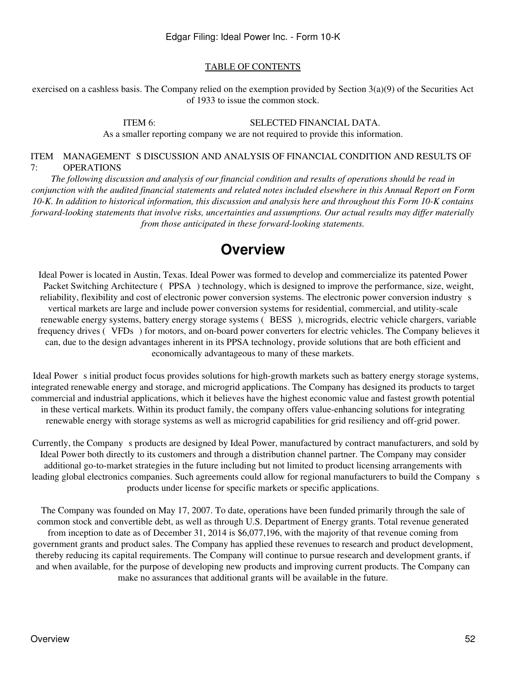exercised on a cashless basis. The Company relied on the exemption provided by Section  $3(a)(9)$  of the Securities Act of 1933 to issue the common stock.

> ITEM 6: SELECTED FINANCIAL DATA. As a smaller reporting company we are not required to provide this information.

#### ITEM MANAGEMENT S DISCUSSION AND ANALYSIS OF FINANCIAL CONDITION AND RESULTS OF 7: OPERATIONS

*The following discussion and analysis of our financial condition and results of operations should be read in conjunction with the audited financial statements and related notes included elsewhere in this Annual Report on Form 10-K. In addition to historical information, this discussion and analysis here and throughout this Form 10-K contains forward-looking statements that involve risks, uncertainties and assumptions. Our actual results may differ materially from those anticipated in these forward-looking statements.*

# **Overview**

Ideal Power is located in Austin, Texas. Ideal Power was formed to develop and commercialize its patented Power Packet Switching Architecture (PPSA) technology, which is designed to improve the performance, size, weight, reliability, flexibility and cost of electronic power conversion systems. The electronic power conversion industry s vertical markets are large and include power conversion systems for residential, commercial, and utility-scale renewable energy systems, battery energy storage systems (BESS), microgrids, electric vehicle chargers, variable frequency drives (VFDs) for motors, and on-board power converters for electric vehicles. The Company believes it can, due to the design advantages inherent in its PPSA technology, provide solutions that are both efficient and economically advantageous to many of these markets.

Ideal Power s initial product focus provides solutions for high-growth markets such as battery energy storage systems, integrated renewable energy and storage, and microgrid applications. The Company has designed its products to target commercial and industrial applications, which it believes have the highest economic value and fastest growth potential in these vertical markets. Within its product family, the company offers value-enhancing solutions for integrating renewable energy with storage systems as well as microgrid capabilities for grid resiliency and off-grid power.

Currently, the Company s products are designed by Ideal Power, manufactured by contract manufacturers, and sold by Ideal Power both directly to its customers and through a distribution channel partner. The Company may consider additional go-to-market strategies in the future including but not limited to product licensing arrangements with leading global electronics companies. Such agreements could allow for regional manufacturers to build the Company s products under license for specific markets or specific applications.

The Company was founded on May 17, 2007. To date, operations have been funded primarily through the sale of common stock and convertible debt, as well as through U.S. Department of Energy grants. Total revenue generated from inception to date as of December 31, 2014 is \$6,077,196, with the majority of that revenue coming from government grants and product sales. The Company has applied these revenues to research and product development, thereby reducing its capital requirements. The Company will continue to pursue research and development grants, if and when available, for the purpose of developing new products and improving current products. The Company can make no assurances that additional grants will be available in the future.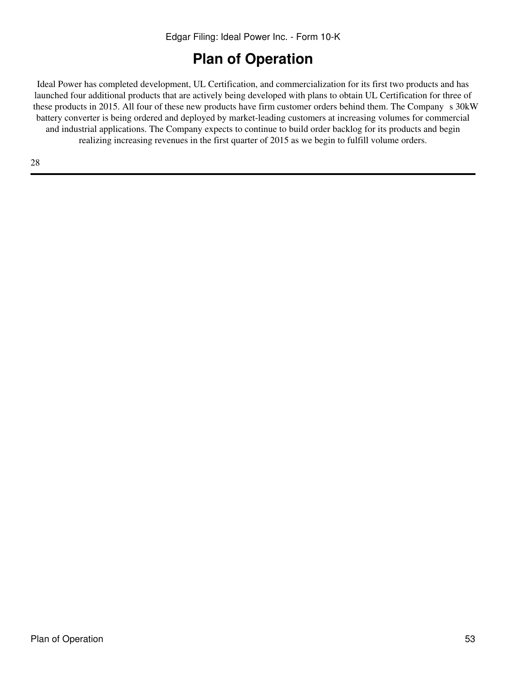# **Plan of Operation**

Ideal Power has completed development, UL Certification, and commercialization for its first two products and has launched four additional products that are actively being developed with plans to obtain UL Certification for three of these products in 2015. All four of these new products have firm customer orders behind them. The Company s 30kW battery converter is being ordered and deployed by market-leading customers at increasing volumes for commercial and industrial applications. The Company expects to continue to build order backlog for its products and begin realizing increasing revenues in the first quarter of 2015 as we begin to fulfill volume orders.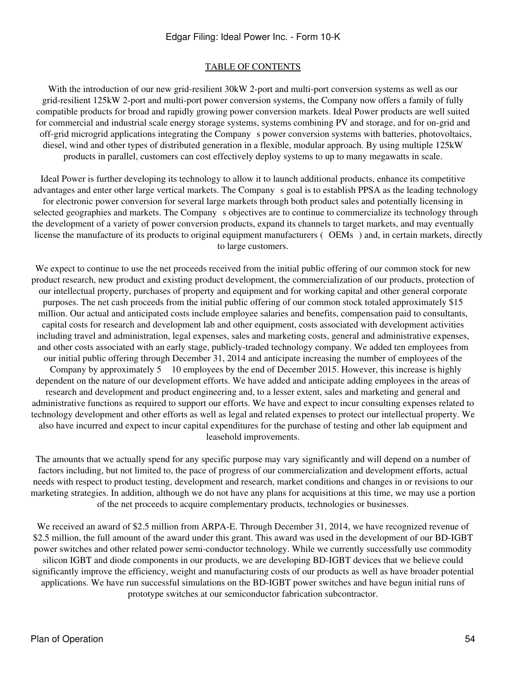With the introduction of our new grid-resilient 30kW 2-port and multi-port conversion systems as well as our grid-resilient 125kW 2-port and multi-port power conversion systems, the Company now offers a family of fully compatible products for broad and rapidly growing power conversion markets. Ideal Power products are well suited for commercial and industrial scale energy storage systems, systems combining PV and storage, and for on-grid and off-grid microgrid applications integrating the Companys power conversion systems with batteries, photovoltaics, diesel, wind and other types of distributed generation in a flexible, modular approach. By using multiple 125kW products in parallel, customers can cost effectively deploy systems to up to many megawatts in scale.

Ideal Power is further developing its technology to allow it to launch additional products, enhance its competitive advantages and enter other large vertical markets. The Company s goal is to establish PPSA as the leading technology for electronic power conversion for several large markets through both product sales and potentially licensing in selected geographies and markets. The Company s objectives are to continue to commercialize its technology through the development of a variety of power conversion products, expand its channels to target markets, and may eventually license the manufacture of its products to original equipment manufacturers (OEMs) and, in certain markets, directly to large customers.

We expect to continue to use the net proceeds received from the initial public offering of our common stock for new product research, new product and existing product development, the commercialization of our products, protection of our intellectual property, purchases of property and equipment and for working capital and other general corporate purposes. The net cash proceeds from the initial public offering of our common stock totaled approximately \$15 million. Our actual and anticipated costs include employee salaries and benefits, compensation paid to consultants, capital costs for research and development lab and other equipment, costs associated with development activities including travel and administration, legal expenses, sales and marketing costs, general and administrative expenses, and other costs associated with an early stage, publicly-traded technology company. We added ten employees from our initial public offering through December 31, 2014 and anticipate increasing the number of employees of the Company by approximately 5 10 employees by the end of December 2015. However, this increase is highly dependent on the nature of our development efforts. We have added and anticipate adding employees in the areas of research and development and product engineering and, to a lesser extent, sales and marketing and general and administrative functions as required to support our efforts. We have and expect to incur consulting expenses related to technology development and other efforts as well as legal and related expenses to protect our intellectual property. We also have incurred and expect to incur capital expenditures for the purchase of testing and other lab equipment and leasehold improvements.

The amounts that we actually spend for any specific purpose may vary significantly and will depend on a number of factors including, but not limited to, the pace of progress of our commercialization and development efforts, actual needs with respect to product testing, development and research, market conditions and changes in or revisions to our marketing strategies. In addition, although we do not have any plans for acquisitions at this time, we may use a portion of the net proceeds to acquire complementary products, technologies or businesses.

We received an award of \$2.5 million from ARPA-E. Through December 31, 2014, we have recognized revenue of \$2.5 million, the full amount of the award under this grant. This award was used in the development of our BD-IGBT power switches and other related power semi-conductor technology. While we currently successfully use commodity silicon IGBT and diode components in our products, we are developing BD-IGBT devices that we believe could significantly improve the efficiency, weight and manufacturing costs of our products as well as have broader potential applications. We have run successful simulations on the BD-IGBT power switches and have begun initial runs of prototype switches at our semiconductor fabrication subcontractor.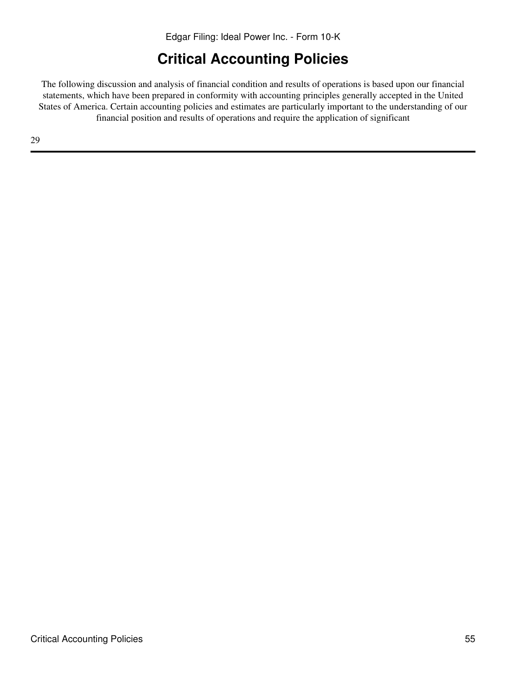# **Critical Accounting Policies**

The following discussion and analysis of financial condition and results of operations is based upon our financial statements, which have been prepared in conformity with accounting principles generally accepted in the United States of America. Certain accounting policies and estimates are particularly important to the understanding of our financial position and results of operations and require the application of significant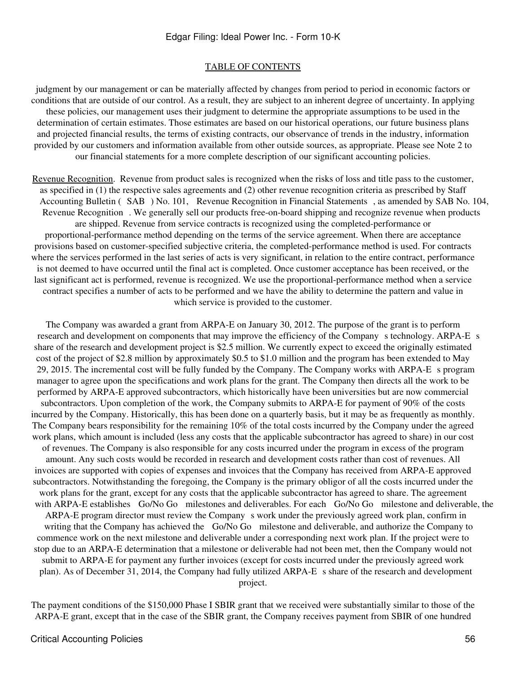judgment by our management or can be materially affected by changes from period to period in economic factors or conditions that are outside of our control. As a result, they are subject to an inherent degree of uncertainty. In applying these policies, our management uses their judgment to determine the appropriate assumptions to be used in the determination of certain estimates. Those estimates are based on our historical operations, our future business plans and projected financial results, the terms of existing contracts, our observance of trends in the industry, information provided by our customers and information available from other outside sources, as appropriate. Please see Note 2 to our financial statements for a more complete description of our significant accounting policies.

Revenue Recognition. Revenue from product sales is recognized when the risks of loss and title pass to the customer, as specified in (1) the respective sales agreements and (2) other revenue recognition criteria as prescribed by Staff Accounting Bulletin (SAB) No. 101, Revenue Recognition in Financial Statements, as amended by SAB No. 104, Revenue Recognition. We generally sell our products free-on-board shipping and recognize revenue when products are shipped. Revenue from service contracts is recognized using the completed-performance or proportional-performance method depending on the terms of the service agreement. When there are acceptance provisions based on customer-specified subjective criteria, the completed-performance method is used. For contracts where the services performed in the last series of acts is very significant, in relation to the entire contract, performance is not deemed to have occurred until the final act is completed. Once customer acceptance has been received, or the last significant act is performed, revenue is recognized. We use the proportional-performance method when a service contract specifies a number of acts to be performed and we have the ability to determine the pattern and value in which service is provided to the customer.

The Company was awarded a grant from ARPA-E on January 30, 2012. The purpose of the grant is to perform research and development on components that may improve the efficiency of the Company s technology. ARPA-E s share of the research and development project is \$2.5 million. We currently expect to exceed the originally estimated cost of the project of \$2.8 million by approximately \$0.5 to \$1.0 million and the program has been extended to May 29, 2015. The incremental cost will be fully funded by the Company. The Company works with ARPA-E s program manager to agree upon the specifications and work plans for the grant. The Company then directs all the work to be performed by ARPA-E approved subcontractors, which historically have been universities but are now commercial subcontractors. Upon completion of the work, the Company submits to ARPA-E for payment of 90% of the costs incurred by the Company. Historically, this has been done on a quarterly basis, but it may be as frequently as monthly. The Company bears responsibility for the remaining 10% of the total costs incurred by the Company under the agreed work plans, which amount is included (less any costs that the applicable subcontractor has agreed to share) in our cost of revenues. The Company is also responsible for any costs incurred under the program in excess of the program amount. Any such costs would be recorded in research and development costs rather than cost of revenues. All invoices are supported with copies of expenses and invoices that the Company has received from ARPA-E approved subcontractors. Notwithstanding the foregoing, the Company is the primary obligor of all the costs incurred under the work plans for the grant, except for any costs that the applicable subcontractor has agreed to share. The agreement with ARPA-E establishes Go/No Go milestones and deliverables. For each Go/No Go milestone and deliverable, the ARPA-E program director must review the Company s work under the previously agreed work plan, confirm in writing that the Company has achieved the Go/No Go milestone and deliverable, and authorize the Company to commence work on the next milestone and deliverable under a corresponding next work plan. If the project were to stop due to an ARPA-E determination that a milestone or deliverable had not been met, then the Company would not submit to ARPA-E for payment any further invoices (except for costs incurred under the previously agreed work plan). As of December 31, 2014, the Company had fully utilized ARPA-Es share of the research and development project.

The payment conditions of the \$150,000 Phase I SBIR grant that we received were substantially similar to those of the ARPA-E grant, except that in the case of the SBIR grant, the Company receives payment from SBIR of one hundred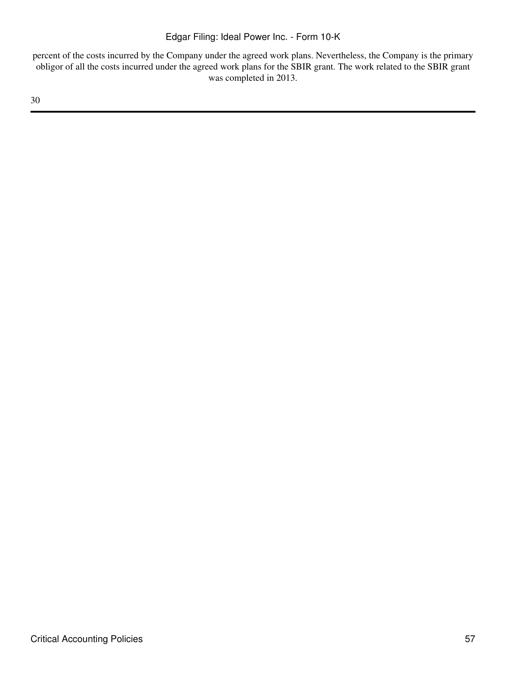percent of the costs incurred by the Company under the agreed work plans. Nevertheless, the Company is the primary obligor of all the costs incurred under the agreed work plans for the SBIR grant. The work related to the SBIR grant was completed in 2013.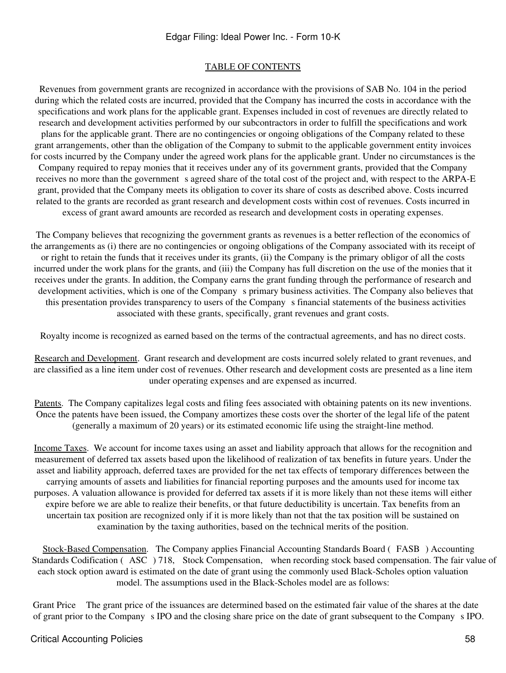Revenues from government grants are recognized in accordance with the provisions of SAB No. 104 in the period during which the related costs are incurred, provided that the Company has incurred the costs in accordance with the specifications and work plans for the applicable grant. Expenses included in cost of revenues are directly related to research and development activities performed by our subcontractors in order to fulfill the specifications and work plans for the applicable grant. There are no contingencies or ongoing obligations of the Company related to these grant arrangements, other than the obligation of the Company to submit to the applicable government entity invoices for costs incurred by the Company under the agreed work plans for the applicable grant. Under no circumstances is the Company required to repay monies that it receives under any of its government grants, provided that the Company receives no more than the government s agreed share of the total cost of the project and, with respect to the ARPA-E grant, provided that the Company meets its obligation to cover its share of costs as described above. Costs incurred related to the grants are recorded as grant research and development costs within cost of revenues. Costs incurred in excess of grant award amounts are recorded as research and development costs in operating expenses.

The Company believes that recognizing the government grants as revenues is a better reflection of the economics of the arrangements as (i) there are no contingencies or ongoing obligations of the Company associated with its receipt of or right to retain the funds that it receives under its grants, (ii) the Company is the primary obligor of all the costs incurred under the work plans for the grants, and (iii) the Company has full discretion on the use of the monies that it receives under the grants. In addition, the Company earns the grant funding through the performance of research and development activities, which is one of the Company s primary business activities. The Company also believes that this presentation provides transparency to users of the Companys financial statements of the business activities associated with these grants, specifically, grant revenues and grant costs.

Royalty income is recognized as earned based on the terms of the contractual agreements, and has no direct costs.

Research and Development. Grant research and development are costs incurred solely related to grant revenues, and are classified as a line item under cost of revenues. Other research and development costs are presented as a line item under operating expenses and are expensed as incurred.

Patents. The Company capitalizes legal costs and filing fees associated with obtaining patents on its new inventions. Once the patents have been issued, the Company amortizes these costs over the shorter of the legal life of the patent (generally a maximum of 20 years) or its estimated economic life using the straight-line method.

Income Taxes. We account for income taxes using an asset and liability approach that allows for the recognition and measurement of deferred tax assets based upon the likelihood of realization of tax benefits in future years. Under the asset and liability approach, deferred taxes are provided for the net tax effects of temporary differences between the carrying amounts of assets and liabilities for financial reporting purposes and the amounts used for income tax purposes. A valuation allowance is provided for deferred tax assets if it is more likely than not these items will either expire before we are able to realize their benefits, or that future deductibility is uncertain. Tax benefits from an uncertain tax position are recognized only if it is more likely than not that the tax position will be sustained on examination by the taxing authorities, based on the technical merits of the position.

Stock-Based Compensation. The Company applies Financial Accounting Standards Board (FASB) Accounting Standards Codification (ASC) 718, Stock Compensation, when recording stock based compensation. The fair value of each stock option award is estimated on the date of grant using the commonly used Black-Scholes option valuation model. The assumptions used in the Black-Scholes model are as follows:

Grant Price The grant price of the issuances are determined based on the estimated fair value of the shares at the date of grant prior to the Companys IPO and the closing share price on the date of grant subsequent to the Companys IPO.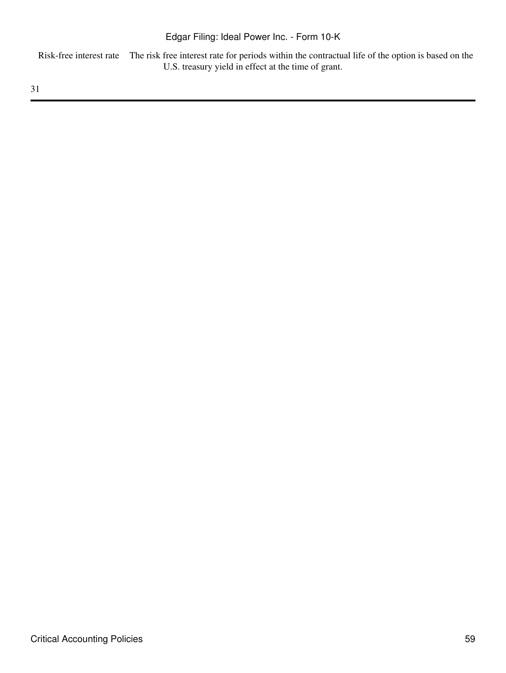Risk-free interest rate The risk free interest rate for periods within the contractual life of the option is based on the U.S. treasury yield in effect at the time of grant.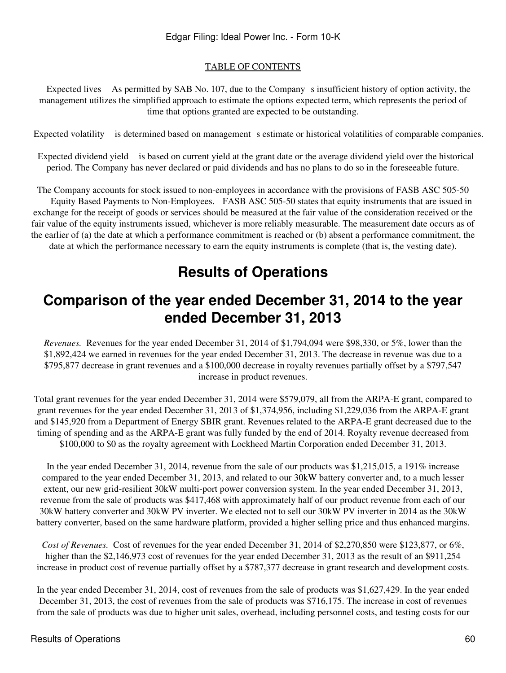Expected lives As permitted by SAB No. 107, due to the Companys insufficient history of option activity, the management utilizes the simplified approach to estimate the options expected term, which represents the period of time that options granted are expected to be outstanding.

Expected volatility is determined based on management s estimate or historical volatilities of comparable companies.

Expected dividend yield is based on current yield at the grant date or the average dividend yield over the historical period. The Company has never declared or paid dividends and has no plans to do so in the foreseeable future.

The Company accounts for stock issued to non-employees in accordance with the provisions of FASB ASC 505-50 Equity Based Payments to Non-Employees. FASB ASC 505-50 states that equity instruments that are issued in exchange for the receipt of goods or services should be measured at the fair value of the consideration received or the fair value of the equity instruments issued, whichever is more reliably measurable. The measurement date occurs as of the earlier of (a) the date at which a performance commitment is reached or (b) absent a performance commitment, the date at which the performance necessary to earn the equity instruments is complete (that is, the vesting date).

# **Results of Operations**

# **Comparison of the year ended December 31, 2014 to the year ended December 31, 2013**

*Revenues.* Revenues for the year ended December 31, 2014 of \$1,794,094 were \$98,330, or 5%, lower than the \$1,892,424 we earned in revenues for the year ended December 31, 2013. The decrease in revenue was due to a \$795,877 decrease in grant revenues and a \$100,000 decrease in royalty revenues partially offset by a \$797,547 increase in product revenues.

Total grant revenues for the year ended December 31, 2014 were \$579,079, all from the ARPA-E grant, compared to grant revenues for the year ended December 31, 2013 of \$1,374,956, including \$1,229,036 from the ARPA-E grant and \$145,920 from a Department of Energy SBIR grant. Revenues related to the ARPA-E grant decreased due to the timing of spending and as the ARPA-E grant was fully funded by the end of 2014. Royalty revenue decreased from \$100,000 to \$0 as the royalty agreement with Lockheed Martin Corporation ended December 31, 2013.

In the year ended December 31, 2014, revenue from the sale of our products was \$1,215,015, a 191% increase compared to the year ended December 31, 2013, and related to our 30kW battery converter and, to a much lesser extent, our new grid-resilient 30kW multi-port power conversion system. In the year ended December 31, 2013, revenue from the sale of products was \$417,468 with approximately half of our product revenue from each of our 30kW battery converter and 30kW PV inverter. We elected not to sell our 30kW PV inverter in 2014 as the 30kW battery converter, based on the same hardware platform, provided a higher selling price and thus enhanced margins.

*Cost of Revenues.* Cost of revenues for the year ended December 31, 2014 of \$2,270,850 were \$123,877, or 6%, higher than the \$2,146,973 cost of revenues for the year ended December 31, 2013 as the result of an \$911,254 increase in product cost of revenue partially offset by a \$787,377 decrease in grant research and development costs.

In the year ended December 31, 2014, cost of revenues from the sale of products was \$1,627,429. In the year ended December 31, 2013, the cost of revenues from the sale of products was \$716,175. The increase in cost of revenues from the sale of products was due to higher unit sales, overhead, including personnel costs, and testing costs for our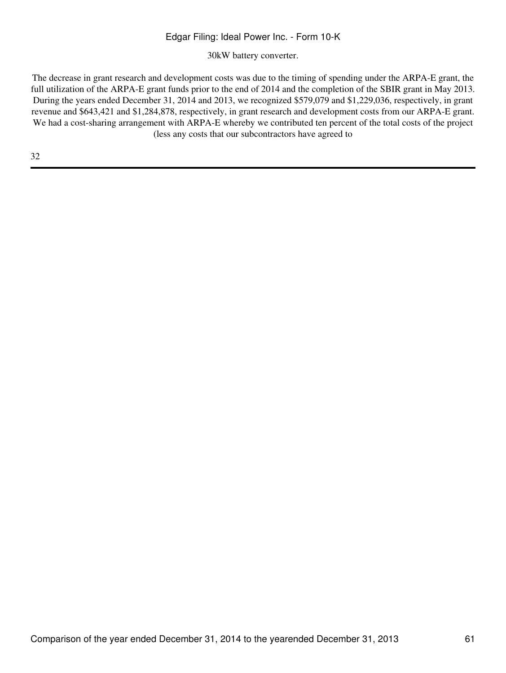30kW battery converter.

The decrease in grant research and development costs was due to the timing of spending under the ARPA-E grant, the full utilization of the ARPA-E grant funds prior to the end of 2014 and the completion of the SBIR grant in May 2013. During the years ended December 31, 2014 and 2013, we recognized \$579,079 and \$1,229,036, respectively, in grant revenue and \$643,421 and \$1,284,878, respectively, in grant research and development costs from our ARPA-E grant. We had a cost-sharing arrangement with ARPA-E whereby we contributed ten percent of the total costs of the project (less any costs that our subcontractors have agreed to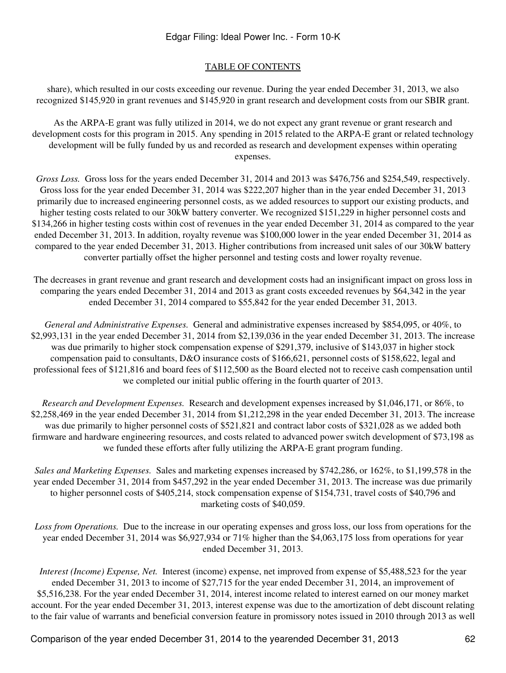### [TABLE OF CONTENTS](#page-3-0)

share), which resulted in our costs exceeding our revenue. During the year ended December 31, 2013, we also recognized \$145,920 in grant revenues and \$145,920 in grant research and development costs from our SBIR grant.

As the ARPA-E grant was fully utilized in 2014, we do not expect any grant revenue or grant research and development costs for this program in 2015. Any spending in 2015 related to the ARPA-E grant or related technology development will be fully funded by us and recorded as research and development expenses within operating expenses.

*Gross Loss.* Gross loss for the years ended December 31, 2014 and 2013 was \$476,756 and \$254,549, respectively. Gross loss for the year ended December 31, 2014 was \$222,207 higher than in the year ended December 31, 2013 primarily due to increased engineering personnel costs, as we added resources to support our existing products, and higher testing costs related to our 30kW battery converter. We recognized \$151,229 in higher personnel costs and \$134,266 in higher testing costs within cost of revenues in the year ended December 31, 2014 as compared to the year ended December 31, 2013. In addition, royalty revenue was \$100,000 lower in the year ended December 31, 2014 as compared to the year ended December 31, 2013. Higher contributions from increased unit sales of our 30kW battery converter partially offset the higher personnel and testing costs and lower royalty revenue.

The decreases in grant revenue and grant research and development costs had an insignificant impact on gross loss in comparing the years ended December 31, 2014 and 2013 as grant costs exceeded revenues by \$64,342 in the year ended December 31, 2014 compared to \$55,842 for the year ended December 31, 2013.

*General and Administrative Expenses.* General and administrative expenses increased by \$854,095, or 40%, to \$2,993,131 in the year ended December 31, 2014 from \$2,139,036 in the year ended December 31, 2013. The increase was due primarily to higher stock compensation expense of \$291,379, inclusive of \$143,037 in higher stock compensation paid to consultants, D&O insurance costs of \$166,621, personnel costs of \$158,622, legal and professional fees of \$121,816 and board fees of \$112,500 as the Board elected not to receive cash compensation until we completed our initial public offering in the fourth quarter of 2013.

*Research and Development Expenses.* Research and development expenses increased by \$1,046,171, or 86%, to \$2,258,469 in the year ended December 31, 2014 from \$1,212,298 in the year ended December 31, 2013. The increase was due primarily to higher personnel costs of \$521,821 and contract labor costs of \$321,028 as we added both firmware and hardware engineering resources, and costs related to advanced power switch development of \$73,198 as we funded these efforts after fully utilizing the ARPA-E grant program funding.

*Sales and Marketing Expenses.* Sales and marketing expenses increased by \$742,286, or 162%, to \$1,199,578 in the year ended December 31, 2014 from \$457,292 in the year ended December 31, 2013. The increase was due primarily to higher personnel costs of \$405,214, stock compensation expense of \$154,731, travel costs of \$40,796 and marketing costs of \$40,059.

*Loss from Operations.* Due to the increase in our operating expenses and gross loss, our loss from operations for the year ended December 31, 2014 was \$6,927,934 or 71% higher than the \$4,063,175 loss from operations for year ended December 31, 2013.

*Interest (Income) Expense, Net.* Interest (income) expense, net improved from expense of \$5,488,523 for the year ended December 31, 2013 to income of \$27,715 for the year ended December 31, 2014, an improvement of \$5,516,238. For the year ended December 31, 2014, interest income related to interest earned on our money market account. For the year ended December 31, 2013, interest expense was due to the amortization of debt discount relating to the fair value of warrants and beneficial conversion feature in promissory notes issued in 2010 through 2013 as well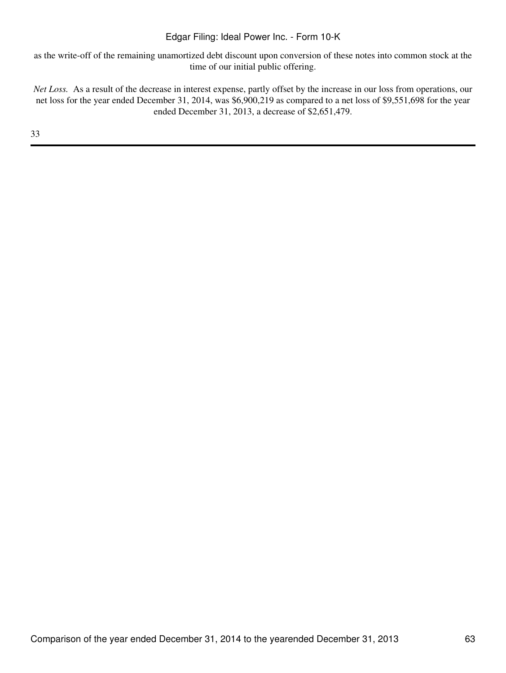as the write-off of the remaining unamortized debt discount upon conversion of these notes into common stock at the time of our initial public offering.

*Net Loss.* As a result of the decrease in interest expense, partly offset by the increase in our loss from operations, our net loss for the year ended December 31, 2014, was \$6,900,219 as compared to a net loss of \$9,551,698 for the year ended December 31, 2013, a decrease of \$2,651,479.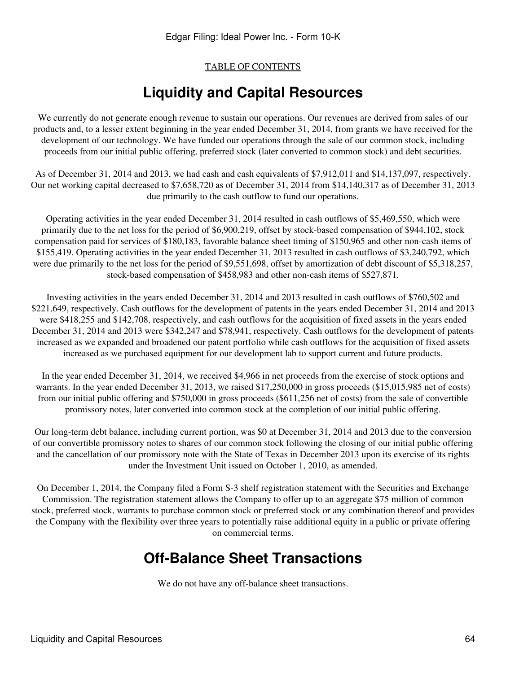# **Liquidity and Capital Resources**

We currently do not generate enough revenue to sustain our operations. Our revenues are derived from sales of our products and, to a lesser extent beginning in the year ended December 31, 2014, from grants we have received for the development of our technology. We have funded our operations through the sale of our common stock, including proceeds from our initial public offering, preferred stock (later converted to common stock) and debt securities.

As of December 31, 2014 and 2013, we had cash and cash equivalents of \$7,912,011 and \$14,137,097, respectively. Our net working capital decreased to \$7,658,720 as of December 31, 2014 from \$14,140,317 as of December 31, 2013 due primarily to the cash outflow to fund our operations.

Operating activities in the year ended December 31, 2014 resulted in cash outflows of \$5,469,550, which were primarily due to the net loss for the period of \$6,900,219, offset by stock-based compensation of \$944,102, stock compensation paid for services of \$180,183, favorable balance sheet timing of \$150,965 and other non-cash items of \$155,419. Operating activities in the year ended December 31, 2013 resulted in cash outflows of \$3,240,792, which were due primarily to the net loss for the period of \$9,551,698, offset by amortization of debt discount of \$5,318,257, stock-based compensation of \$458,983 and other non-cash items of \$527,871.

Investing activities in the years ended December 31, 2014 and 2013 resulted in cash outflows of \$760,502 and \$221,649, respectively. Cash outflows for the development of patents in the years ended December 31, 2014 and 2013 were \$418,255 and \$142,708, respectively, and cash outflows for the acquisition of fixed assets in the years ended December 31, 2014 and 2013 were \$342,247 and \$78,941, respectively. Cash outflows for the development of patents increased as we expanded and broadened our patent portfolio while cash outflows for the acquisition of fixed assets increased as we purchased equipment for our development lab to support current and future products.

In the year ended December 31, 2014, we received \$4,966 in net proceeds from the exercise of stock options and warrants. In the year ended December 31, 2013, we raised \$17,250,000 in gross proceeds (\$15,015,985 net of costs) from our initial public offering and \$750,000 in gross proceeds (\$611,256 net of costs) from the sale of convertible promissory notes, later converted into common stock at the completion of our initial public offering.

Our long-term debt balance, including current portion, was \$0 at December 31, 2014 and 2013 due to the conversion of our convertible promissory notes to shares of our common stock following the closing of our initial public offering and the cancellation of our promissory note with the State of Texas in December 2013 upon its exercise of its rights under the Investment Unit issued on October 1, 2010, as amended.

On December 1, 2014, the Company filed a Form S-3 shelf registration statement with the Securities and Exchange Commission. The registration statement allows the Company to offer up to an aggregate \$75 million of common stock, preferred stock, warrants to purchase common stock or preferred stock or any combination thereof and provides the Company with the flexibility over three years to potentially raise additional equity in a public or private offering on commercial terms.

# **Off-Balance Sheet Transactions**

We do not have any off-balance sheet transactions.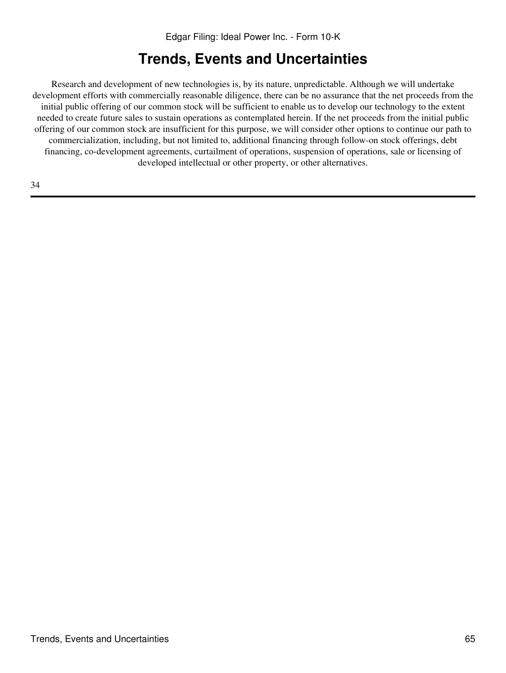# **Trends, Events and Uncertainties**

Research and development of new technologies is, by its nature, unpredictable. Although we will undertake development efforts with commercially reasonable diligence, there can be no assurance that the net proceeds from the initial public offering of our common stock will be sufficient to enable us to develop our technology to the extent needed to create future sales to sustain operations as contemplated herein. If the net proceeds from the initial public offering of our common stock are insufficient for this purpose, we will consider other options to continue our path to commercialization, including, but not limited to, additional financing through follow-on stock offerings, debt financing, co-development agreements, curtailment of operations, suspension of operations, sale or licensing of developed intellectual or other property, or other alternatives.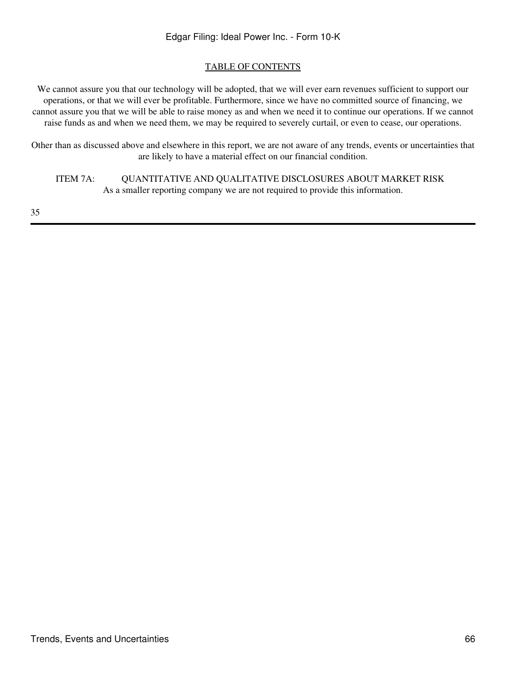We cannot assure you that our technology will be adopted, that we will ever earn revenues sufficient to support our operations, or that we will ever be profitable. Furthermore, since we have no committed source of financing, we cannot assure you that we will be able to raise money as and when we need it to continue our operations. If we cannot raise funds as and when we need them, we may be required to severely curtail, or even to cease, our operations.

Other than as discussed above and elsewhere in this report, we are not aware of any trends, events or uncertainties that are likely to have a material effect on our financial condition.

ITEM 7A: QUANTITATIVE AND QUALITATIVE DISCLOSURES ABOUT MARKET RISK As a smaller reporting company we are not required to provide this information.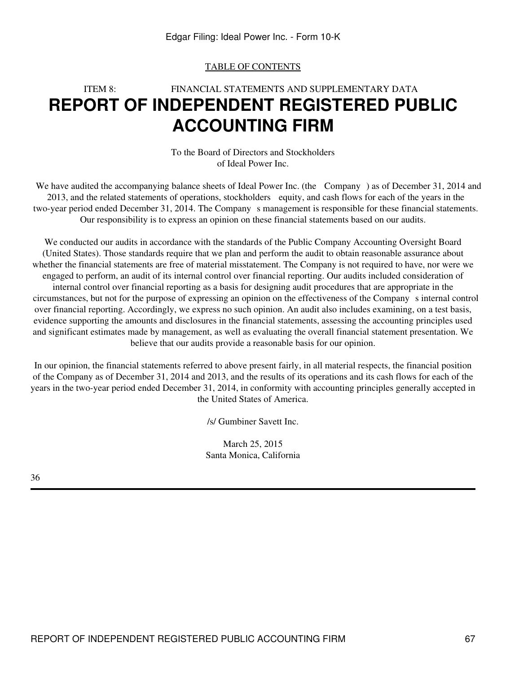# ITEM 8: FINANCIAL STATEMENTS AND SUPPLEMENTARY DATA **REPORT OF INDEPENDENT REGISTERED PUBLIC ACCOUNTING FIRM**

To the Board of Directors and Stockholders of Ideal Power Inc.

We have audited the accompanying balance sheets of Ideal Power Inc. (the Company) as of December 31, 2014 and 2013, and the related statements of operations, stockholders equity, and cash flows for each of the years in the two-year period ended December 31, 2014. The Company s management is responsible for these financial statements. Our responsibility is to express an opinion on these financial statements based on our audits.

We conducted our audits in accordance with the standards of the Public Company Accounting Oversight Board (United States). Those standards require that we plan and perform the audit to obtain reasonable assurance about whether the financial statements are free of material misstatement. The Company is not required to have, nor were we engaged to perform, an audit of its internal control over financial reporting. Our audits included consideration of internal control over financial reporting as a basis for designing audit procedures that are appropriate in the circumstances, but not for the purpose of expressing an opinion on the effectiveness of the Companys internal control over financial reporting. Accordingly, we express no such opinion. An audit also includes examining, on a test basis, evidence supporting the amounts and disclosures in the financial statements, assessing the accounting principles used and significant estimates made by management, as well as evaluating the overall financial statement presentation. We believe that our audits provide a reasonable basis for our opinion.

In our opinion, the financial statements referred to above present fairly, in all material respects, the financial position of the Company as of December 31, 2014 and 2013, and the results of its operations and its cash flows for each of the years in the two-year period ended December 31, 2014, in conformity with accounting principles generally accepted in the United States of America.

/s/ Gumbiner Savett Inc.

March 25, 2015 Santa Monica, California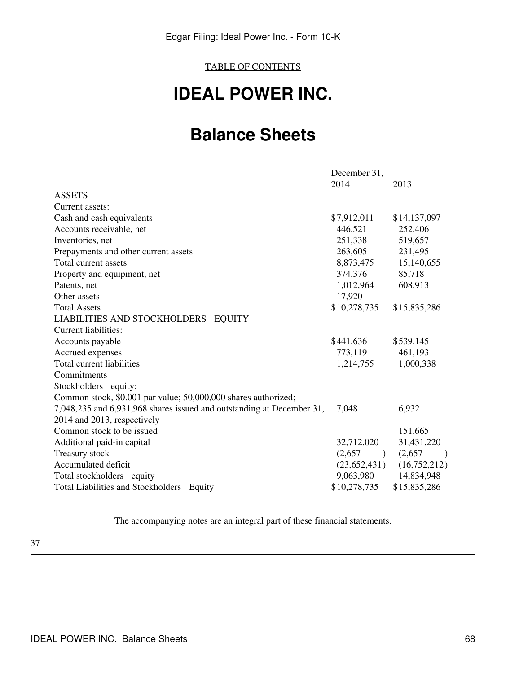# **IDEAL POWER INC.**

# **Balance Sheets**

|                                                                       | December 31,             |                          |
|-----------------------------------------------------------------------|--------------------------|--------------------------|
|                                                                       | 2014                     | 2013                     |
| <b>ASSETS</b>                                                         |                          |                          |
| Current assets:                                                       |                          |                          |
| Cash and cash equivalents                                             | \$7,912,011              | \$14,137,097             |
| Accounts receivable, net                                              | 446,521                  | 252,406                  |
| Inventories, net                                                      | 251,338                  | 519,657                  |
| Prepayments and other current assets                                  | 263,605                  | 231,495                  |
| Total current assets                                                  | 8,873,475                | 15,140,655               |
| Property and equipment, net                                           | 374,376                  | 85,718                   |
| Patents, net                                                          | 1,012,964                | 608,913                  |
| Other assets                                                          | 17,920                   |                          |
| <b>Total Assets</b>                                                   | \$10,278,735             | \$15,835,286             |
| LIABILITIES AND STOCKHOLDERS EQUITY                                   |                          |                          |
| <b>Current liabilities:</b>                                           |                          |                          |
| Accounts payable                                                      | \$441,636                | \$539,145                |
| Accrued expenses                                                      | 773,119                  | 461,193                  |
| Total current liabilities                                             | 1,214,755                | 1,000,338                |
| Commitments                                                           |                          |                          |
| Stockholders equity:                                                  |                          |                          |
| Common stock, \$0.001 par value; 50,000,000 shares authorized;        |                          |                          |
| 7,048,235 and 6,931,968 shares issued and outstanding at December 31, | 7,048                    | 6,932                    |
| 2014 and 2013, respectively                                           |                          |                          |
| Common stock to be issued                                             |                          | 151,665                  |
| Additional paid-in capital                                            | 32,712,020               | 31,431,220               |
| Treasury stock                                                        | (2,657)<br>$\rightarrow$ | (2,657)<br>$\rightarrow$ |
| Accumulated deficit                                                   | (23,652,431)             | (16,752,212)             |
| Total stockholders equity                                             | 9,063,980                | 14,834,948               |
| <b>Total Liabilities and Stockholders</b><br>Equity                   | \$10,278,735             | \$15,835,286             |

The accompanying notes are an integral part of these financial statements.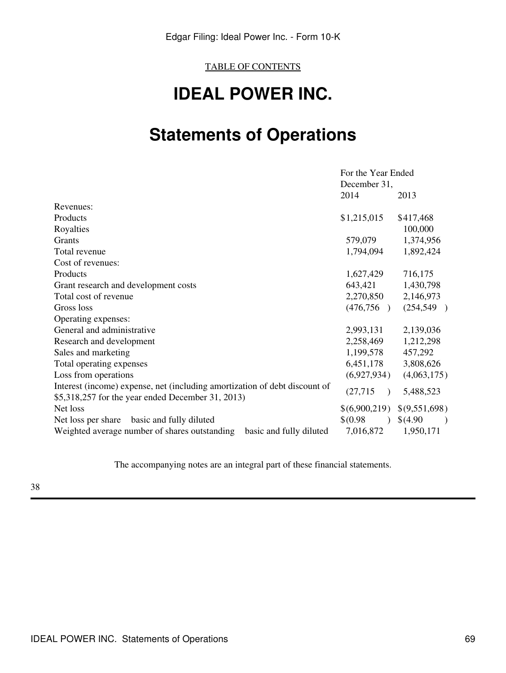# **IDEAL POWER INC.**

# **Statements of Operations**

|                                                                                                                                 | For the Year Ended<br>December 31, |               |
|---------------------------------------------------------------------------------------------------------------------------------|------------------------------------|---------------|
|                                                                                                                                 | 2014                               | 2013          |
| Revenues:                                                                                                                       |                                    |               |
| Products                                                                                                                        | \$1,215,015                        | \$417,468     |
| Royalties                                                                                                                       |                                    | 100,000       |
| Grants                                                                                                                          | 579,079                            | 1,374,956     |
| Total revenue                                                                                                                   | 1,794,094                          | 1,892,424     |
| Cost of revenues:                                                                                                               |                                    |               |
| Products                                                                                                                        | 1,627,429                          | 716,175       |
| Grant research and development costs                                                                                            | 643,421                            | 1,430,798     |
| Total cost of revenue                                                                                                           | 2,270,850                          | 2,146,973     |
| Gross loss                                                                                                                      | (476, 756)                         | (254, 549)    |
| Operating expenses:                                                                                                             |                                    |               |
| General and administrative                                                                                                      | 2,993,131                          | 2,139,036     |
| Research and development                                                                                                        | 2,258,469                          | 1,212,298     |
| Sales and marketing                                                                                                             | 1,199,578                          | 457,292       |
| Total operating expenses                                                                                                        | 6,451,178                          | 3,808,626     |
| Loss from operations                                                                                                            | (6,927,934)                        | (4,063,175)   |
| Interest (income) expense, net (including amortization of debt discount of<br>\$5,318,257 for the year ended December 31, 2013) | (27, 715)<br>$\lambda$             | 5,488,523     |
| Net loss                                                                                                                        | \$(6,900,219)                      | \$(9,551,698) |
| basic and fully diluted<br>Net loss per share                                                                                   | \$(0.98)<br>$\lambda$              | \$(4.90)      |
| Weighted average number of shares outstanding<br>basic and fully diluted                                                        | 7,016,872                          | 1,950,171     |

The accompanying notes are an integral part of these financial statements.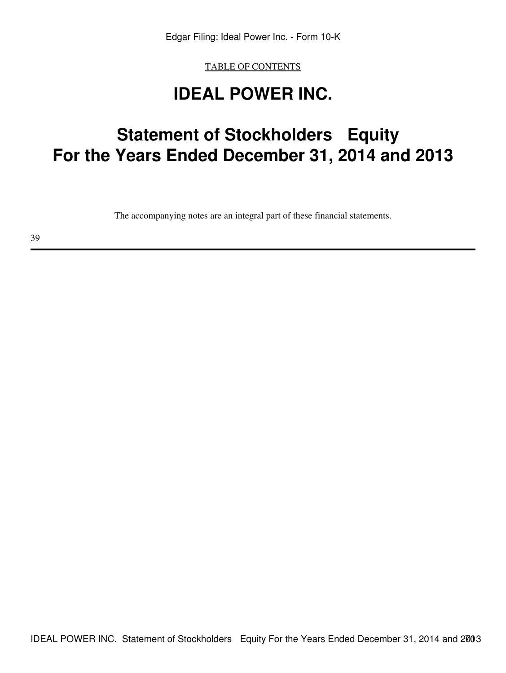# **IDEAL POWER INC.**

# **Statement of Stockholders Equity For the Years Ended December 31, 2014 and 2013**

The accompanying notes are an integral part of these financial statements.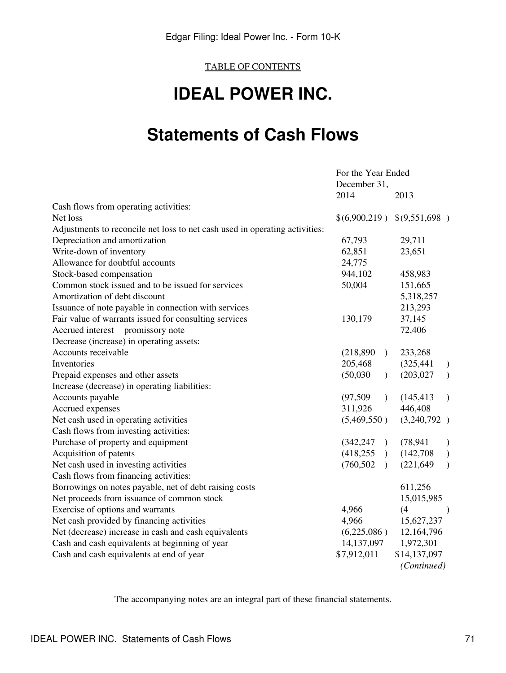# **IDEAL POWER INC.**

# **Statements of Cash Flows**

|                                                                             | For the Year Ended<br>December 31, |                               |
|-----------------------------------------------------------------------------|------------------------------------|-------------------------------|
|                                                                             | 2014                               | 2013                          |
| Cash flows from operating activities:                                       |                                    |                               |
| Net loss                                                                    |                                    | $$(6,900,219)$ $$(9,551,698)$ |
| Adjustments to reconcile net loss to net cash used in operating activities: |                                    |                               |
| Depreciation and amortization                                               | 67,793                             | 29,711                        |
| Write-down of inventory                                                     | 62,851                             | 23,651                        |
| Allowance for doubtful accounts                                             | 24,775                             |                               |
| Stock-based compensation                                                    | 944,102                            | 458,983                       |
| Common stock issued and to be issued for services                           | 50,004                             | 151,665                       |
| Amortization of debt discount                                               |                                    | 5,318,257                     |
| Issuance of note payable in connection with services                        |                                    | 213,293                       |
| Fair value of warrants issued for consulting services                       | 130,179                            | 37,145                        |
| Accrued interest promissory note                                            |                                    | 72,406                        |
| Decrease (increase) in operating assets:                                    |                                    |                               |
| Accounts receivable                                                         | (218, 890)<br>$\mathcal{L}$        | 233,268                       |
| Inventories                                                                 | 205,468                            | (325, 441)<br>$\mathcal{L}$   |
| Prepaid expenses and other assets                                           | (50,030)<br>$\mathcal{L}$          | (203, 027)<br>$\mathcal{L}$   |
| Increase (decrease) in operating liabilities:                               |                                    |                               |
| Accounts payable                                                            | (97, 509)<br>$\mathcal{L}$         | (145, 413)<br>$\mathcal{L}$   |
| Accrued expenses                                                            | 311,926                            | 446,408                       |
| Net cash used in operating activities                                       | (5,469,550)                        | (3,240,792)                   |
| Cash flows from investing activities:                                       |                                    |                               |
| Purchase of property and equipment                                          | (342, 247)                         | (78, 941)<br>$\mathcal{Y}$    |
| Acquisition of patents                                                      | (418,255)                          | (142,708)<br>$\big)$          |
| Net cash used in investing activities                                       | (760, 502)<br>$\rightarrow$        | $\mathcal{L}$<br>(221, 649)   |
| Cash flows from financing activities:                                       |                                    |                               |
| Borrowings on notes payable, net of debt raising costs                      |                                    | 611,256                       |
| Net proceeds from issuance of common stock                                  |                                    | 15,015,985                    |
| Exercise of options and warrants                                            | 4,966                              | (4)<br>$\mathcal{L}$          |
| Net cash provided by financing activities                                   | 4,966                              | 15,627,237                    |
| Net (decrease) increase in cash and cash equivalents                        | (6,225,086)                        | 12,164,796                    |
| Cash and cash equivalents at beginning of year                              | 14, 137, 097                       | 1,972,301                     |
| Cash and cash equivalents at end of year                                    | \$7,912,011                        | \$14,137,097                  |
|                                                                             |                                    | (Continued)                   |

The accompanying notes are an integral part of these financial statements.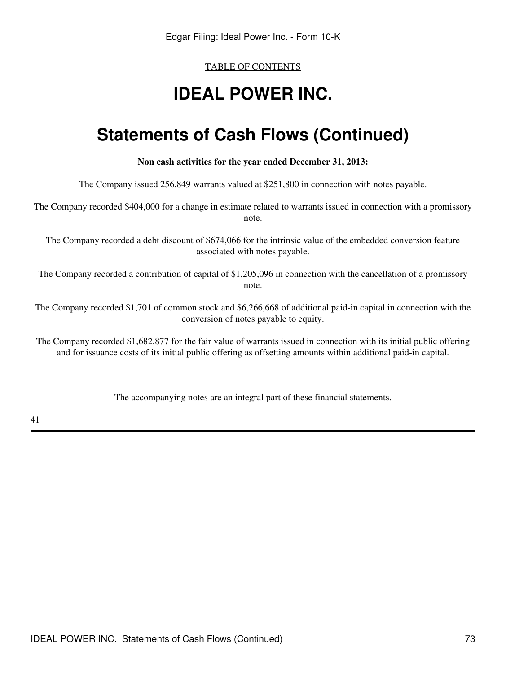# **IDEAL POWER INC.**

# **Statements of Cash Flows (Continued)**

**Non cash activities for the year ended December 31, 2013:**

The Company issued 256,849 warrants valued at \$251,800 in connection with notes payable.

The Company recorded \$404,000 for a change in estimate related to warrants issued in connection with a promissory note.

The Company recorded a debt discount of \$674,066 for the intrinsic value of the embedded conversion feature associated with notes payable.

The Company recorded a contribution of capital of \$1,205,096 in connection with the cancellation of a promissory note.

The Company recorded \$1,701 of common stock and \$6,266,668 of additional paid-in capital in connection with the conversion of notes payable to equity.

The Company recorded \$1,682,877 for the fair value of warrants issued in connection with its initial public offering and for issuance costs of its initial public offering as offsetting amounts within additional paid-in capital.

The accompanying notes are an integral part of these financial statements.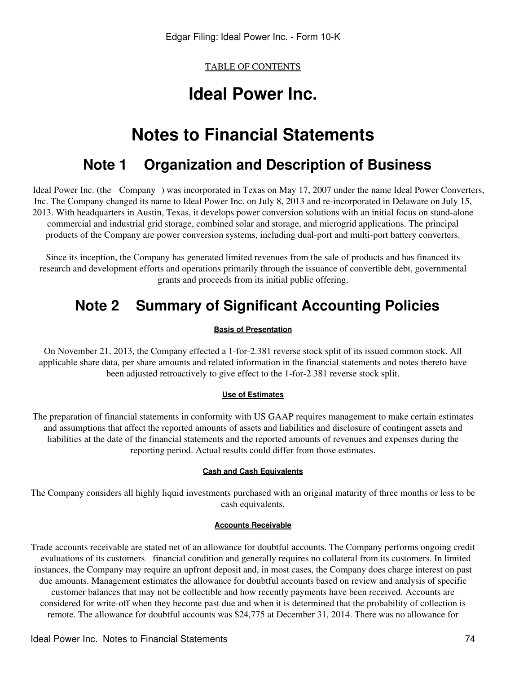# **Ideal Power Inc.**

# **Notes to Financial Statements**

## **Note 1 Organization and Description of Business**

Ideal Power Inc. (the Company) was incorporated in Texas on May 17, 2007 under the name Ideal Power Converters, Inc. The Company changed its name to Ideal Power Inc. on July 8, 2013 and re-incorporated in Delaware on July 15, 2013. With headquarters in Austin, Texas, it develops power conversion solutions with an initial focus on stand-alone commercial and industrial grid storage, combined solar and storage, and microgrid applications. The principal products of the Company are power conversion systems, including dual-port and multi-port battery converters.

Since its inception, the Company has generated limited revenues from the sale of products and has financed its research and development efforts and operations primarily through the issuance of convertible debt, governmental grants and proceeds from its initial public offering.

## **Note 2 Summary of Significant Accounting Policies**

#### **Basis of Presentation**

On November 21, 2013, the Company effected a 1-for-2.381 reverse stock split of its issued common stock. All applicable share data, per share amounts and related information in the financial statements and notes thereto have been adjusted retroactively to give effect to the 1-for-2.381 reverse stock split.

#### **Use of Estimates**

The preparation of financial statements in conformity with US GAAP requires management to make certain estimates and assumptions that affect the reported amounts of assets and liabilities and disclosure of contingent assets and liabilities at the date of the financial statements and the reported amounts of revenues and expenses during the reporting period. Actual results could differ from those estimates.

#### **Cash and Cash Equivalents**

The Company considers all highly liquid investments purchased with an original maturity of three months or less to be cash equivalents.

#### **Accounts Receivable**

Trade accounts receivable are stated net of an allowance for doubtful accounts. The Company performs ongoing credit evaluations of its customers financial condition and generally requires no collateral from its customers. In limited instances, the Company may require an upfront deposit and, in most cases, the Company does charge interest on past due amounts. Management estimates the allowance for doubtful accounts based on review and analysis of specific customer balances that may not be collectible and how recently payments have been received. Accounts are considered for write-off when they become past due and when it is determined that the probability of collection is remote. The allowance for doubtful accounts was \$24,775 at December 31, 2014. There was no allowance for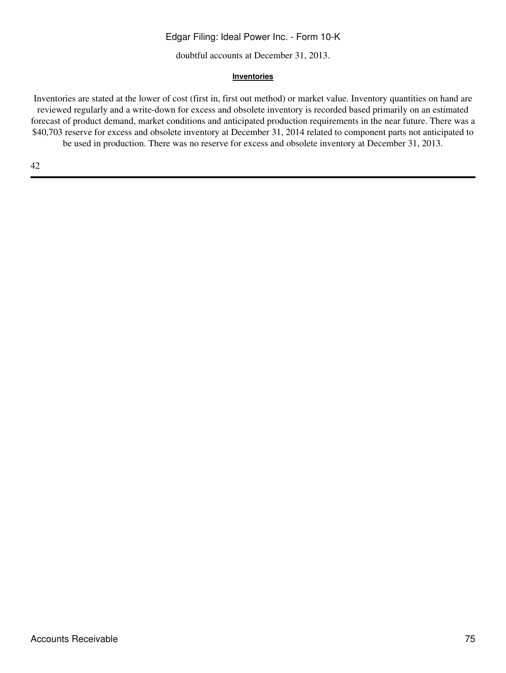doubtful accounts at December 31, 2013.

#### **Inventories**

Inventories are stated at the lower of cost (first in, first out method) or market value. Inventory quantities on hand are reviewed regularly and a write-down for excess and obsolete inventory is recorded based primarily on an estimated forecast of product demand, market conditions and anticipated production requirements in the near future. There was a \$40,703 reserve for excess and obsolete inventory at December 31, 2014 related to component parts not anticipated to be used in production. There was no reserve for excess and obsolete inventory at December 31, 2013.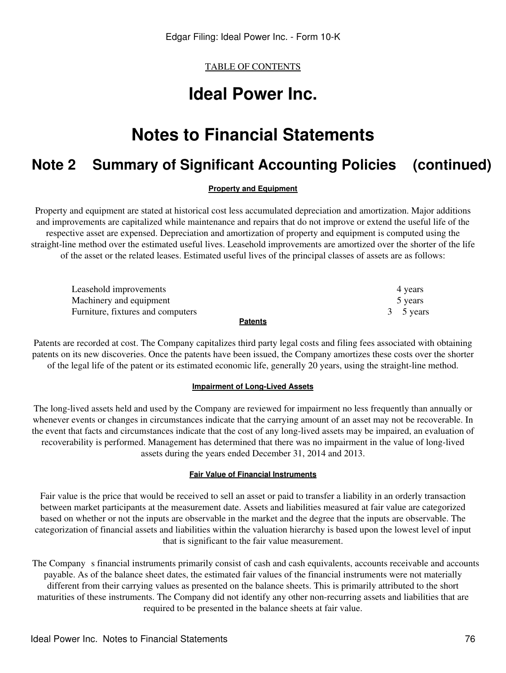# **Ideal Power Inc.**

# **Notes to Financial Statements**

## **Note 2 Summary of Significant Accounting Policies (continued)**

**Property and Equipment**

Property and equipment are stated at historical cost less accumulated depreciation and amortization. Major additions and improvements are capitalized while maintenance and repairs that do not improve or extend the useful life of the respective asset are expensed. Depreciation and amortization of property and equipment is computed using the straight-line method over the estimated useful lives. Leasehold improvements are amortized over the shorter of the life of the asset or the related leases. Estimated useful lives of the principal classes of assets are as follows:

| Leasehold improvements            | 4 years   |
|-----------------------------------|-----------|
| Machinery and equipment           | 5 years   |
| Furniture, fixtures and computers | 3 5 years |
| <b>Patents</b>                    |           |

Patents are recorded at cost. The Company capitalizes third party legal costs and filing fees associated with obtaining patents on its new discoveries. Once the patents have been issued, the Company amortizes these costs over the shorter of the legal life of the patent or its estimated economic life, generally 20 years, using the straight-line method.

#### **Impairment of Long-Lived Assets**

The long-lived assets held and used by the Company are reviewed for impairment no less frequently than annually or whenever events or changes in circumstances indicate that the carrying amount of an asset may not be recoverable. In the event that facts and circumstances indicate that the cost of any long-lived assets may be impaired, an evaluation of recoverability is performed. Management has determined that there was no impairment in the value of long-lived assets during the years ended December 31, 2014 and 2013.

#### **Fair Value of Financial Instruments**

Fair value is the price that would be received to sell an asset or paid to transfer a liability in an orderly transaction between market participants at the measurement date. Assets and liabilities measured at fair value are categorized based on whether or not the inputs are observable in the market and the degree that the inputs are observable. The categorization of financial assets and liabilities within the valuation hierarchy is based upon the lowest level of input that is significant to the fair value measurement.

The Company s financial instruments primarily consist of cash and cash equivalents, accounts receivable and accounts payable. As of the balance sheet dates, the estimated fair values of the financial instruments were not materially different from their carrying values as presented on the balance sheets. This is primarily attributed to the short maturities of these instruments. The Company did not identify any other non-recurring assets and liabilities that are required to be presented in the balance sheets at fair value.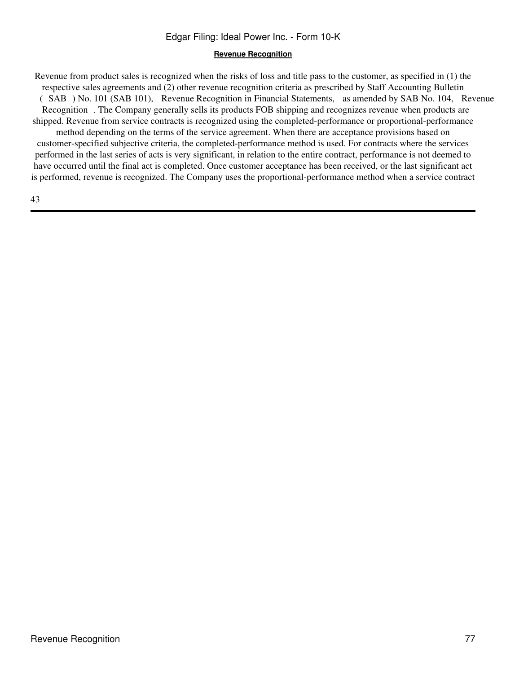#### **Revenue Recognition**

Revenue from product sales is recognized when the risks of loss and title pass to the customer, as specified in (1) the respective sales agreements and (2) other revenue recognition criteria as prescribed by Staff Accounting Bulletin (SAB) No. 101 (SAB 101), Revenue Recognition in Financial Statements, as amended by SAB No. 104, Revenue Recognition. The Company generally sells its products FOB shipping and recognizes revenue when products are shipped. Revenue from service contracts is recognized using the completed-performance or proportional-performance method depending on the terms of the service agreement. When there are acceptance provisions based on customer-specified subjective criteria, the completed-performance method is used. For contracts where the services performed in the last series of acts is very significant, in relation to the entire contract, performance is not deemed to have occurred until the final act is completed. Once customer acceptance has been received, or the last significant act is performed, revenue is recognized. The Company uses the proportional-performance method when a service contract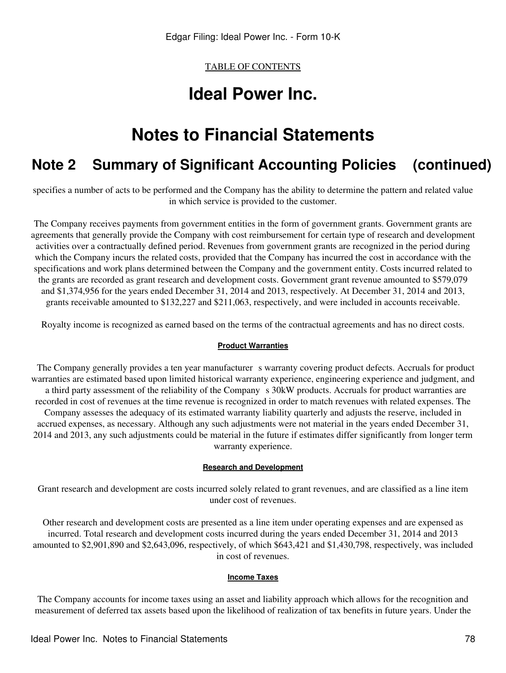# **Ideal Power Inc.**

# **Notes to Financial Statements**

## **Note 2 Summary of Significant Accounting Policies (continued)**

specifies a number of acts to be performed and the Company has the ability to determine the pattern and related value in which service is provided to the customer.

The Company receives payments from government entities in the form of government grants. Government grants are agreements that generally provide the Company with cost reimbursement for certain type of research and development activities over a contractually defined period. Revenues from government grants are recognized in the period during which the Company incurs the related costs, provided that the Company has incurred the cost in accordance with the specifications and work plans determined between the Company and the government entity. Costs incurred related to the grants are recorded as grant research and development costs. Government grant revenue amounted to \$579,079 and \$1,374,956 for the years ended December 31, 2014 and 2013, respectively. At December 31, 2014 and 2013, grants receivable amounted to \$132,227 and \$211,063, respectively, and were included in accounts receivable.

Royalty income is recognized as earned based on the terms of the contractual agreements and has no direct costs.

#### **Product Warranties**

The Company generally provides a ten year manufacturer s warranty covering product defects. Accruals for product warranties are estimated based upon limited historical warranty experience, engineering experience and judgment, and a third party assessment of the reliability of the Company s 30kW products. Accruals for product warranties are recorded in cost of revenues at the time revenue is recognized in order to match revenues with related expenses. The Company assesses the adequacy of its estimated warranty liability quarterly and adjusts the reserve, included in accrued expenses, as necessary. Although any such adjustments were not material in the years ended December 31, 2014 and 2013, any such adjustments could be material in the future if estimates differ significantly from longer term warranty experience.

#### **Research and Development**

Grant research and development are costs incurred solely related to grant revenues, and are classified as a line item under cost of revenues.

Other research and development costs are presented as a line item under operating expenses and are expensed as incurred. Total research and development costs incurred during the years ended December 31, 2014 and 2013 amounted to \$2,901,890 and \$2,643,096, respectively, of which \$643,421 and \$1,430,798, respectively, was included in cost of revenues.

#### **Income Taxes**

The Company accounts for income taxes using an asset and liability approach which allows for the recognition and measurement of deferred tax assets based upon the likelihood of realization of tax benefits in future years. Under the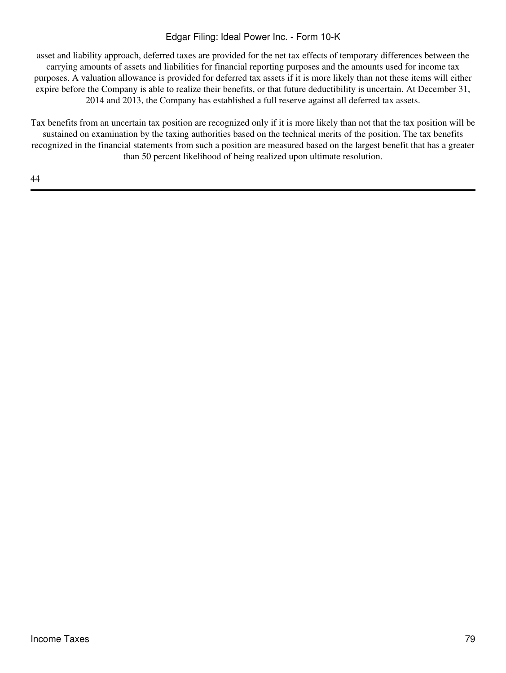asset and liability approach, deferred taxes are provided for the net tax effects of temporary differences between the carrying amounts of assets and liabilities for financial reporting purposes and the amounts used for income tax purposes. A valuation allowance is provided for deferred tax assets if it is more likely than not these items will either expire before the Company is able to realize their benefits, or that future deductibility is uncertain. At December 31, 2014 and 2013, the Company has established a full reserve against all deferred tax assets.

Tax benefits from an uncertain tax position are recognized only if it is more likely than not that the tax position will be sustained on examination by the taxing authorities based on the technical merits of the position. The tax benefits recognized in the financial statements from such a position are measured based on the largest benefit that has a greater than 50 percent likelihood of being realized upon ultimate resolution.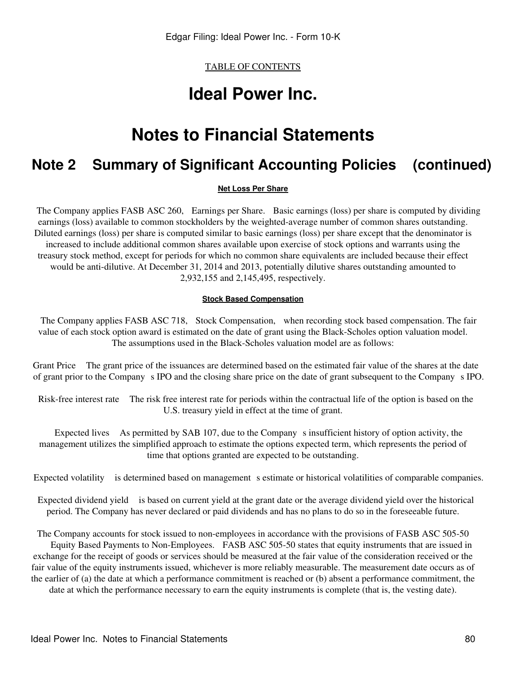# **Ideal Power Inc.**

# **Notes to Financial Statements**

## **Note 2 Summary of Significant Accounting Policies (continued)**

**Net Loss Per Share**

The Company applies FASB ASC 260, Earnings per Share. Basic earnings (loss) per share is computed by dividing earnings (loss) available to common stockholders by the weighted-average number of common shares outstanding. Diluted earnings (loss) per share is computed similar to basic earnings (loss) per share except that the denominator is increased to include additional common shares available upon exercise of stock options and warrants using the treasury stock method, except for periods for which no common share equivalents are included because their effect would be anti-dilutive. At December 31, 2014 and 2013, potentially dilutive shares outstanding amounted to 2,932,155 and 2,145,495, respectively.

#### **Stock Based Compensation**

The Company applies FASB ASC 718, Stock Compensation, when recording stock based compensation. The fair value of each stock option award is estimated on the date of grant using the Black-Scholes option valuation model. The assumptions used in the Black-Scholes valuation model are as follows:

Grant Price The grant price of the issuances are determined based on the estimated fair value of the shares at the date of grant prior to the Companys IPO and the closing share price on the date of grant subsequent to the Companys IPO.

Risk-free interest rate The risk free interest rate for periods within the contractual life of the option is based on the U.S. treasury yield in effect at the time of grant.

Expected lives As permitted by SAB 107, due to the Company s insufficient history of option activity, the management utilizes the simplified approach to estimate the options expected term, which represents the period of time that options granted are expected to be outstanding.

Expected volatility is determined based on management s estimate or historical volatilities of comparable companies.

Expected dividend yield is based on current yield at the grant date or the average dividend yield over the historical period. The Company has never declared or paid dividends and has no plans to do so in the foreseeable future.

The Company accounts for stock issued to non-employees in accordance with the provisions of FASB ASC 505-50 Equity Based Payments to Non-Employees. FASB ASC 505-50 states that equity instruments that are issued in exchange for the receipt of goods or services should be measured at the fair value of the consideration received or the fair value of the equity instruments issued, whichever is more reliably measurable. The measurement date occurs as of the earlier of (a) the date at which a performance commitment is reached or (b) absent a performance commitment, the date at which the performance necessary to earn the equity instruments is complete (that is, the vesting date).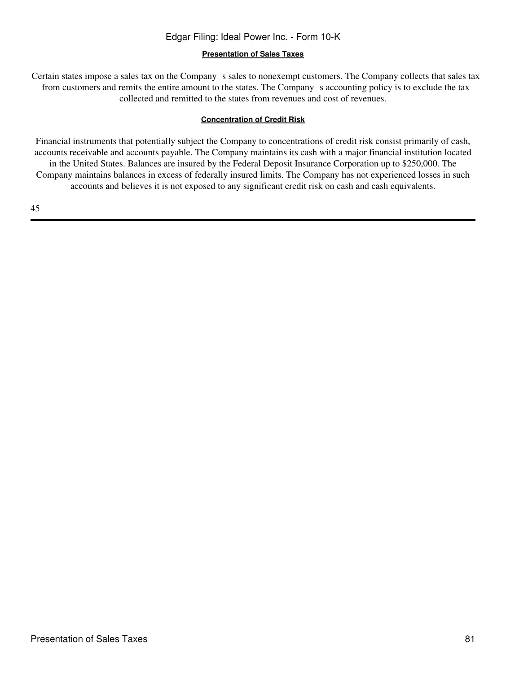#### **Presentation of Sales Taxes**

Certain states impose a sales tax on the Company s sales to nonexempt customers. The Company collects that sales tax from customers and remits the entire amount to the states. The Company s accounting policy is to exclude the tax collected and remitted to the states from revenues and cost of revenues.

#### **Concentration of Credit Risk**

Financial instruments that potentially subject the Company to concentrations of credit risk consist primarily of cash, accounts receivable and accounts payable. The Company maintains its cash with a major financial institution located in the United States. Balances are insured by the Federal Deposit Insurance Corporation up to \$250,000. The Company maintains balances in excess of federally insured limits. The Company has not experienced losses in such accounts and believes it is not exposed to any significant credit risk on cash and cash equivalents.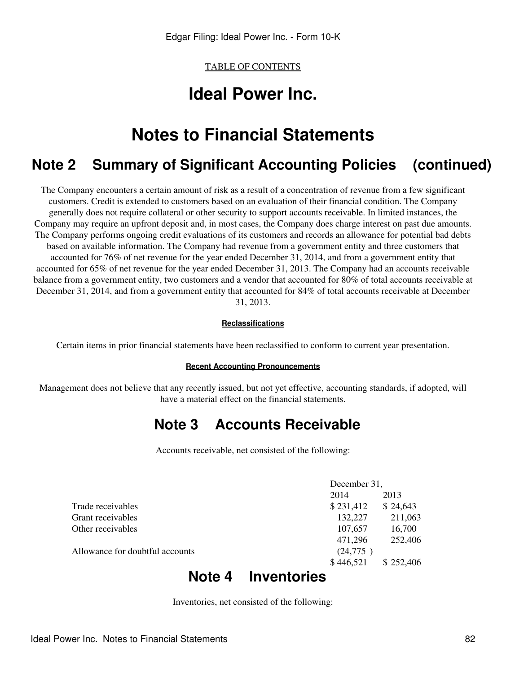## **Ideal Power Inc.**

## **Notes to Financial Statements**

### **Note 2 Summary of Significant Accounting Policies (continued)**

The Company encounters a certain amount of risk as a result of a concentration of revenue from a few significant customers. Credit is extended to customers based on an evaluation of their financial condition. The Company generally does not require collateral or other security to support accounts receivable. In limited instances, the Company may require an upfront deposit and, in most cases, the Company does charge interest on past due amounts. The Company performs ongoing credit evaluations of its customers and records an allowance for potential bad debts based on available information. The Company had revenue from a government entity and three customers that accounted for 76% of net revenue for the year ended December 31, 2014, and from a government entity that accounted for 65% of net revenue for the year ended December 31, 2013. The Company had an accounts receivable balance from a government entity, two customers and a vendor that accounted for 80% of total accounts receivable at December 31, 2014, and from a government entity that accounted for 84% of total accounts receivable at December 31, 2013.

#### **Reclassifications**

Certain items in prior financial statements have been reclassified to conform to current year presentation.

#### **Recent Accounting Pronouncements**

Management does not believe that any recently issued, but not yet effective, accounting standards, if adopted, will have a material effect on the financial statements.

### **Note 3 Accounts Receivable**

Accounts receivable, net consisted of the following:

|                                 | December 31, |           |
|---------------------------------|--------------|-----------|
|                                 | 2014         | 2013      |
| Trade receivables               | \$231,412    | \$24,643  |
| Grant receivables               | 132,227      | 211,063   |
| Other receivables               | 107,657      | 16.700    |
|                                 | 471,296      | 252,406   |
| Allowance for doubtful accounts | (24, 775)    |           |
|                                 | \$446.521    | \$252,406 |

### **Note 4 Inventories**

Inventories, net consisted of the following: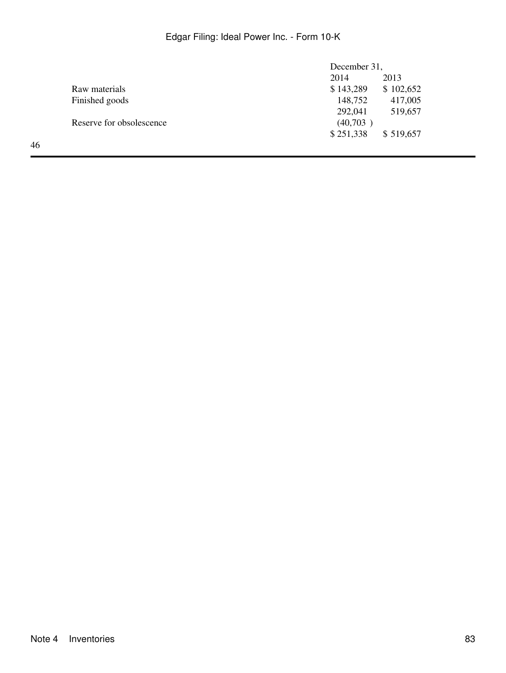|                          | December 31, |           |
|--------------------------|--------------|-----------|
|                          | 2014         | 2013      |
| Raw materials            | \$143,289    | \$102,652 |
| Finished goods           | 148,752      | 417,005   |
|                          | 292,041      | 519,657   |
| Reserve for obsolescence | (40, 703)    |           |
|                          | \$251,338    | \$519,657 |
|                          |              |           |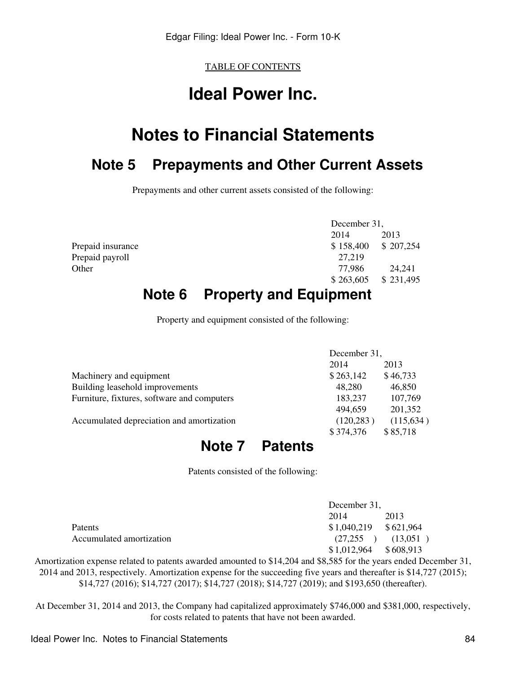# **Ideal Power Inc.**

## **Notes to Financial Statements**

### **Note 5 Prepayments and Other Current Assets**

Prepayments and other current assets consisted of the following:

|                   |           | December 31, |  |
|-------------------|-----------|--------------|--|
|                   | 2014      | 2013         |  |
| Prepaid insurance | \$158,400 | \$207,254    |  |
| Prepaid payroll   | 27,219    |              |  |
| Other             | 77,986    | 24.241       |  |
|                   | \$263,605 | \$231,495    |  |
| .                 |           |              |  |

## **Note 6 Property and Equipment**

Property and equipment consisted of the following:

|                                             | December 31, |           |
|---------------------------------------------|--------------|-----------|
|                                             | 2014         | 2013      |
| Machinery and equipment                     | \$263,142    | \$46,733  |
| Building leasehold improvements             | 48,280       | 46,850    |
| Furniture, fixtures, software and computers | 183,237      | 107,769   |
|                                             | 494,659      | 201,352   |
| Accumulated depreciation and amortization   | (120, 283)   | (115,634) |
|                                             | \$374,376    | \$85,718  |

### **Note 7 Patents**

Patents consisted of the following:

|                          | December 31,            |      |  |
|--------------------------|-------------------------|------|--|
|                          | 2014                    | 2013 |  |
| Patents                  | $$1,040,219$ $$621,964$ |      |  |
| Accumulated amortization | $(27,255)$ $(13,051)$   |      |  |
|                          | $$1,012,964$ $$608,913$ |      |  |

Amortization expense related to patents awarded amounted to \$14,204 and \$8,585 for the years ended December 31, 2014 and 2013, respectively. Amortization expense for the succeeding five years and thereafter is \$14,727 (2015); \$14,727 (2016); \$14,727 (2017); \$14,727 (2018); \$14,727 (2019); and \$193,650 (thereafter).

At December 31, 2014 and 2013, the Company had capitalized approximately \$746,000 and \$381,000, respectively, for costs related to patents that have not been awarded.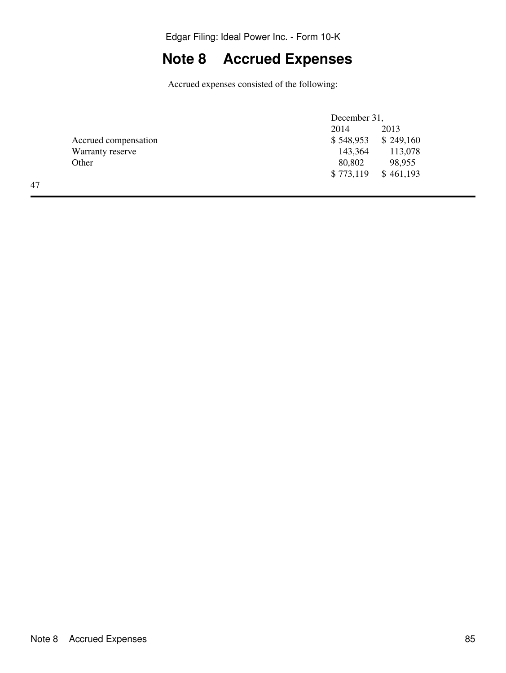## **Note 8 Accrued Expenses**

Accrued expenses consisted of the following:

|                      |           | December 31, |  |
|----------------------|-----------|--------------|--|
|                      | 2014      | 2013         |  |
| Accrued compensation | \$548,953 | \$249,160    |  |
| Warranty reserve     | 143,364   | 113,078      |  |
| Other                | 80,802    | 98,955       |  |
|                      | \$773,119 | \$461,193    |  |
|                      |           |              |  |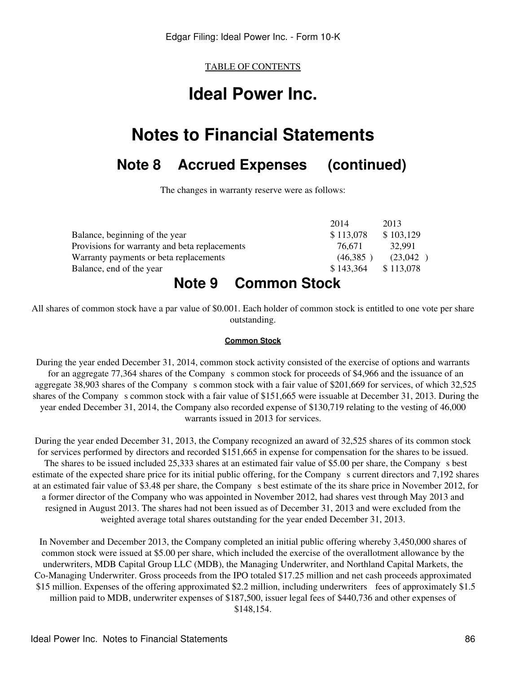# **Ideal Power Inc.**

# **Notes to Financial Statements**

### **Note 8 Accrued Expenses (continued)**

The changes in warranty reserve were as follows:

| Campagne Chael<br>$N_{\rm min}$ $\Omega$      |           |           |
|-----------------------------------------------|-----------|-----------|
| Balance, end of the year                      | \$143,364 | \$113,078 |
| Warranty payments or beta replacements        | (46.385)  | (23.042)  |
| Provisions for warranty and beta replacements | 76.671    | 32.991    |
| Balance, beginning of the year                | \$113,078 | \$103,129 |
|                                               | 2014      | 2013      |

### **Note 9 Common Stock**

All shares of common stock have a par value of \$0.001. Each holder of common stock is entitled to one vote per share outstanding.

#### **Common Stock**

During the year ended December 31, 2014, common stock activity consisted of the exercise of options and warrants for an aggregate 77,364 shares of the Company s common stock for proceeds of \$4,966 and the issuance of an aggregate 38,903 shares of the Company s common stock with a fair value of \$201,669 for services, of which 32,525 shares of the Company s common stock with a fair value of \$151,665 were issuable at December 31, 2013. During the year ended December 31, 2014, the Company also recorded expense of \$130,719 relating to the vesting of 46,000 warrants issued in 2013 for services.

During the year ended December 31, 2013, the Company recognized an award of 32,525 shares of its common stock for services performed by directors and recorded \$151,665 in expense for compensation for the shares to be issued. The shares to be issued included 25,333 shares at an estimated fair value of \$5.00 per share, the Company s best estimate of the expected share price for its initial public offering, for the Company s current directors and 7,192 shares at an estimated fair value of \$3.48 per share, the Company s best estimate of the its share price in November 2012, for a former director of the Company who was appointed in November 2012, had shares vest through May 2013 and resigned in August 2013. The shares had not been issued as of December 31, 2013 and were excluded from the weighted average total shares outstanding for the year ended December 31, 2013.

In November and December 2013, the Company completed an initial public offering whereby 3,450,000 shares of common stock were issued at \$5.00 per share, which included the exercise of the overallotment allowance by the underwriters, MDB Capital Group LLC (MDB), the Managing Underwriter, and Northland Capital Markets, the Co-Managing Underwriter. Gross proceeds from the IPO totaled \$17.25 million and net cash proceeds approximated \$15 million. Expenses of the offering approximated \$2.2 million, including underwriters fees of approximately \$1.5 million paid to MDB, underwriter expenses of \$187,500, issuer legal fees of \$440,736 and other expenses of \$148,154.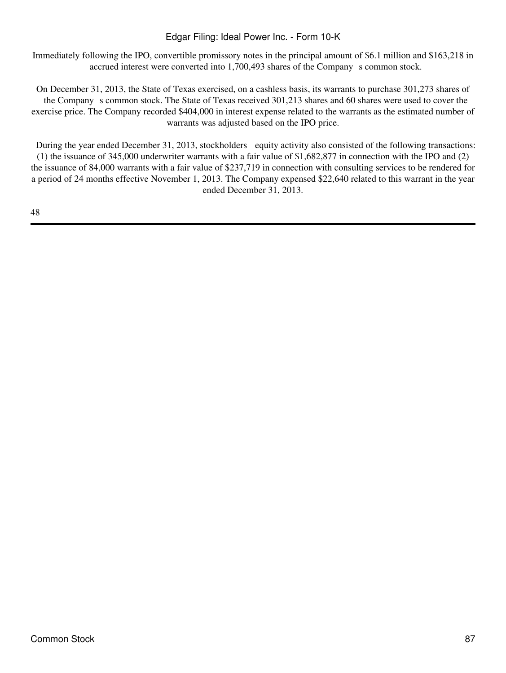Immediately following the IPO, convertible promissory notes in the principal amount of \$6.1 million and \$163,218 in accrued interest were converted into 1,700,493 shares of the Company s common stock.

On December 31, 2013, the State of Texas exercised, on a cashless basis, its warrants to purchase 301,273 shares of the Companys common stock. The State of Texas received 301,213 shares and 60 shares were used to cover the exercise price. The Company recorded \$404,000 in interest expense related to the warrants as the estimated number of warrants was adjusted based on the IPO price.

During the year ended December 31, 2013, stockholders equity activity also consisted of the following transactions: (1) the issuance of 345,000 underwriter warrants with a fair value of \$1,682,877 in connection with the IPO and (2) the issuance of 84,000 warrants with a fair value of \$237,719 in connection with consulting services to be rendered for a period of 24 months effective November 1, 2013. The Company expensed \$22,640 related to this warrant in the year ended December 31, 2013.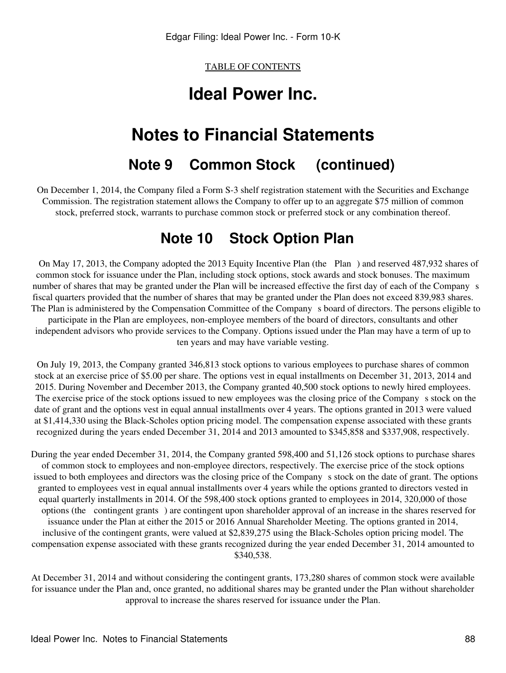# **Ideal Power Inc.**

## **Notes to Financial Statements**

### **Note 9 Common Stock (continued)**

On December 1, 2014, the Company filed a Form S-3 shelf registration statement with the Securities and Exchange Commission. The registration statement allows the Company to offer up to an aggregate \$75 million of common stock, preferred stock, warrants to purchase common stock or preferred stock or any combination thereof.

### **Note 10 Stock Option Plan**

On May 17, 2013, the Company adopted the 2013 Equity Incentive Plan (the Plan) and reserved 487,932 shares of common stock for issuance under the Plan, including stock options, stock awards and stock bonuses. The maximum number of shares that may be granted under the Plan will be increased effective the first day of each of the Companys fiscal quarters provided that the number of shares that may be granted under the Plan does not exceed 839,983 shares. The Plan is administered by the Compensation Committee of the Companys board of directors. The persons eligible to

participate in the Plan are employees, non-employee members of the board of directors, consultants and other independent advisors who provide services to the Company. Options issued under the Plan may have a term of up to ten years and may have variable vesting.

On July 19, 2013, the Company granted 346,813 stock options to various employees to purchase shares of common stock at an exercise price of \$5.00 per share. The options vest in equal installments on December 31, 2013, 2014 and 2015. During November and December 2013, the Company granted 40,500 stock options to newly hired employees. The exercise price of the stock options issued to new employees was the closing price of the Company s stock on the date of grant and the options vest in equal annual installments over 4 years. The options granted in 2013 were valued at \$1,414,330 using the Black-Scholes option pricing model. The compensation expense associated with these grants recognized during the years ended December 31, 2014 and 2013 amounted to \$345,858 and \$337,908, respectively.

During the year ended December 31, 2014, the Company granted 598,400 and 51,126 stock options to purchase shares of common stock to employees and non-employee directors, respectively. The exercise price of the stock options issued to both employees and directors was the closing price of the Company s stock on the date of grant. The options granted to employees vest in equal annual installments over 4 years while the options granted to directors vested in equal quarterly installments in 2014. Of the 598,400 stock options granted to employees in 2014, 320,000 of those options (the contingent grants) are contingent upon shareholder approval of an increase in the shares reserved for issuance under the Plan at either the 2015 or 2016 Annual Shareholder Meeting. The options granted in 2014, inclusive of the contingent grants, were valued at \$2,839,275 using the Black-Scholes option pricing model. The compensation expense associated with these grants recognized during the year ended December 31, 2014 amounted to \$340,538.

At December 31, 2014 and without considering the contingent grants, 173,280 shares of common stock were available for issuance under the Plan and, once granted, no additional shares may be granted under the Plan without shareholder approval to increase the shares reserved for issuance under the Plan.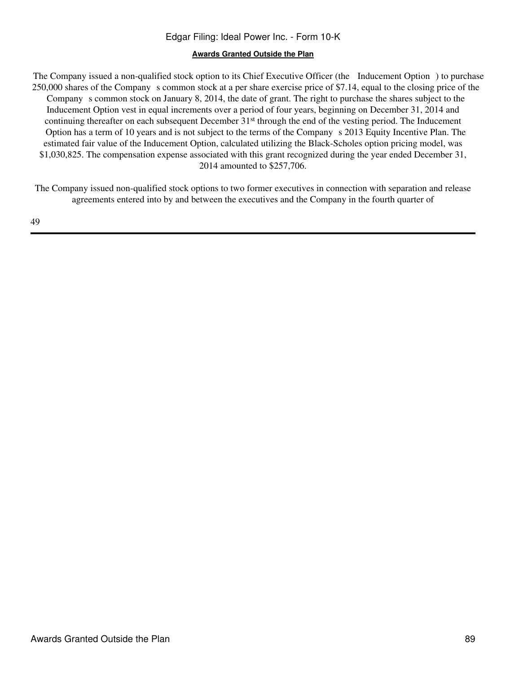#### **Awards Granted Outside the Plan**

The Company issued a non-qualified stock option to its Chief Executive Officer (the Inducement Option) to purchase 250,000 shares of the Companys common stock at a per share exercise price of \$7.14, equal to the closing price of the Company s common stock on January 8, 2014, the date of grant. The right to purchase the shares subject to the Inducement Option vest in equal increments over a period of four years, beginning on December 31, 2014 and continuing thereafter on each subsequent December 31st through the end of the vesting period. The Inducement Option has a term of 10 years and is not subject to the terms of the Company s 2013 Equity Incentive Plan. The estimated fair value of the Inducement Option, calculated utilizing the Black-Scholes option pricing model, was \$1,030,825. The compensation expense associated with this grant recognized during the year ended December 31, 2014 amounted to \$257,706.

The Company issued non-qualified stock options to two former executives in connection with separation and release agreements entered into by and between the executives and the Company in the fourth quarter of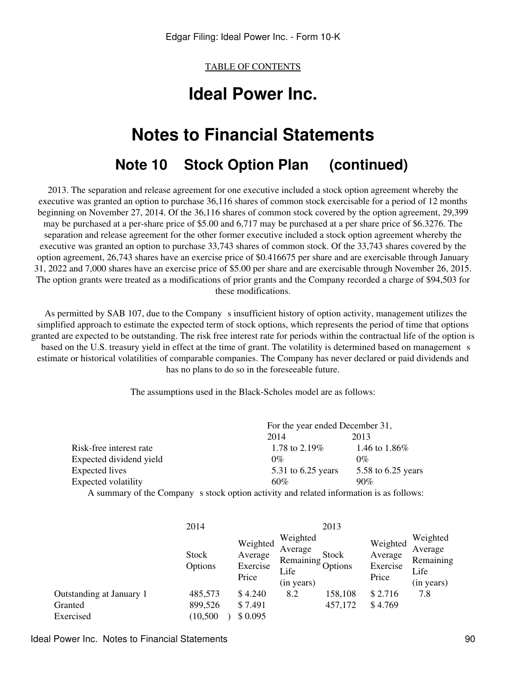# **Ideal Power Inc.**

# **Notes to Financial Statements**

### **Note 10 Stock Option Plan (continued)**

2013. The separation and release agreement for one executive included a stock option agreement whereby the executive was granted an option to purchase 36,116 shares of common stock exercisable for a period of 12 months beginning on November 27, 2014. Of the 36,116 shares of common stock covered by the option agreement, 29,399 may be purchased at a per-share price of \$5.00 and 6,717 may be purchased at a per share price of \$6.3276. The separation and release agreement for the other former executive included a stock option agreement whereby the executive was granted an option to purchase 33,743 shares of common stock. Of the 33,743 shares covered by the option agreement, 26,743 shares have an exercise price of \$0.416675 per share and are exercisable through January 31, 2022 and 7,000 shares have an exercise price of \$5.00 per share and are exercisable through November 26, 2015. The option grants were treated as a modifications of prior grants and the Company recorded a charge of \$94,503 for these modifications.

As permitted by SAB 107, due to the Company s insufficient history of option activity, management utilizes the simplified approach to estimate the expected term of stock options, which represents the period of time that options granted are expected to be outstanding. The risk free interest rate for periods within the contractual life of the option is based on the U.S. treasury yield in effect at the time of grant. The volatility is determined based on management s estimate or historical volatilities of comparable companies. The Company has never declared or paid dividends and has no plans to do so in the foreseeable future.

The assumptions used in the Black-Scholes model are as follows:

|                                                                                         | For the year ended December 31, |                    |  |  |
|-----------------------------------------------------------------------------------------|---------------------------------|--------------------|--|--|
|                                                                                         | 2014                            | 2013               |  |  |
| Risk-free interest rate                                                                 | 1.78 to 2.19%                   | 1.46 to 1.86\%     |  |  |
| Expected dividend yield                                                                 | $0\%$                           | $0\%$              |  |  |
| Expected lives                                                                          | 5.31 to 6.25 years              | 5.58 to 6.25 years |  |  |
| Expected volatility                                                                     | 60%                             | $90\%$             |  |  |
| A summary of the Company s stock option activity and related information is as follows: |                                 |                    |  |  |

|                          | 2014                    |                                          |                                                        | 2013                    |                                          |                                                        |
|--------------------------|-------------------------|------------------------------------------|--------------------------------------------------------|-------------------------|------------------------------------------|--------------------------------------------------------|
|                          | <b>Stock</b><br>Options | Weighted<br>Average<br>Exercise<br>Price | Weighted<br>Average<br>Remaining<br>Life<br>(in years) | <b>Stock</b><br>Options | Weighted<br>Average<br>Exercise<br>Price | Weighted<br>Average<br>Remaining<br>Life<br>(in years) |
| Outstanding at January 1 | 485,573                 | \$4.240                                  | 8.2                                                    | 158,108                 | \$2.716                                  | 7.8                                                    |
| Granted                  | 899,526                 | \$7.491                                  |                                                        | 457,172                 | \$4.769                                  |                                                        |
| Exercised                | (10, 500)               | \$0.095                                  |                                                        |                         |                                          |                                                        |

Ideal Power Inc. Notes to Financial Statements 90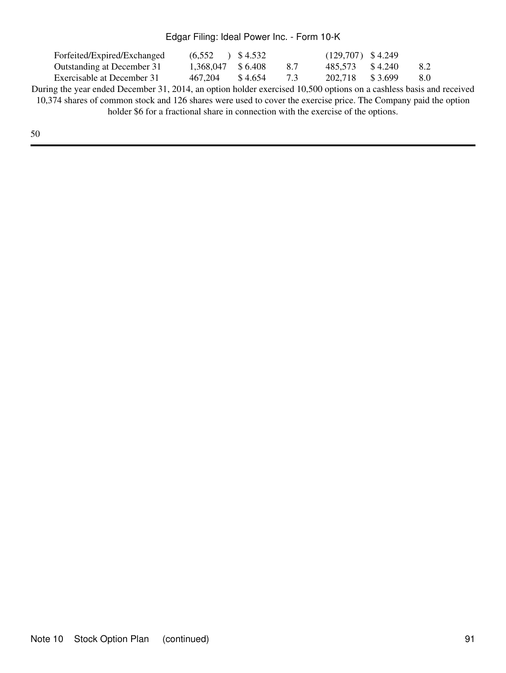| Forfeited/Expired/Exchanged | $(6,552)$ $\sqrt{84.532}$ |     | $(129,707)$ \$4.249 |       |
|-----------------------------|---------------------------|-----|---------------------|-------|
| Outstanding at December 31  | 1.368.047 \$6.408         | 8.7 | 485,573 \$4.240     | 8.2   |
| Exercisable at December 31  | 467.204 \$4.654           | 73  | 202,718 \$3.699     | - 8.0 |
|                             |                           |     |                     |       |

During the year ended December 31, 2014, an option holder exercised 10,500 options on a cashless basis and received 10,374 shares of common stock and 126 shares were used to cover the exercise price. The Company paid the option holder \$6 for a fractional share in connection with the exercise of the options.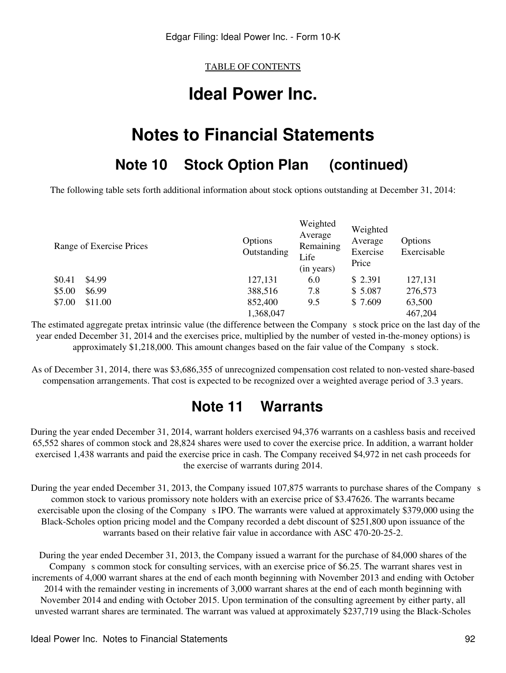# **Ideal Power Inc.**

# **Notes to Financial Statements**

## **Note 10 Stock Option Plan (continued)**

The following table sets forth additional information about stock options outstanding at December 31, 2014:

|        | Range of Exercise Prices | Options<br>Outstanding | Weighted<br>Average<br>Remaining<br>Life<br>(in years) | Weighted<br>Average<br>Exercise<br>Price | Options<br>Exercisable |
|--------|--------------------------|------------------------|--------------------------------------------------------|------------------------------------------|------------------------|
| \$0.41 | \$4.99                   | 127,131                | 6.0                                                    | \$ 2.391                                 | 127,131                |
| \$5.00 | \$6.99                   | 388,516                | 7.8                                                    | \$5.087                                  | 276,573                |
| \$7.00 | \$11.00                  | 852,400                | 9.5                                                    | \$ 7.609                                 | 63,500                 |
|        |                          | 1,368,047              |                                                        |                                          | 467,204                |

The estimated aggregate pretax intrinsic value (the difference between the Company s stock price on the last day of the year ended December 31, 2014 and the exercises price, multiplied by the number of vested in-the-money options) is approximately \$1,218,000. This amount changes based on the fair value of the Company s stock.

As of December 31, 2014, there was \$3,686,355 of unrecognized compensation cost related to non-vested share-based compensation arrangements. That cost is expected to be recognized over a weighted average period of 3.3 years.

## **Note 11 Warrants**

During the year ended December 31, 2014, warrant holders exercised 94,376 warrants on a cashless basis and received 65,552 shares of common stock and 28,824 shares were used to cover the exercise price. In addition, a warrant holder exercised 1,438 warrants and paid the exercise price in cash. The Company received \$4,972 in net cash proceeds for the exercise of warrants during 2014.

During the year ended December 31, 2013, the Company issued 107,875 warrants to purchase shares of the Company s common stock to various promissory note holders with an exercise price of \$3.47626. The warrants became exercisable upon the closing of the Company s IPO. The warrants were valued at approximately \$379,000 using the Black-Scholes option pricing model and the Company recorded a debt discount of \$251,800 upon issuance of the warrants based on their relative fair value in accordance with ASC 470-20-25-2.

During the year ended December 31, 2013, the Company issued a warrant for the purchase of 84,000 shares of the Company s common stock for consulting services, with an exercise price of \$6.25. The warrant shares vest in increments of 4,000 warrant shares at the end of each month beginning with November 2013 and ending with October 2014 with the remainder vesting in increments of 3,000 warrant shares at the end of each month beginning with November 2014 and ending with October 2015. Upon termination of the consulting agreement by either party, all unvested warrant shares are terminated. The warrant was valued at approximately \$237,719 using the Black-Scholes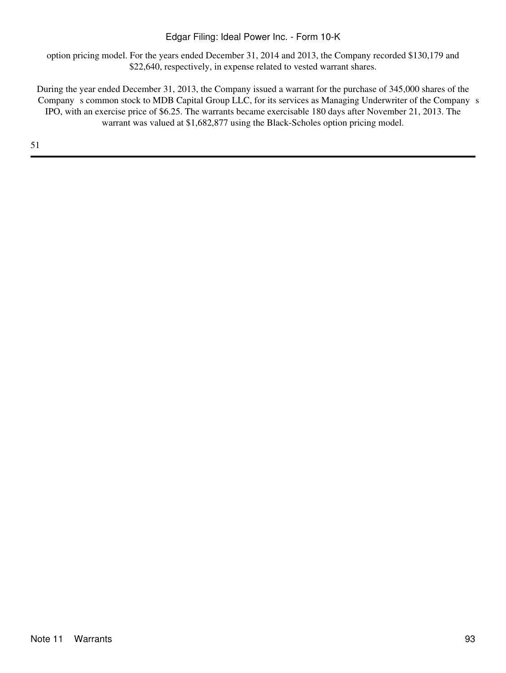option pricing model. For the years ended December 31, 2014 and 2013, the Company recorded \$130,179 and \$22,640, respectively, in expense related to vested warrant shares.

During the year ended December 31, 2013, the Company issued a warrant for the purchase of 345,000 shares of the Company s common stock to MDB Capital Group LLC, for its services as Managing Underwriter of the Company s IPO, with an exercise price of \$6.25. The warrants became exercisable 180 days after November 21, 2013. The warrant was valued at \$1,682,877 using the Black-Scholes option pricing model.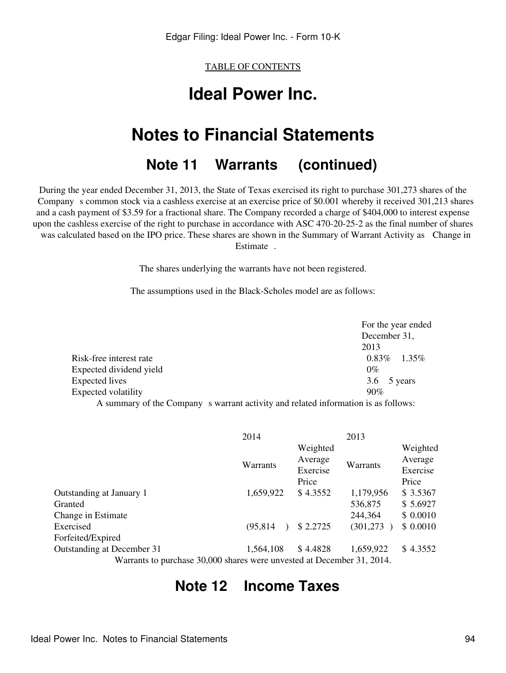## **Ideal Power Inc.**

## **Notes to Financial Statements**

### **Note 11 Warrants (continued)**

During the year ended December 31, 2013, the State of Texas exercised its right to purchase 301,273 shares of the Company s common stock via a cashless exercise at an exercise price of \$0.001 whereby it received 301,213 shares and a cash payment of \$3.59 for a fractional share. The Company recorded a charge of \$404,000 to interest expense upon the cashless exercise of the right to purchase in accordance with ASC 470-20-25-2 as the final number of shares was calculated based on the IPO price. These shares are shown in the Summary of Warrant Activity as Change in Estimate.

The shares underlying the warrants have not been registered.

The assumptions used in the Black-Scholes model are as follows:

|                                                                                                                                                                                                                                    | For the year ended   |
|------------------------------------------------------------------------------------------------------------------------------------------------------------------------------------------------------------------------------------|----------------------|
|                                                                                                                                                                                                                                    | December 31,         |
|                                                                                                                                                                                                                                    | 2013                 |
| Risk-free interest rate                                                                                                                                                                                                            | $0.83\%$<br>$1.35\%$ |
| Expected dividend yield                                                                                                                                                                                                            | $0\%$                |
| <b>Expected lives</b>                                                                                                                                                                                                              | $3.6$ 5 years        |
| Expected volatility                                                                                                                                                                                                                | 90%                  |
| $\lambda$ . The contract of the contract of the contract of the contract of the contract of the contract of the contract of the contract of the contract of the contract of the contract of the contract of the contract of the co |                      |

A summary of the Company s warrant activity and related information is as follows:

|                                                                        | 2014      |          | 2013       |          |
|------------------------------------------------------------------------|-----------|----------|------------|----------|
|                                                                        |           | Weighted |            | Weighted |
|                                                                        | Warrants  | Average  | Warrants   | Average  |
|                                                                        |           | Exercise |            | Exercise |
|                                                                        |           | Price    |            | Price    |
| Outstanding at January 1                                               | 1,659,922 | \$4.3552 | 1,179,956  | \$3.5367 |
| Granted                                                                |           |          | 536,875    | \$5.6927 |
| Change in Estimate                                                     |           |          | 244,364    | \$0.0010 |
| Exercised                                                              | (95, 814) | \$2.2725 | (301, 273) | \$0.0010 |
| Forfeited/Expired                                                      |           |          |            |          |
| Outstanding at December 31                                             | 1,564,108 | \$4.4828 | 1,659,922  | \$4.3552 |
| Warrants to purchase 30,000 shares were unvested at December 31, 2014. |           |          |            |          |

### **Note 12 Income Taxes**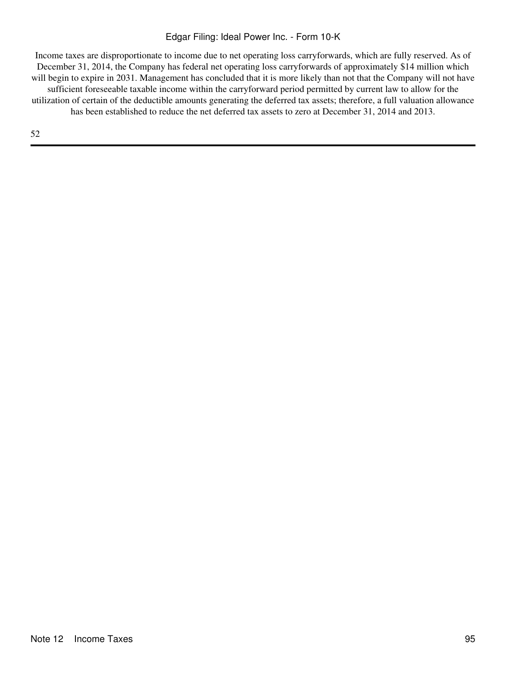Income taxes are disproportionate to income due to net operating loss carryforwards, which are fully reserved. As of December 31, 2014, the Company has federal net operating loss carryforwards of approximately \$14 million which will begin to expire in 2031. Management has concluded that it is more likely than not that the Company will not have sufficient foreseeable taxable income within the carryforward period permitted by current law to allow for the utilization of certain of the deductible amounts generating the deferred tax assets; therefore, a full valuation allowance has been established to reduce the net deferred tax assets to zero at December 31, 2014 and 2013.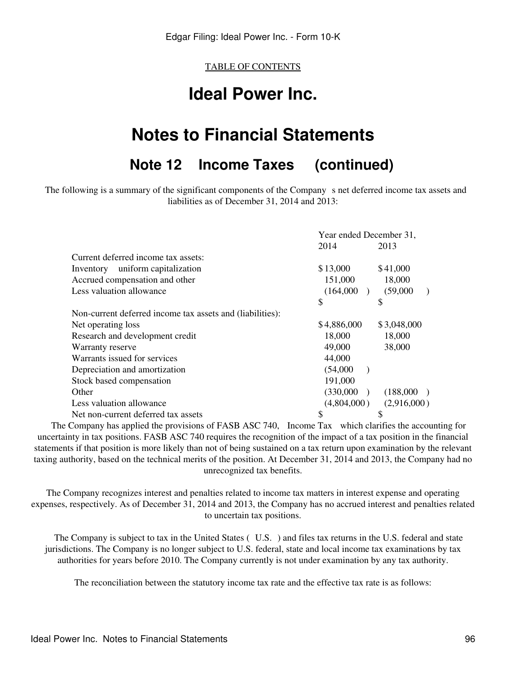# **Ideal Power Inc.**

## **Notes to Financial Statements**

### **Note 12 Income Taxes (continued)**

The following is a summary of the significant components of the Company s net deferred income tax assets and liabilities as of December 31, 2014 and 2013:

|                                                           | Year ended December 31, |             |  |
|-----------------------------------------------------------|-------------------------|-------------|--|
|                                                           | 2014                    | 2013        |  |
| Current deferred income tax assets:                       |                         |             |  |
| uniform capitalization<br>Inventory                       | \$13,000                | \$41,000    |  |
| Accrued compensation and other                            | 151,000                 | 18,000      |  |
| Less valuation allowance                                  | (164,000)               | (59,000)    |  |
|                                                           | \$                      | S           |  |
| Non-current deferred income tax assets and (liabilities): |                         |             |  |
| Net operating loss                                        | \$4,886,000             | \$3,048,000 |  |
| Research and development credit                           | 18,000                  | 18,000      |  |
| Warranty reserve                                          | 49,000                  | 38,000      |  |
| Warrants issued for services                              | 44,000                  |             |  |
| Depreciation and amortization                             | (54,000)                |             |  |
| Stock based compensation                                  | 191,000                 |             |  |
| Other                                                     | (330,000)               | (188,000)   |  |
| Less valuation allowance                                  | (4,804,000)             | (2,916,000) |  |
| Net non-current deferred tax assets                       | \$                      | \$          |  |

The Company has applied the provisions of FASB ASC 740, Income Tax which clarifies the accounting for uncertainty in tax positions. FASB ASC 740 requires the recognition of the impact of a tax position in the financial statements if that position is more likely than not of being sustained on a tax return upon examination by the relevant taxing authority, based on the technical merits of the position. At December 31, 2014 and 2013, the Company had no unrecognized tax benefits.

The Company recognizes interest and penalties related to income tax matters in interest expense and operating expenses, respectively. As of December 31, 2014 and 2013, the Company has no accrued interest and penalties related to uncertain tax positions.

The Company is subject to tax in the United States (U.S.) and files tax returns in the U.S. federal and state jurisdictions. The Company is no longer subject to U.S. federal, state and local income tax examinations by tax authorities for years before 2010. The Company currently is not under examination by any tax authority.

The reconciliation between the statutory income tax rate and the effective tax rate is as follows: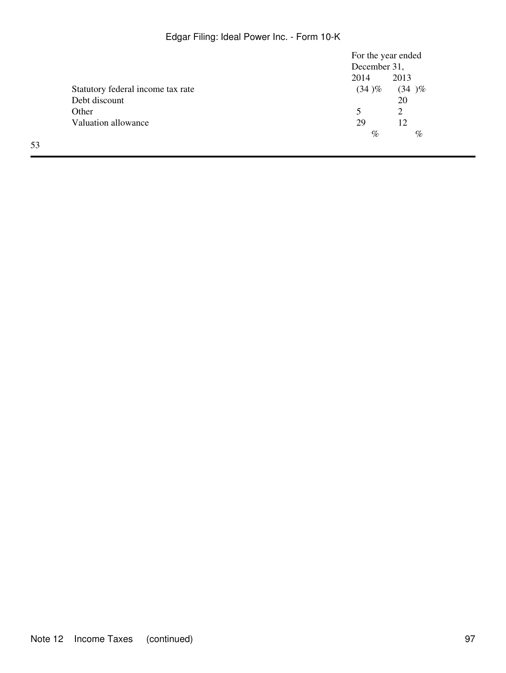|                                   | For the year ended |       |
|-----------------------------------|--------------------|-------|
|                                   | December 31,       |       |
|                                   | 2014               | 2013  |
| Statutory federal income tax rate | (34)%              | (34)% |
| Debt discount                     |                    | 20    |
| Other                             | 5                  |       |
| Valuation allowance               | 29                 | 12    |
|                                   | $\%$               | $\%$  |
|                                   |                    |       |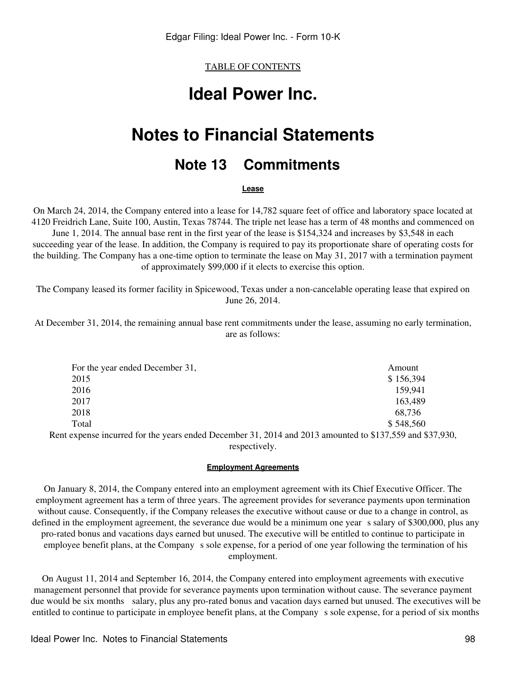## **Ideal Power Inc.**

## **Notes to Financial Statements**

### **Note 13 Commitments**

**Lease**

On March 24, 2014, the Company entered into a lease for 14,782 square feet of office and laboratory space located at 4120 Freidrich Lane, Suite 100, Austin, Texas 78744. The triple net lease has a term of 48 months and commenced on

June 1, 2014. The annual base rent in the first year of the lease is \$154,324 and increases by \$3,548 in each succeeding year of the lease. In addition, the Company is required to pay its proportionate share of operating costs for the building. The Company has a one-time option to terminate the lease on May 31, 2017 with a termination payment of approximately \$99,000 if it elects to exercise this option.

The Company leased its former facility in Spicewood, Texas under a non-cancelable operating lease that expired on June 26, 2014.

At December 31, 2014, the remaining annual base rent commitments under the lease, assuming no early termination, are as follows:

| For the year ended December 31,                                                                          | Amount    |
|----------------------------------------------------------------------------------------------------------|-----------|
| 2015                                                                                                     | \$156,394 |
| 2016                                                                                                     | 159,941   |
| 2017                                                                                                     | 163,489   |
| 2018                                                                                                     | 68,736    |
| Total                                                                                                    | \$548,560 |
| Rent expense incurred for the years ended December 31, 2014 and 2013 amounted to \$137,559 and \$37,930, |           |
| respectively.                                                                                            |           |

**Employment Agreements**

On January 8, 2014, the Company entered into an employment agreement with its Chief Executive Officer. The employment agreement has a term of three years. The agreement provides for severance payments upon termination without cause. Consequently, if the Company releases the executive without cause or due to a change in control, as defined in the employment agreement, the severance due would be a minimum one year s salary of \$300,000, plus any pro-rated bonus and vacations days earned but unused. The executive will be entitled to continue to participate in employee benefit plans, at the Company s sole expense, for a period of one year following the termination of his employment.

On August 11, 2014 and September 16, 2014, the Company entered into employment agreements with executive management personnel that provide for severance payments upon termination without cause. The severance payment due would be six months salary, plus any pro-rated bonus and vacation days earned but unused. The executives will be entitled to continue to participate in employee benefit plans, at the Company s sole expense, for a period of six months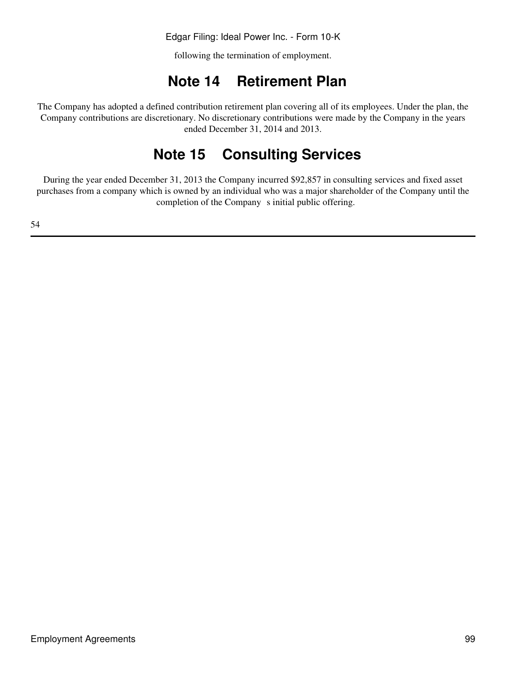following the termination of employment.

## **Note 14 Retirement Plan**

The Company has adopted a defined contribution retirement plan covering all of its employees. Under the plan, the Company contributions are discretionary. No discretionary contributions were made by the Company in the years ended December 31, 2014 and 2013.

## **Note 15 Consulting Services**

During the year ended December 31, 2013 the Company incurred \$92,857 in consulting services and fixed asset purchases from a company which is owned by an individual who was a major shareholder of the Company until the completion of the Company s initial public offering.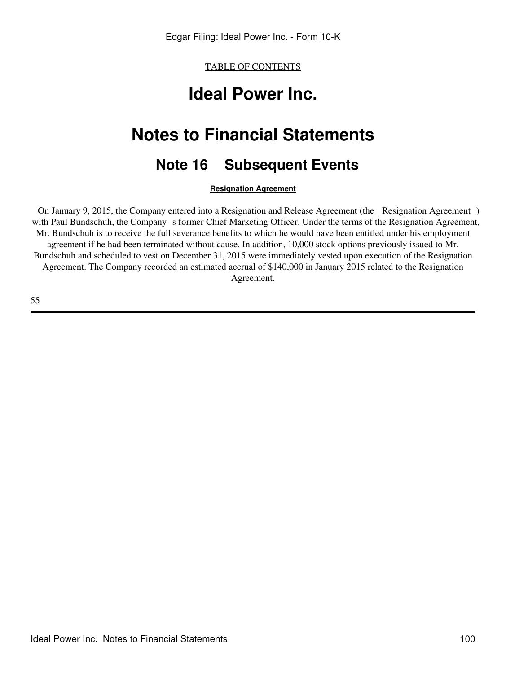# **Ideal Power Inc.**

# **Notes to Financial Statements**

## **Note 16 Subsequent Events**

**Resignation Agreement**

On January 9, 2015, the Company entered into a Resignation and Release Agreement (the Resignation Agreement) with Paul Bundschuh, the Company s former Chief Marketing Officer. Under the terms of the Resignation Agreement, Mr. Bundschuh is to receive the full severance benefits to which he would have been entitled under his employment agreement if he had been terminated without cause. In addition, 10,000 stock options previously issued to Mr. Bundschuh and scheduled to vest on December 31, 2015 were immediately vested upon execution of the Resignation Agreement. The Company recorded an estimated accrual of \$140,000 in January 2015 related to the Resignation Agreement.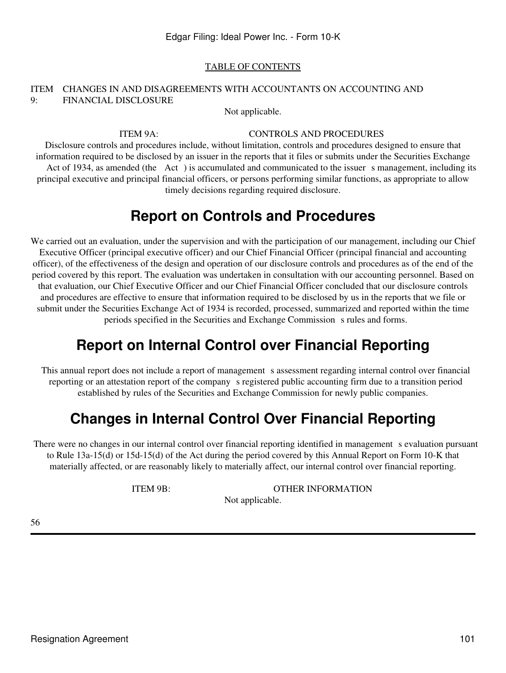#### ITEM CHANGES IN AND DISAGREEMENTS WITH ACCOUNTANTS ON ACCOUNTING AND 9: FINANCIAL DISCLOSURE

Not applicable.

ITEM 9A: CONTROLS AND PROCEDURES

Disclosure controls and procedures include, without limitation, controls and procedures designed to ensure that information required to be disclosed by an issuer in the reports that it files or submits under the Securities Exchange Act of 1934, as amended (the Act) is accumulated and communicated to the issuer s management, including its principal executive and principal financial officers, or persons performing similar functions, as appropriate to allow timely decisions regarding required disclosure.

## **Report on Controls and Procedures**

We carried out an evaluation, under the supervision and with the participation of our management, including our Chief Executive Officer (principal executive officer) and our Chief Financial Officer (principal financial and accounting officer), of the effectiveness of the design and operation of our disclosure controls and procedures as of the end of the period covered by this report. The evaluation was undertaken in consultation with our accounting personnel. Based on that evaluation, our Chief Executive Officer and our Chief Financial Officer concluded that our disclosure controls and procedures are effective to ensure that information required to be disclosed by us in the reports that we file or submit under the Securities Exchange Act of 1934 is recorded, processed, summarized and reported within the time periods specified in the Securities and Exchange Commission s rules and forms.

## **Report on Internal Control over Financial Reporting**

This annual report does not include a report of management s assessment regarding internal control over financial reporting or an attestation report of the company s registered public accounting firm due to a transition period established by rules of the Securities and Exchange Commission for newly public companies.

## **Changes in Internal Control Over Financial Reporting**

There were no changes in our internal control over financial reporting identified in management s evaluation pursuant to Rule 13a-15(d) or 15d-15(d) of the Act during the period covered by this Annual Report on Form 10-K that materially affected, or are reasonably likely to materially affect, our internal control over financial reporting.

ITEM 9B: OTHER INFORMATION Not applicable.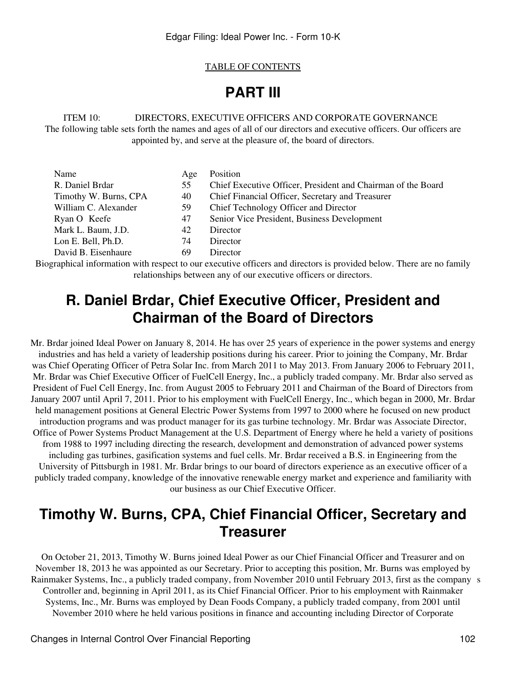### **PART III**

ITEM 10: DIRECTORS, EXECUTIVE OFFICERS AND CORPORATE GOVERNANCE The following table sets forth the names and ages of all of our directors and executive officers. Our officers are appointed by, and serve at the pleasure of, the board of directors.

| Name                  | Age | Position                                                                                                       |
|-----------------------|-----|----------------------------------------------------------------------------------------------------------------|
| R. Daniel Brdar       | 55  | Chief Executive Officer, President and Chairman of the Board                                                   |
| Timothy W. Burns, CPA | 40  | Chief Financial Officer, Secretary and Treasurer                                                               |
| William C. Alexander  | 59  | Chief Technology Officer and Director                                                                          |
| Ryan O Keefe          | 47  | Senior Vice President, Business Development                                                                    |
| Mark L. Baum, J.D.    | 42  | Director                                                                                                       |
| Lon E. Bell, Ph.D.    | 74  | Director                                                                                                       |
| David B. Eisenhaure   | 69  | Director                                                                                                       |
|                       |     | e de de la contra de la contra de la contra de la contra de la contra de la contra de la contra de la contra d |

Biographical information with respect to our executive officers and directors is provided below. There are no family relationships between any of our executive officers or directors.

## **R. Daniel Brdar, Chief Executive Officer, President and Chairman of the Board of Directors**

Mr. Brdar joined Ideal Power on January 8, 2014. He has over 25 years of experience in the power systems and energy industries and has held a variety of leadership positions during his career. Prior to joining the Company, Mr. Brdar was Chief Operating Officer of Petra Solar Inc. from March 2011 to May 2013. From January 2006 to February 2011, Mr. Brdar was Chief Executive Officer of FuelCell Energy, Inc., a publicly traded company. Mr. Brdar also served as President of Fuel Cell Energy, Inc. from August 2005 to February 2011 and Chairman of the Board of Directors from January 2007 until April 7, 2011. Prior to his employment with FuelCell Energy, Inc., which began in 2000, Mr. Brdar held management positions at General Electric Power Systems from 1997 to 2000 where he focused on new product introduction programs and was product manager for its gas turbine technology. Mr. Brdar was Associate Director, Office of Power Systems Product Management at the U.S. Department of Energy where he held a variety of positions from 1988 to 1997 including directing the research, development and demonstration of advanced power systems including gas turbines, gasification systems and fuel cells. Mr. Brdar received a B.S. in Engineering from the University of Pittsburgh in 1981. Mr. Brdar brings to our board of directors experience as an executive officer of a publicly traded company, knowledge of the innovative renewable energy market and experience and familiarity with our business as our Chief Executive Officer.

## **Timothy W. Burns, CPA, Chief Financial Officer, Secretary and Treasurer**

On October 21, 2013, Timothy W. Burns joined Ideal Power as our Chief Financial Officer and Treasurer and on November 18, 2013 he was appointed as our Secretary. Prior to accepting this position, Mr. Burns was employed by Rainmaker Systems, Inc., a publicly traded company, from November 2010 until February 2013, first as the company s Controller and, beginning in April 2011, as its Chief Financial Officer. Prior to his employment with Rainmaker Systems, Inc., Mr. Burns was employed by Dean Foods Company, a publicly traded company, from 2001 until November 2010 where he held various positions in finance and accounting including Director of Corporate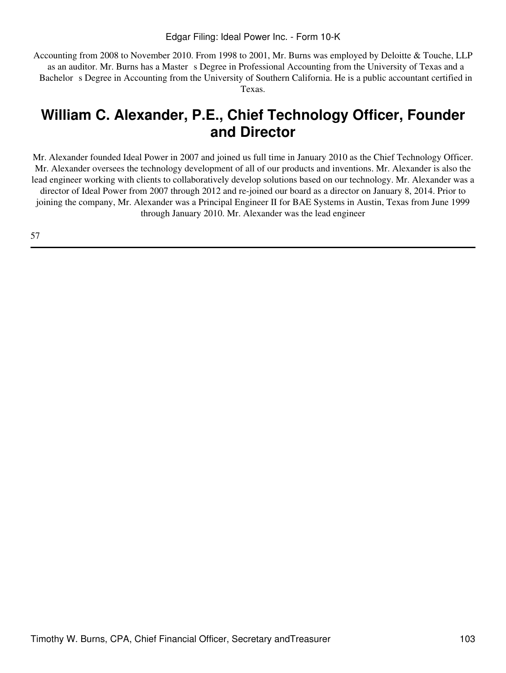Accounting from 2008 to November 2010. From 1998 to 2001, Mr. Burns was employed by Deloitte & Touche, LLP as an auditor. Mr. Burns has a Master s Degree in Professional Accounting from the University of Texas and a Bachelor s Degree in Accounting from the University of Southern California. He is a public accountant certified in Texas.

## **William C. Alexander, P.E., Chief Technology Officer, Founder and Director**

Mr. Alexander founded Ideal Power in 2007 and joined us full time in January 2010 as the Chief Technology Officer. Mr. Alexander oversees the technology development of all of our products and inventions. Mr. Alexander is also the lead engineer working with clients to collaboratively develop solutions based on our technology. Mr. Alexander was a director of Ideal Power from 2007 through 2012 and re-joined our board as a director on January 8, 2014. Prior to joining the company, Mr. Alexander was a Principal Engineer II for BAE Systems in Austin, Texas from June 1999 through January 2010. Mr. Alexander was the lead engineer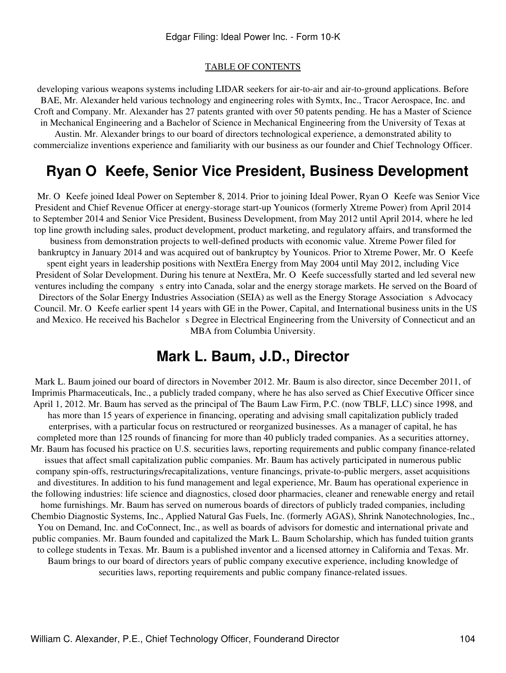developing various weapons systems including LIDAR seekers for air-to-air and air-to-ground applications. Before BAE, Mr. Alexander held various technology and engineering roles with Symtx, Inc., Tracor Aerospace, Inc. and Croft and Company. Mr. Alexander has 27 patents granted with over 50 patents pending. He has a Master of Science in Mechanical Engineering and a Bachelor of Science in Mechanical Engineering from the University of Texas at

Austin. Mr. Alexander brings to our board of directors technological experience, a demonstrated ability to commercialize inventions experience and familiarity with our business as our founder and Chief Technology Officer.

### **Ryan O Keefe, Senior Vice President, Business Development**

Mr. O Keefe joined Ideal Power on September 8, 2014. Prior to joining Ideal Power, Ryan O Keefe was Senior Vice President and Chief Revenue Officer at energy-storage start-up Younicos (formerly Xtreme Power) from April 2014 to September 2014 and Senior Vice President, Business Development, from May 2012 until April 2014, where he led top line growth including sales, product development, product marketing, and regulatory affairs, and transformed the business from demonstration projects to well-defined products with economic value. Xtreme Power filed for bankruptcy in January 2014 and was acquired out of bankruptcy by Younicos. Prior to Xtreme Power, Mr. O Keefe spent eight years in leadership positions with NextEra Energy from May 2004 until May 2012, including Vice President of Solar Development. During his tenure at NextEra, Mr. O Keefe successfully started and led several new ventures including the company s entry into Canada, solar and the energy storage markets. He served on the Board of Directors of the Solar Energy Industries Association (SEIA) as well as the Energy Storage Association s Advocacy Council. Mr. O Keefe earlier spent 14 years with GE in the Power, Capital, and International business units in the US and Mexico. He received his Bachelor s Degree in Electrical Engineering from the University of Connecticut and an MBA from Columbia University.

### **Mark L. Baum, J.D., Director**

Mark L. Baum joined our board of directors in November 2012. Mr. Baum is also director, since December 2011, of Imprimis Pharmaceuticals, Inc., a publicly traded company, where he has also served as Chief Executive Officer since April 1, 2012. Mr. Baum has served as the principal of The Baum Law Firm, P.C. (now TBLF, LLC) since 1998, and has more than 15 years of experience in financing, operating and advising small capitalization publicly traded enterprises, with a particular focus on restructured or reorganized businesses. As a manager of capital, he has completed more than 125 rounds of financing for more than 40 publicly traded companies. As a securities attorney, Mr. Baum has focused his practice on U.S. securities laws, reporting requirements and public company finance-related issues that affect small capitalization public companies. Mr. Baum has actively participated in numerous public company spin-offs, restructurings/recapitalizations, venture financings, private-to-public mergers, asset acquisitions and divestitures. In addition to his fund management and legal experience, Mr. Baum has operational experience in the following industries: life science and diagnostics, closed door pharmacies, cleaner and renewable energy and retail home furnishings. Mr. Baum has served on numerous boards of directors of publicly traded companies, including Chembio Diagnostic Systems, Inc., Applied Natural Gas Fuels, Inc. (formerly AGAS), Shrink Nanotechnologies, Inc., You on Demand, Inc. and CoConnect, Inc., as well as boards of advisors for domestic and international private and public companies. Mr. Baum founded and capitalized the Mark L. Baum Scholarship, which has funded tuition grants to college students in Texas. Mr. Baum is a published inventor and a licensed attorney in California and Texas. Mr. Baum brings to our board of directors years of public company executive experience, including knowledge of securities laws, reporting requirements and public company finance-related issues.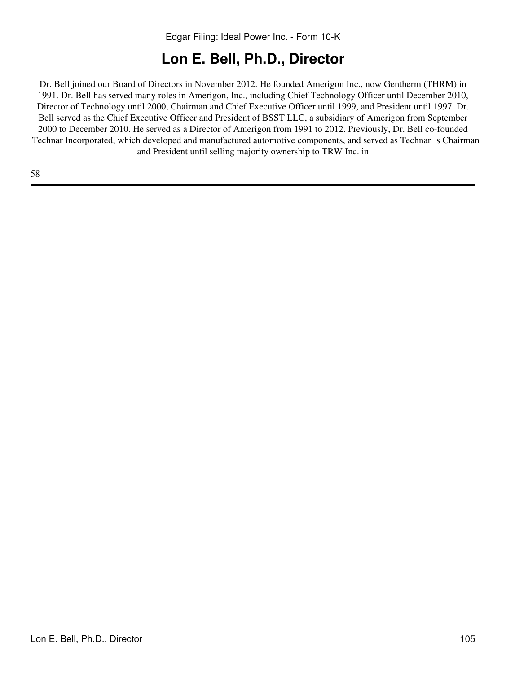## **Lon E. Bell, Ph.D., Director**

Dr. Bell joined our Board of Directors in November 2012. He founded Amerigon Inc., now Gentherm (THRM) in 1991. Dr. Bell has served many roles in Amerigon, Inc., including Chief Technology Officer until December 2010, Director of Technology until 2000, Chairman and Chief Executive Officer until 1999, and President until 1997. Dr. Bell served as the Chief Executive Officer and President of BSST LLC, a subsidiary of Amerigon from September 2000 to December 2010. He served as a Director of Amerigon from 1991 to 2012. Previously, Dr. Bell co-founded Technar Incorporated, which developed and manufactured automotive components, and served as Technar s Chairman and President until selling majority ownership to TRW Inc. in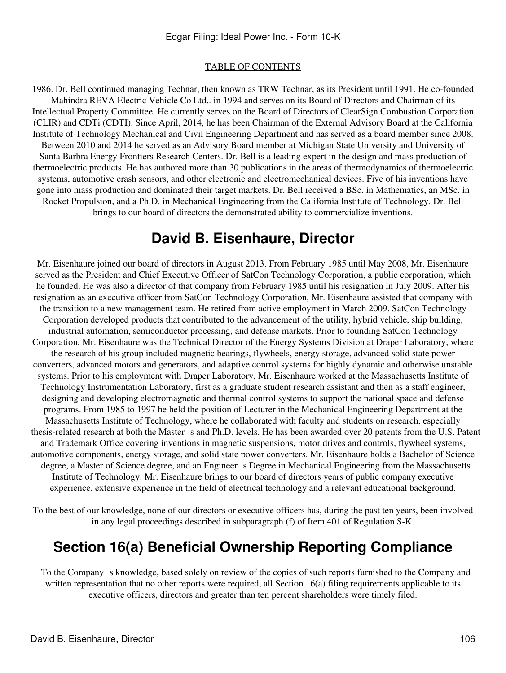1986. Dr. Bell continued managing Technar, then known as TRW Technar, as its President until 1991. He co-founded Mahindra REVA Electric Vehicle Co Ltd.. in 1994 and serves on its Board of Directors and Chairman of its Intellectual Property Committee. He currently serves on the Board of Directors of ClearSign Combustion Corporation (CLIR) and CDTi (CDTI). Since April, 2014, he has been Chairman of the External Advisory Board at the California Institute of Technology Mechanical and Civil Engineering Department and has served as a board member since 2008. Between 2010 and 2014 he served as an Advisory Board member at Michigan State University and University of Santa Barbra Energy Frontiers Research Centers. Dr. Bell is a leading expert in the design and mass production of thermoelectric products. He has authored more than 30 publications in the areas of thermodynamics of thermoelectric systems, automotive crash sensors, and other electronic and electromechanical devices. Five of his inventions have gone into mass production and dominated their target markets. Dr. Bell received a BSc. in Mathematics, an MSc. in Rocket Propulsion, and a Ph.D. in Mechanical Engineering from the California Institute of Technology. Dr. Bell brings to our board of directors the demonstrated ability to commercialize inventions.

### **David B. Eisenhaure, Director**

Mr. Eisenhaure joined our board of directors in August 2013. From February 1985 until May 2008, Mr. Eisenhaure served as the President and Chief Executive Officer of SatCon Technology Corporation, a public corporation, which he founded. He was also a director of that company from February 1985 until his resignation in July 2009. After his resignation as an executive officer from SatCon Technology Corporation, Mr. Eisenhaure assisted that company with the transition to a new management team. He retired from active employment in March 2009. SatCon Technology Corporation developed products that contributed to the advancement of the utility, hybrid vehicle, ship building, industrial automation, semiconductor processing, and defense markets. Prior to founding SatCon Technology Corporation, Mr. Eisenhaure was the Technical Director of the Energy Systems Division at Draper Laboratory, where the research of his group included magnetic bearings, flywheels, energy storage, advanced solid state power converters, advanced motors and generators, and adaptive control systems for highly dynamic and otherwise unstable systems. Prior to his employment with Draper Laboratory, Mr. Eisenhaure worked at the Massachusetts Institute of Technology Instrumentation Laboratory, first as a graduate student research assistant and then as a staff engineer, designing and developing electromagnetic and thermal control systems to support the national space and defense programs. From 1985 to 1997 he held the position of Lecturer in the Mechanical Engineering Department at the Massachusetts Institute of Technology, where he collaborated with faculty and students on research, especially thesis-related research at both the Masters and Ph.D. levels. He has been awarded over 20 patents from the U.S. Patent and Trademark Office covering inventions in magnetic suspensions, motor drives and controls, flywheel systems, automotive components, energy storage, and solid state power converters. Mr. Eisenhaure holds a Bachelor of Science degree, a Master of Science degree, and an Engineer s Degree in Mechanical Engineering from the Massachusetts Institute of Technology. Mr. Eisenhaure brings to our board of directors years of public company executive experience, extensive experience in the field of electrical technology and a relevant educational background.

To the best of our knowledge, none of our directors or executive officers has, during the past ten years, been involved in any legal proceedings described in subparagraph (f) of Item 401 of Regulation S-K.

## **Section 16(a) Beneficial Ownership Reporting Compliance**

To the Company s knowledge, based solely on review of the copies of such reports furnished to the Company and written representation that no other reports were required, all Section 16(a) filing requirements applicable to its executive officers, directors and greater than ten percent shareholders were timely filed.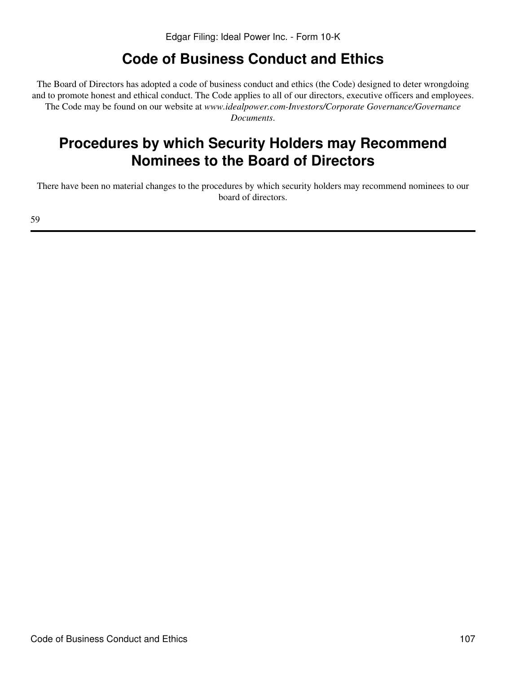## **Code of Business Conduct and Ethics**

The Board of Directors has adopted a code of business conduct and ethics (the Code) designed to deter wrongdoing and to promote honest and ethical conduct. The Code applies to all of our directors, executive officers and employees. The Code may be found on our website at *www.idealpower.com-Investors/Corporate Governance/Governance Documents*.

## **Procedures by which Security Holders may Recommend Nominees to the Board of Directors**

There have been no material changes to the procedures by which security holders may recommend nominees to our board of directors.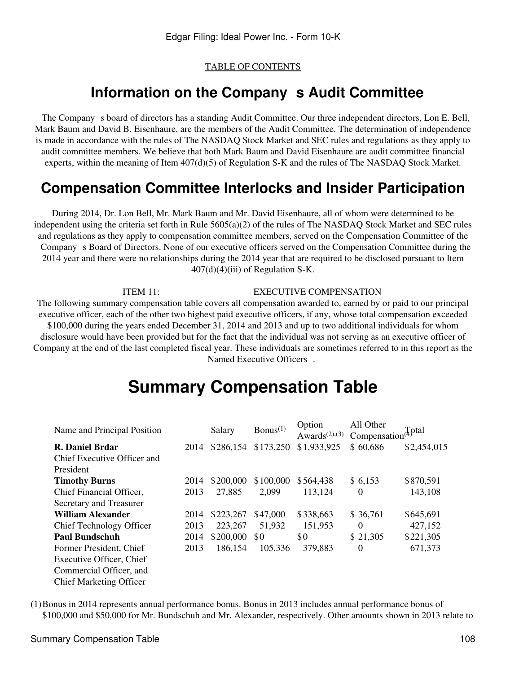### **Information on the Company s Audit Committee**

The Companys board of directors has a standing Audit Committee. Our three independent directors, Lon E. Bell, Mark Baum and David B. Eisenhaure, are the members of the Audit Committee. The determination of independence is made in accordance with the rules of The NASDAQ Stock Market and SEC rules and regulations as they apply to audit committee members. We believe that both Mark Baum and David Eisenhaure are audit committee financial experts, within the meaning of Item 407(d)(5) of Regulation S-K and the rules of The NASDAQ Stock Market.

### **Compensation Committee Interlocks and Insider Participation**

During 2014, Dr. Lon Bell, Mr. Mark Baum and Mr. David Eisenhaure, all of whom were determined to be independent using the criteria set forth in Rule  $5605(a)(2)$  of the rules of The NASDAQ Stock Market and SEC rules and regulations as they apply to compensation committee members, served on the Compensation Committee of the Company s Board of Directors. None of our executive officers served on the Compensation Committee during the 2014 year and there were no relationships during the 2014 year that are required to be disclosed pursuant to Item  $407(d)(4)(iii)$  of Regulation S-K.

#### ITEM 11: EXECUTIVE COMPENSATION

The following summary compensation table covers all compensation awarded to, earned by or paid to our principal executive officer, each of the other two highest paid executive officers, if any, whose total compensation exceeded \$100,000 during the years ended December 31, 2014 and 2013 and up to two additional individuals for whom disclosure would have been provided but for the fact that the individual was not serving as an executive officer of Company at the end of the last completed fiscal year. These individuals are sometimes referred to in this report as the Named Executive Officers.

# **Summary Compensation Table**

| Name and Principal Position     |      | Salary    | Bonus <sup>(1)</sup> | Option<br>Awards $(2),(3)$ | All Other<br>$Compensation^{[T]}\text{otal}$ |             |
|---------------------------------|------|-----------|----------------------|----------------------------|----------------------------------------------|-------------|
| R. Daniel Brdar                 | 2014 | \$286,154 | \$173,250            | \$1,933,925                | \$60,686                                     | \$2,454,015 |
| Chief Executive Officer and     |      |           |                      |                            |                                              |             |
| President                       |      |           |                      |                            |                                              |             |
| <b>Timothy Burns</b>            | 2014 | \$200,000 | \$100,000            | \$564,438                  | \$6,153                                      | \$870,591   |
| Chief Financial Officer,        | 2013 | 27,885    | 2,099                | 113,124                    | $\Omega$                                     | 143,108     |
| Secretary and Treasurer         |      |           |                      |                            |                                              |             |
| <b>William Alexander</b>        | 2014 | \$223,267 | \$47,000             | \$338,663                  | \$36,761                                     | \$645,691   |
| <b>Chief Technology Officer</b> | 2013 | 223,267   | 51,932               | 151,953                    | $\Omega$                                     | 427,152     |
| <b>Paul Bundschuh</b>           | 2014 | \$200,000 | \$0                  | \$0                        | \$ 21,305                                    | \$221,305   |
| Former President, Chief         | 2013 | 186,154   | 105,336              | 379,883                    | $\Omega$                                     | 671,373     |
| Executive Officer, Chief        |      |           |                      |                            |                                              |             |
| Commercial Officer, and         |      |           |                      |                            |                                              |             |
| <b>Chief Marketing Officer</b>  |      |           |                      |                            |                                              |             |

(1)Bonus in 2014 represents annual performance bonus. Bonus in 2013 includes annual performance bonus of \$100,000 and \$50,000 for Mr. Bundschuh and Mr. Alexander, respectively. Other amounts shown in 2013 relate to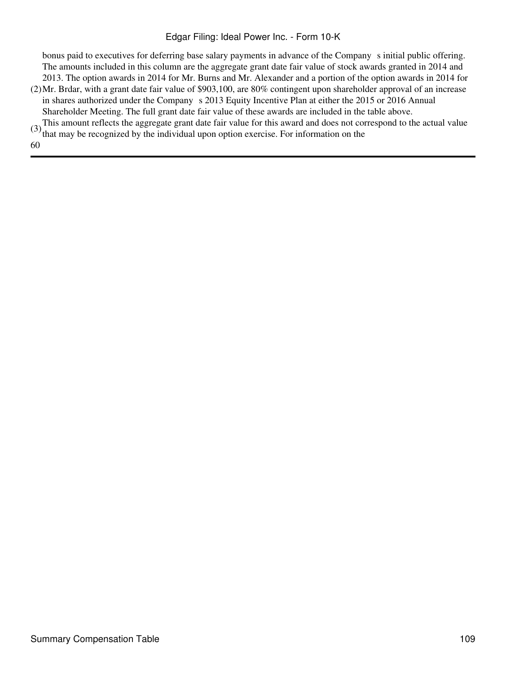bonus paid to executives for deferring base salary payments in advance of the Company s initial public offering. The amounts included in this column are the aggregate grant date fair value of stock awards granted in 2014 and 2013. The option awards in 2014 for Mr. Burns and Mr. Alexander and a portion of the option awards in 2014 for

- (2) Mr. Brdar, with a grant date fair value of \$903,100, are 80% contingent upon shareholder approval of an increase in shares authorized under the Company s 2013 Equity Incentive Plan at either the 2015 or 2016 Annual Shareholder Meeting. The full grant date fair value of these awards are included in the table above.
- (3) This amount reflects the aggregate grant date fair value for this award and does not correspond to the actual value that may be recognized by the individual upon option exercise. For information on the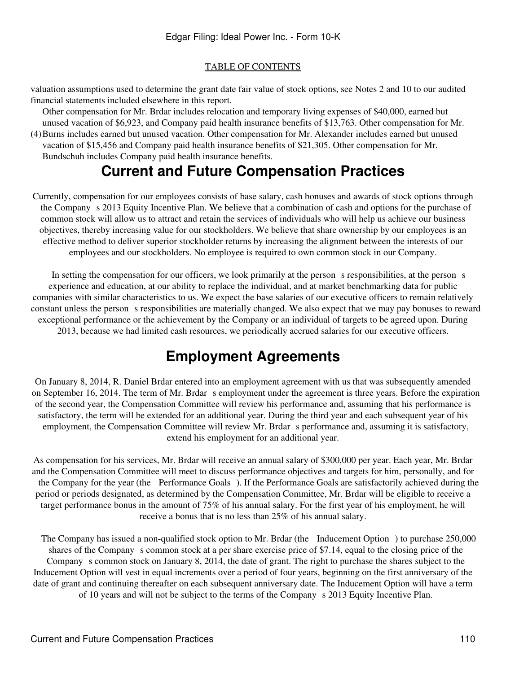valuation assumptions used to determine the grant date fair value of stock options, see Notes 2 and 10 to our audited financial statements included elsewhere in this report.

Other compensation for Mr. Brdar includes relocation and temporary living expenses of \$40,000, earned but unused vacation of \$6,923, and Company paid health insurance benefits of \$13,763. Other compensation for Mr.

(4) Burns includes earned but unused vacation. Other compensation for Mr. Alexander includes earned but unused vacation of \$15,456 and Company paid health insurance benefits of \$21,305. Other compensation for Mr. Bundschuh includes Company paid health insurance benefits.

### **Current and Future Compensation Practices**

Currently, compensation for our employees consists of base salary, cash bonuses and awards of stock options through the Companys 2013 Equity Incentive Plan. We believe that a combination of cash and options for the purchase of common stock will allow us to attract and retain the services of individuals who will help us achieve our business objectives, thereby increasing value for our stockholders. We believe that share ownership by our employees is an effective method to deliver superior stockholder returns by increasing the alignment between the interests of our employees and our stockholders. No employee is required to own common stock in our Company.

In setting the compensation for our officers, we look primarily at the person s responsibilities, at the person s experience and education, at our ability to replace the individual, and at market benchmarking data for public companies with similar characteristics to us. We expect the base salaries of our executive officers to remain relatively constant unless the person s responsibilities are materially changed. We also expect that we may pay bonuses to reward exceptional performance or the achievement by the Company or an individual of targets to be agreed upon. During 2013, because we had limited cash resources, we periodically accrued salaries for our executive officers.

## **Employment Agreements**

On January 8, 2014, R. Daniel Brdar entered into an employment agreement with us that was subsequently amended on September 16, 2014. The term of Mr. Brdar s employment under the agreement is three years. Before the expiration of the second year, the Compensation Committee will review his performance and, assuming that his performance is satisfactory, the term will be extended for an additional year. During the third year and each subsequent year of his employment, the Compensation Committee will review Mr. Brdar s performance and, assuming it is satisfactory, extend his employment for an additional year.

As compensation for his services, Mr. Brdar will receive an annual salary of \$300,000 per year. Each year, Mr. Brdar and the Compensation Committee will meet to discuss performance objectives and targets for him, personally, and for the Company for the year (the Performance Goals). If the Performance Goals are satisfactorily achieved during the period or periods designated, as determined by the Compensation Committee, Mr. Brdar will be eligible to receive a target performance bonus in the amount of 75% of his annual salary. For the first year of his employment, he will receive a bonus that is no less than 25% of his annual salary.

The Company has issued a non-qualified stock option to Mr. Brdar (the Inducement Option) to purchase 250,000 shares of the Company s common stock at a per share exercise price of \$7.14, equal to the closing price of the Company s common stock on January 8, 2014, the date of grant. The right to purchase the shares subject to the Inducement Option will vest in equal increments over a period of four years, beginning on the first anniversary of the date of grant and continuing thereafter on each subsequent anniversary date. The Inducement Option will have a term of 10 years and will not be subject to the terms of the Companys 2013 Equity Incentive Plan.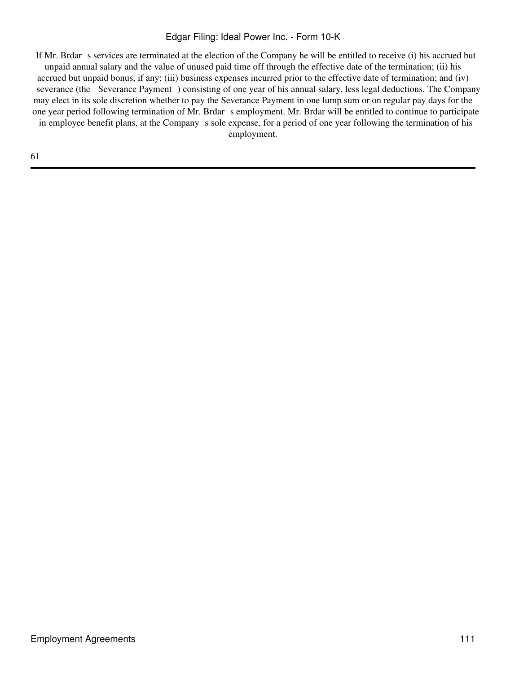If Mr. Brdar s services are terminated at the election of the Company he will be entitled to receive (i) his accrued but unpaid annual salary and the value of unused paid time off through the effective date of the termination; (ii) his accrued but unpaid bonus, if any; (iii) business expenses incurred prior to the effective date of termination; and (iv) severance (the Severance Payment) consisting of one year of his annual salary, less legal deductions. The Company may elect in its sole discretion whether to pay the Severance Payment in one lump sum or on regular pay days for the one year period following termination of Mr. Brdar s employment. Mr. Brdar will be entitled to continue to participate in employee benefit plans, at the Company s sole expense, for a period of one year following the termination of his employment.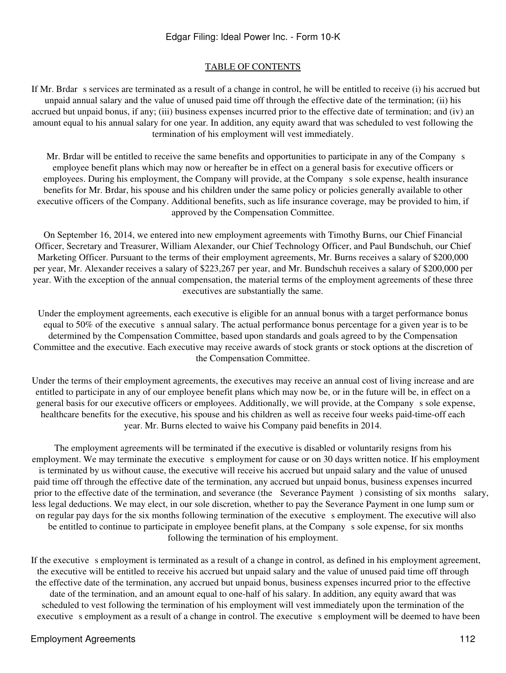If Mr. Brdar s services are terminated as a result of a change in control, he will be entitled to receive (i) his accrued but unpaid annual salary and the value of unused paid time off through the effective date of the termination; (ii) his accrued but unpaid bonus, if any; (iii) business expenses incurred prior to the effective date of termination; and (iv) an amount equal to his annual salary for one year. In addition, any equity award that was scheduled to vest following the termination of his employment will vest immediately.

Mr. Brdar will be entitled to receive the same benefits and opportunities to participate in any of the Company s employee benefit plans which may now or hereafter be in effect on a general basis for executive officers or employees. During his employment, the Company will provide, at the Company s sole expense, health insurance benefits for Mr. Brdar, his spouse and his children under the same policy or policies generally available to other executive officers of the Company. Additional benefits, such as life insurance coverage, may be provided to him, if approved by the Compensation Committee.

On September 16, 2014, we entered into new employment agreements with Timothy Burns, our Chief Financial Officer, Secretary and Treasurer, William Alexander, our Chief Technology Officer, and Paul Bundschuh, our Chief Marketing Officer. Pursuant to the terms of their employment agreements, Mr. Burns receives a salary of \$200,000 per year, Mr. Alexander receives a salary of \$223,267 per year, and Mr. Bundschuh receives a salary of \$200,000 per year. With the exception of the annual compensation, the material terms of the employment agreements of these three executives are substantially the same.

Under the employment agreements, each executive is eligible for an annual bonus with a target performance bonus equal to 50% of the executive s annual salary. The actual performance bonus percentage for a given year is to be determined by the Compensation Committee, based upon standards and goals agreed to by the Compensation Committee and the executive. Each executive may receive awards of stock grants or stock options at the discretion of the Compensation Committee.

Under the terms of their employment agreements, the executives may receive an annual cost of living increase and are entitled to participate in any of our employee benefit plans which may now be, or in the future will be, in effect on a general basis for our executive officers or employees. Additionally, we will provide, at the Companys sole expense, healthcare benefits for the executive, his spouse and his children as well as receive four weeks paid-time-off each year. Mr. Burns elected to waive his Company paid benefits in 2014.

The employment agreements will be terminated if the executive is disabled or voluntarily resigns from his employment. We may terminate the executive s employment for cause or on 30 days written notice. If his employment is terminated by us without cause, the executive will receive his accrued but unpaid salary and the value of unused paid time off through the effective date of the termination, any accrued but unpaid bonus, business expenses incurred prior to the effective date of the termination, and severance (the Severance Payment) consisting of six months salary, less legal deductions. We may elect, in our sole discretion, whether to pay the Severance Payment in one lump sum or on regular pay days for the six months following termination of the executives employment. The executive will also be entitled to continue to participate in employee benefit plans, at the Company s sole expense, for six months following the termination of his employment.

If the executive s employment is terminated as a result of a change in control, as defined in his employment agreement, the executive will be entitled to receive his accrued but unpaid salary and the value of unused paid time off through the effective date of the termination, any accrued but unpaid bonus, business expenses incurred prior to the effective date of the termination, and an amount equal to one-half of his salary. In addition, any equity award that was scheduled to vest following the termination of his employment will vest immediately upon the termination of the executive s employment as a result of a change in control. The executive s employment will be deemed to have been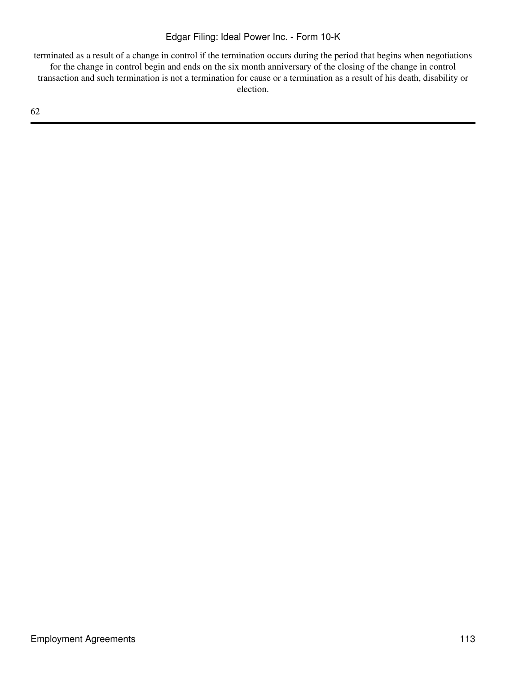terminated as a result of a change in control if the termination occurs during the period that begins when negotiations for the change in control begin and ends on the six month anniversary of the closing of the change in control transaction and such termination is not a termination for cause or a termination as a result of his death, disability or election.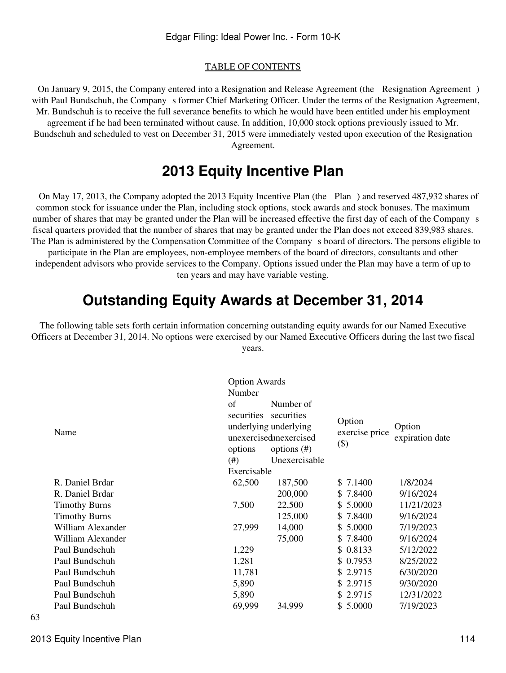On January 9, 2015, the Company entered into a Resignation and Release Agreement (the Resignation Agreement) with Paul Bundschuh, the Company s former Chief Marketing Officer. Under the terms of the Resignation Agreement, Mr. Bundschuh is to receive the full severance benefits to which he would have been entitled under his employment

agreement if he had been terminated without cause. In addition, 10,000 stock options previously issued to Mr. Bundschuh and scheduled to vest on December 31, 2015 were immediately vested upon execution of the Resignation Agreement.

### **2013 Equity Incentive Plan**

On May 17, 2013, the Company adopted the 2013 Equity Incentive Plan (the Plan) and reserved 487,932 shares of common stock for issuance under the Plan, including stock options, stock awards and stock bonuses. The maximum number of shares that may be granted under the Plan will be increased effective the first day of each of the Company s fiscal quarters provided that the number of shares that may be granted under the Plan does not exceed 839,983 shares. The Plan is administered by the Compensation Committee of the Companys board of directors. The persons eligible to participate in the Plan are employees, non-employee members of the board of directors, consultants and other independent advisors who provide services to the Company. Options issued under the Plan may have a term of up to ten years and may have variable vesting.

### **Outstanding Equity Awards at December 31, 2014**

The following table sets forth certain information concerning outstanding equity awards for our Named Executive Officers at December 31, 2014. No options were exercised by our Named Executive Officers during the last two fiscal years.

Option Awards

Number

Name

| R. Daniel Brdar      |
|----------------------|
| R. Daniel Brdar      |
| <b>Timothy Burns</b> |
| <b>Timothy Burns</b> |
| William Alexander    |
| William Alexander    |
| Paul Bundschuh       |
| Paul Bundschuh       |
| Paul Bundschuh       |
| Paul Bundschuh       |
| Paul Bundschuh       |
| Paul Bundschuh       |

| Name                 | of<br>securities<br>options<br>$^{(#)}$ | Number of<br>securities<br>underlying underlying<br>unexercisednexercised<br>options $(\#)$<br>Unexercisable | Option<br>exercise price<br>$(\$)$ | Option<br>expiration date |
|----------------------|-----------------------------------------|--------------------------------------------------------------------------------------------------------------|------------------------------------|---------------------------|
|                      | Exercisable                             |                                                                                                              |                                    |                           |
| R. Daniel Brdar      | 62,500                                  | 187,500                                                                                                      | \$7.1400                           | 1/8/2024                  |
| R. Daniel Brdar      |                                         | 200,000                                                                                                      | \$ 7.8400                          | 9/16/2024                 |
| <b>Timothy Burns</b> | 7,500                                   | 22,500                                                                                                       | \$5.0000                           | 11/21/2023                |
| <b>Timothy Burns</b> |                                         | 125,000                                                                                                      | \$ 7.8400                          | 9/16/2024                 |
| William Alexander    | 27,999                                  | 14,000                                                                                                       | \$5.0000                           | 7/19/2023                 |
| William Alexander    |                                         | 75,000                                                                                                       | \$ 7.8400                          | 9/16/2024                 |
| Paul Bundschuh       | 1,229                                   |                                                                                                              | \$ 0.8133                          | 5/12/2022                 |
| Paul Bundschuh       | 1,281                                   |                                                                                                              | \$0.7953                           | 8/25/2022                 |
| Paul Bundschuh       | 11,781                                  |                                                                                                              | \$2.9715                           | 6/30/2020                 |
| Paul Bundschuh       | 5,890                                   |                                                                                                              | \$2.9715                           | 9/30/2020                 |
| Paul Bundschuh       | 5,890                                   |                                                                                                              | \$2.9715                           | 12/31/2022                |
| Paul Bundschuh       | 69,999                                  | 34,999                                                                                                       | \$5.0000                           | 7/19/2023                 |
|                      |                                         |                                                                                                              |                                    |                           |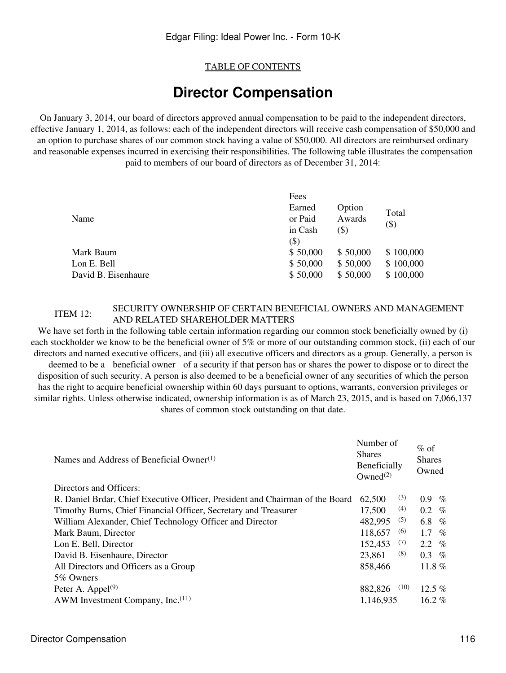### **Director Compensation**

On January 3, 2014, our board of directors approved annual compensation to be paid to the independent directors, effective January 1, 2014, as follows: each of the independent directors will receive cash compensation of \$50,000 and an option to purchase shares of our common stock having a value of \$50,000. All directors are reimbursed ordinary and reasonable expenses incurred in exercising their responsibilities. The following table illustrates the compensation paid to members of our board of directors as of December 31, 2014:

|                     | Fees     |          |           |
|---------------------|----------|----------|-----------|
|                     | Earned   | Option   | Total     |
| Name                | or Paid  | Awards   |           |
|                     | in Cash  | (\$)     | $(\$)$    |
|                     | (\$)     |          |           |
| Mark Baum           | \$50,000 | \$50,000 | \$100,000 |
| Lon E. Bell         | \$50,000 | \$50,000 | \$100,000 |
| David B. Eisenhaure | \$50,000 | \$50,000 | \$100,000 |
|                     |          |          |           |

### ITEM 12: SECURITY OWNERSHIP OF CERTAIN BENEFICIAL OWNERS AND MANAGEMENT AND RELATED SHAREHOLDER MATTERS

We have set forth in the following table certain information regarding our common stock beneficially owned by (i) each stockholder we know to be the beneficial owner of 5% or more of our outstanding common stock, (ii) each of our directors and named executive officers, and (iii) all executive officers and directors as a group. Generally, a person is deemed to be a beneficial owner of a security if that person has or shares the power to dispose or to direct the disposition of such security. A person is also deemed to be a beneficial owner of any securities of which the person has the right to acquire beneficial ownership within 60 days pursuant to options, warrants, conversion privileges or similar rights. Unless otherwise indicated, ownership information is as of March 23, 2015, and is based on 7,066,137 shares of common stock outstanding on that date.

| Names and Address of Beneficial Owner $(1)$                                   | Number of<br><b>Shares</b><br>Beneficially<br>Owned $(2)$ | $%$ of<br><b>Shares</b><br>Owned |
|-------------------------------------------------------------------------------|-----------------------------------------------------------|----------------------------------|
| Directors and Officers:                                                       |                                                           |                                  |
| R. Daniel Brdar, Chief Executive Officer, President and Chairman of the Board | (3)<br>62,500                                             | $0.9 \, \%$                      |
| Timothy Burns, Chief Financial Officer, Secretary and Treasurer               | (4)<br>17,500                                             | 0.2<br>$\%$                      |
| William Alexander, Chief Technology Officer and Director                      | (5)<br>482,995                                            | 6.8 %                            |
| Mark Baum, Director                                                           | (6)<br>118,657                                            | 1.7<br>$\%$                      |
| Lon E. Bell, Director                                                         | (7)<br>152,453                                            | 2.2 %                            |
| David B. Eisenhaure, Director                                                 | (8)<br>23,861                                             | $0.3 \, \%$                      |
| All Directors and Officers as a Group                                         | 858,466                                                   | 11.8%                            |
| 5\% Owners                                                                    |                                                           |                                  |
| Peter A. Appel $(9)$                                                          | (10)<br>882,826                                           | 12.5 $%$                         |
| AWM Investment Company, Inc. $(11)$                                           | 1,146,935                                                 | 16.2 $%$                         |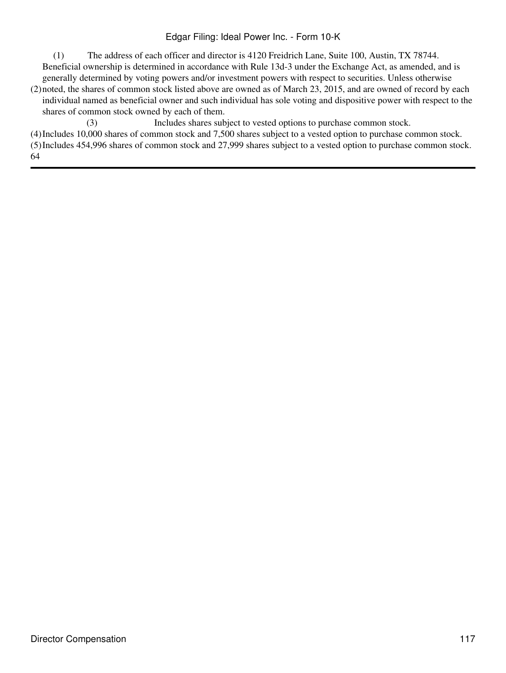(1) The address of each officer and director is 4120 Freidrich Lane, Suite 100, Austin, TX 78744. Beneficial ownership is determined in accordance with Rule 13d-3 under the Exchange Act, as amended, and is generally determined by voting powers and/or investment powers with respect to securities. Unless otherwise

(2) noted, the shares of common stock listed above are owned as of March 23, 2015, and are owned of record by each individual named as beneficial owner and such individual has sole voting and dispositive power with respect to the shares of common stock owned by each of them.

(3) Includes shares subject to vested options to purchase common stock. (4)Includes 10,000 shares of common stock and 7,500 shares subject to a vested option to purchase common stock. (5)Includes 454,996 shares of common stock and 27,999 shares subject to a vested option to purchase common stock. 64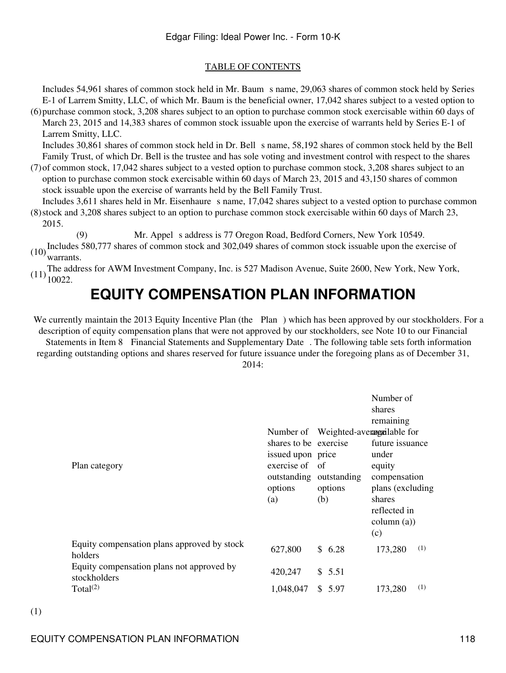Includes 54,961 shares of common stock held in Mr. Baum s name, 29,063 shares of common stock held by Series E-1 of Larrem Smitty, LLC, of which Mr. Baum is the beneficial owner, 17,042 shares subject to a vested option to

(6) purchase common stock, 3,208 shares subject to an option to purchase common stock exercisable within 60 days of March 23, 2015 and 14,383 shares of common stock issuable upon the exercise of warrants held by Series E-1 of Larrem Smitty, LLC.

Includes 30,861 shares of common stock held in Dr. Bell s name, 58,192 shares of common stock held by the Bell Family Trust, of which Dr. Bell is the trustee and has sole voting and investment control with respect to the shares

(7) of common stock, 17,042 shares subject to a vested option to purchase common stock, 3,208 shares subject to an option to purchase common stock exercisable within 60 days of March 23, 2015 and 43,150 shares of common stock issuable upon the exercise of warrants held by the Bell Family Trust.

(8) stock and 3,208 shares subject to an option to purchase common stock exercisable within 60 days of March 23, Includes 3,611 shares held in Mr. Eisenhaure s name, 17,042 shares subject to a vested option to purchase common 2015.

(9) Mr. Appel s address is 77 Oregon Road, Bedford Corners, New York 10549.

(10)Includes 580,777 shares of common stock and 302,049 shares of common stock issuable upon the exercise of warrants.

 $(11)$ The address for AWM Investment Company, Inc. is 527 Madison Avenue, Suite 2600, New York, New York,  $\mu$ 

# **EQUITY COMPENSATION PLAN INFORMATION**

We currently maintain the 2013 Equity Incentive Plan (the Plan) which has been approved by our stockholders. For a description of equity compensation plans that were not approved by our stockholders, see Note 10 to our Financial Statements in Item 8 Financial Statements and Supplementary Date. The following table sets forth information regarding outstanding options and shares reserved for future issuance under the foregoing plans as of December 31,

| Plan category                                             | shares to be exercise<br>issued upon price<br>exercise of of<br>options<br>(a) | outstanding outstanding<br>options<br>(b) | Number of<br>shares<br>remaining<br>Number of Weighted-averageilable for<br>future issuance<br>under<br>equity<br>compensation<br>plans (excluding<br>shares<br>reflected in<br>column (a))<br>(c) |
|-----------------------------------------------------------|--------------------------------------------------------------------------------|-------------------------------------------|----------------------------------------------------------------------------------------------------------------------------------------------------------------------------------------------------|
| Equity compensation plans approved by stock<br>holders    | 627,800                                                                        | \$6.28                                    | (1)<br>173,280                                                                                                                                                                                     |
| Equity compensation plans not approved by<br>stockholders | 420,247                                                                        | \$5.51                                    |                                                                                                                                                                                                    |
| Total <sup>(2)</sup>                                      | 1,048,047                                                                      | \$ 5.97                                   | (1)<br>173,280                                                                                                                                                                                     |

(1)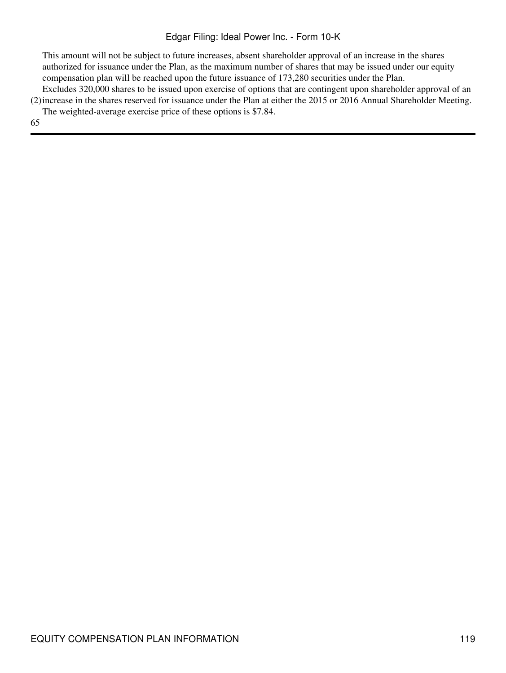This amount will not be subject to future increases, absent shareholder approval of an increase in the shares authorized for issuance under the Plan, as the maximum number of shares that may be issued under our equity compensation plan will be reached upon the future issuance of 173,280 securities under the Plan.

(2) increase in the shares reserved for issuance under the Plan at either the 2015 or 2016 Annual Shareholder Meeting. Excludes 320,000 shares to be issued upon exercise of options that are contingent upon shareholder approval of an The weighted-average exercise price of these options is \$7.84.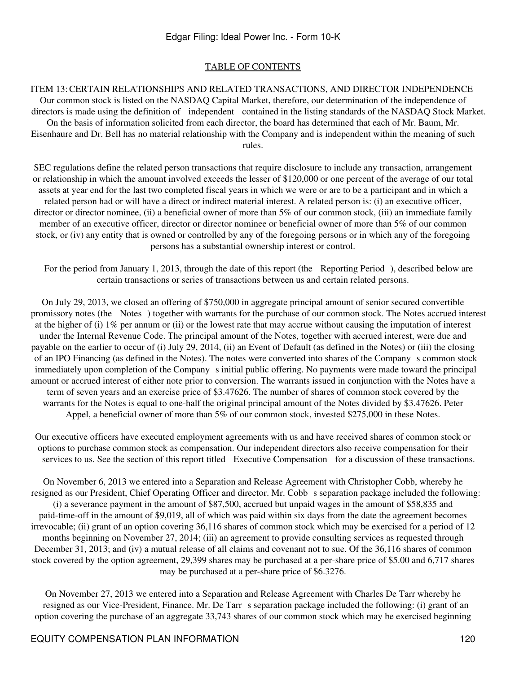ITEM 13:CERTAIN RELATIONSHIPS AND RELATED TRANSACTIONS, AND DIRECTOR INDEPENDENCE Our common stock is listed on the NASDAQ Capital Market, therefore, our determination of the independence of directors is made using the definition of independent contained in the listing standards of the NASDAQ Stock Market. On the basis of information solicited from each director, the board has determined that each of Mr. Baum, Mr. Eisenhaure and Dr. Bell has no material relationship with the Company and is independent within the meaning of such rules.

SEC regulations define the related person transactions that require disclosure to include any transaction, arrangement or relationship in which the amount involved exceeds the lesser of \$120,000 or one percent of the average of our total assets at year end for the last two completed fiscal years in which we were or are to be a participant and in which a related person had or will have a direct or indirect material interest. A related person is: (i) an executive officer, director or director nominee, (ii) a beneficial owner of more than 5% of our common stock, (iii) an immediate family member of an executive officer, director or director nominee or beneficial owner of more than 5% of our common stock, or (iv) any entity that is owned or controlled by any of the foregoing persons or in which any of the foregoing persons has a substantial ownership interest or control.

For the period from January 1, 2013, through the date of this report (the Reporting Period), described below are certain transactions or series of transactions between us and certain related persons.

On July 29, 2013, we closed an offering of \$750,000 in aggregate principal amount of senior secured convertible promissory notes (the Notes) together with warrants for the purchase of our common stock. The Notes accrued interest at the higher of (i) 1% per annum or (ii) or the lowest rate that may accrue without causing the imputation of interest under the Internal Revenue Code. The principal amount of the Notes, together with accrued interest, were due and payable on the earlier to occur of (i) July 29, 2014, (ii) an Event of Default (as defined in the Notes) or (iii) the closing of an IPO Financing (as defined in the Notes). The notes were converted into shares of the Companys common stock immediately upon completion of the Company s initial public offering. No payments were made toward the principal amount or accrued interest of either note prior to conversion. The warrants issued in conjunction with the Notes have a term of seven years and an exercise price of \$3.47626. The number of shares of common stock covered by the warrants for the Notes is equal to one-half the original principal amount of the Notes divided by \$3.47626. Peter Appel, a beneficial owner of more than 5% of our common stock, invested \$275,000 in these Notes.

Our executive officers have executed employment agreements with us and have received shares of common stock or options to purchase common stock as compensation. Our independent directors also receive compensation for their services to us. See the section of this report titled Executive Compensation for a discussion of these transactions.

On November 6, 2013 we entered into a Separation and Release Agreement with Christopher Cobb, whereby he resigned as our President, Chief Operating Officer and director. Mr. Cobb s separation package included the following: (i) a severance payment in the amount of \$87,500, accrued but unpaid wages in the amount of \$58,835 and paid-time-off in the amount of \$9,019, all of which was paid within six days from the date the agreement becomes irrevocable; (ii) grant of an option covering 36,116 shares of common stock which may be exercised for a period of 12 months beginning on November 27, 2014; (iii) an agreement to provide consulting services as requested through December 31, 2013; and (iv) a mutual release of all claims and covenant not to sue. Of the 36,116 shares of common stock covered by the option agreement, 29,399 shares may be purchased at a per-share price of \$5.00 and 6,717 shares may be purchased at a per-share price of \$6.3276.

On November 27, 2013 we entered into a Separation and Release Agreement with Charles De Tarr whereby he resigned as our Vice-President, Finance. Mr. De Tarr s separation package included the following: (i) grant of an option covering the purchase of an aggregate 33,743 shares of our common stock which may be exercised beginning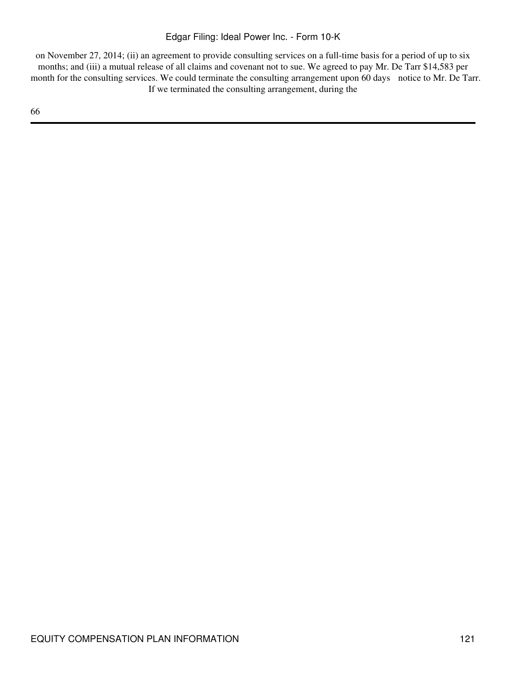on November 27, 2014; (ii) an agreement to provide consulting services on a full-time basis for a period of up to six months; and (iii) a mutual release of all claims and covenant not to sue. We agreed to pay Mr. De Tarr \$14,583 per month for the consulting services. We could terminate the consulting arrangement upon 60 days notice to Mr. De Tarr. If we terminated the consulting arrangement, during the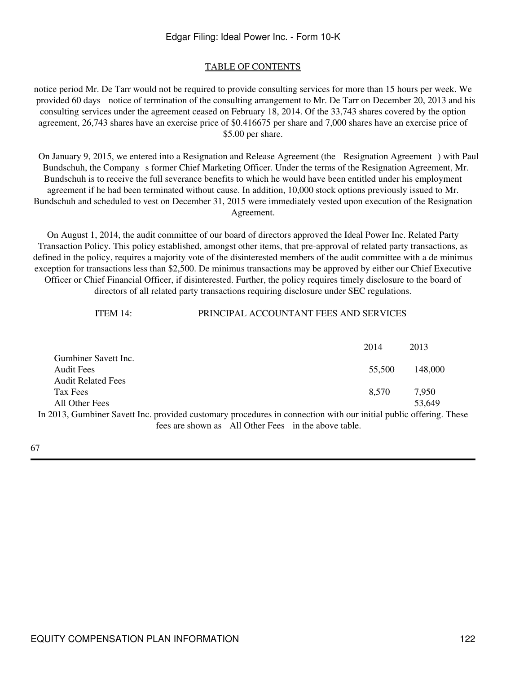#### [TABLE OF CONTENTS](#page-3-0)

notice period Mr. De Tarr would not be required to provide consulting services for more than 15 hours per week. We provided 60 days notice of termination of the consulting arrangement to Mr. De Tarr on December 20, 2013 and his consulting services under the agreement ceased on February 18, 2014. Of the 33,743 shares covered by the option agreement, 26,743 shares have an exercise price of \$0.416675 per share and 7,000 shares have an exercise price of \$5.00 per share.

On January 9, 2015, we entered into a Resignation and Release Agreement (the Resignation Agreement) with Paul Bundschuh, the Company s former Chief Marketing Officer. Under the terms of the Resignation Agreement, Mr. Bundschuh is to receive the full severance benefits to which he would have been entitled under his employment agreement if he had been terminated without cause. In addition, 10,000 stock options previously issued to Mr. Bundschuh and scheduled to vest on December 31, 2015 were immediately vested upon execution of the Resignation Agreement.

On August 1, 2014, the audit committee of our board of directors approved the Ideal Power Inc. Related Party Transaction Policy. This policy established, amongst other items, that pre-approval of related party transactions, as defined in the policy, requires a majority vote of the disinterested members of the audit committee with a de minimus exception for transactions less than \$2,500. De minimus transactions may be approved by either our Chief Executive Officer or Chief Financial Officer, if disinterested. Further, the policy requires timely disclosure to the board of directors of all related party transactions requiring disclosure under SEC regulations.

ITEM 14: PRINCIPAL ACCOUNTANT FEES AND SERVICES

|                                                                                                                   | 2014   | 2013    |  |
|-------------------------------------------------------------------------------------------------------------------|--------|---------|--|
| Gumbiner Savett Inc.                                                                                              |        |         |  |
| <b>Audit Fees</b>                                                                                                 | 55,500 | 148,000 |  |
| <b>Audit Related Fees</b>                                                                                         |        |         |  |
| Tax Fees                                                                                                          | 8.570  | 7.950   |  |
| All Other Fees                                                                                                    |        | 53,649  |  |
| In 2013, Gumbiner Savett Inc. provided customary procedures in connection with our initial public offering. These |        |         |  |
| fees are shown as All Other Fees in the above table.                                                              |        |         |  |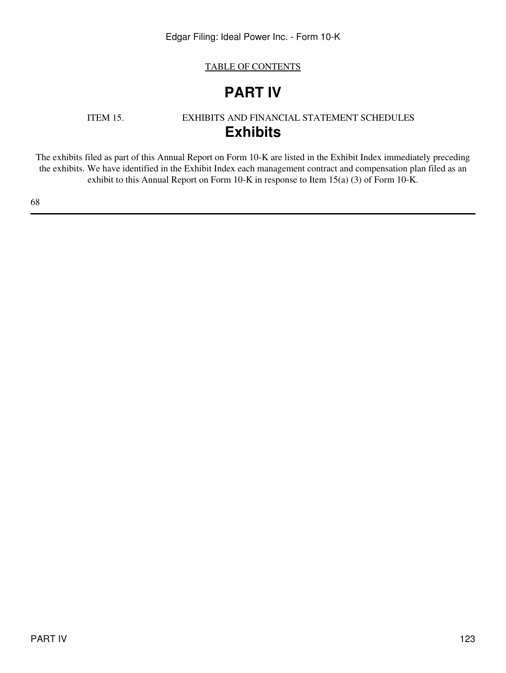[TABLE OF CONTENTS](#page-3-0)

### **PART IV**

### ITEM 15. EXHIBITS AND FINANCIAL STATEMENT SCHEDULES **Exhibits**

The exhibits filed as part of this Annual Report on Form 10-K are listed in the Exhibit Index immediately preceding the exhibits. We have identified in the Exhibit Index each management contract and compensation plan filed as an exhibit to this Annual Report on Form 10-K in response to Item 15(a) (3) of Form 10-K.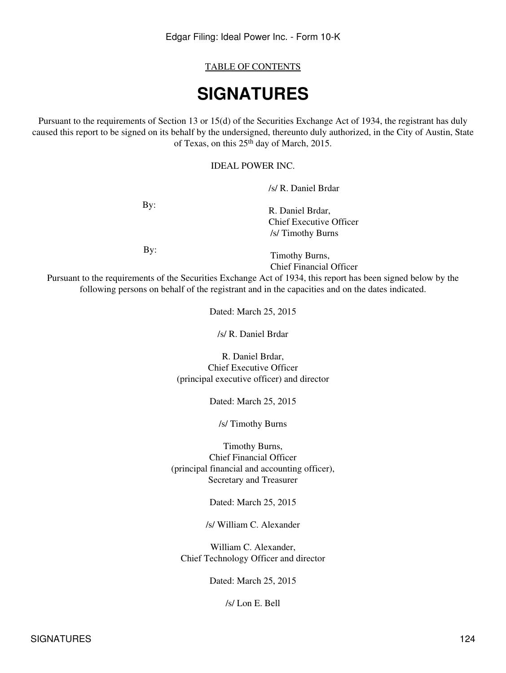# **SIGNATURES**

Pursuant to the requirements of Section 13 or 15(d) of the Securities Exchange Act of 1934, the registrant has duly caused this report to be signed on its behalf by the undersigned, thereunto duly authorized, in the City of Austin, State of Texas, on this 25th day of March, 2015.

#### IDEAL POWER INC.

/s/ R. Daniel Brdar

By:

R. Daniel Brdar, Chief Executive Officer /s/ Timothy Burns

By:

Timothy Burns, Chief Financial Officer

Pursuant to the requirements of the Securities Exchange Act of 1934, this report has been signed below by the following persons on behalf of the registrant and in the capacities and on the dates indicated.

Dated: March 25, 2015

/s/ R. Daniel Brdar

R. Daniel Brdar, Chief Executive Officer (principal executive officer) and director

Dated: March 25, 2015

/s/ Timothy Burns

Timothy Burns, Chief Financial Officer (principal financial and accounting officer), Secretary and Treasurer

Dated: March 25, 2015

/s/ William C. Alexander

William C. Alexander, Chief Technology Officer and director

Dated: March 25, 2015

/s/ Lon E. Bell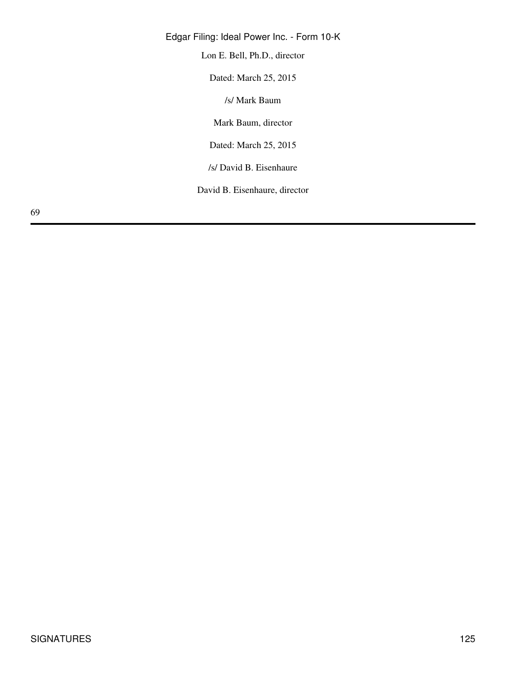Lon E. Bell, Ph.D., director

Dated: March 25, 2015

/s/ Mark Baum

Mark Baum, director

Dated: March 25, 2015

/s/ David B. Eisenhaure

David B. Eisenhaure, director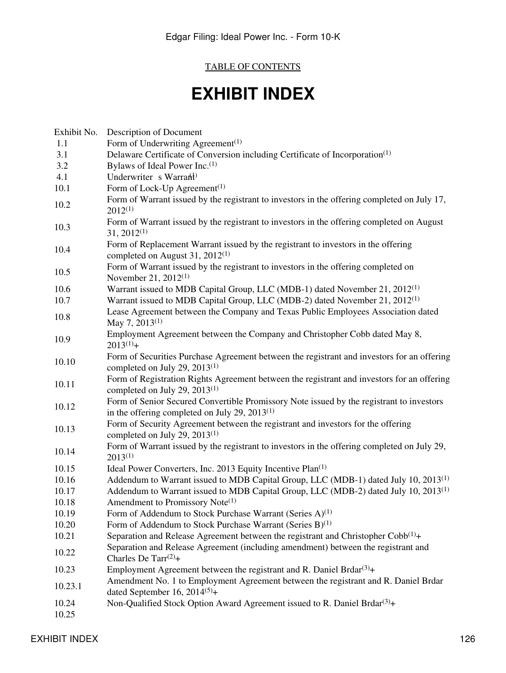# **EXHIBIT INDEX**

| Exhibit No. | Description of Document                                                                                                                        |
|-------------|------------------------------------------------------------------------------------------------------------------------------------------------|
| 1.1         | Form of Underwriting Agreement <sup><math>(1)</math></sup>                                                                                     |
| 3.1         | Delaware Certificate of Conversion including Certificate of Incorporation <sup>(1)</sup>                                                       |
| 3.2         | Bylaws of Ideal Power Inc. <sup>(1)</sup>                                                                                                      |
| 4.1         | Underwriter s Warrant)                                                                                                                         |
| 10.1        | Form of Lock-Up Agreement <sup>(1)</sup>                                                                                                       |
| 10.2        | Form of Warrant issued by the registrant to investors in the offering completed on July 17,<br>$2012^{(1)}$                                    |
| 10.3        | Form of Warrant issued by the registrant to investors in the offering completed on August<br>$31, 2012^{(1)}$                                  |
| 10.4        | Form of Replacement Warrant issued by the registrant to investors in the offering<br>completed on August 31, 2012 <sup>(1)</sup>               |
| 10.5        | Form of Warrant issued by the registrant to investors in the offering completed on<br>November 21, $2012^{(1)}$                                |
| 10.6        | Warrant issued to MDB Capital Group, LLC (MDB-1) dated November 21, 2012 <sup>(1)</sup>                                                        |
| 10.7        | Warrant issued to MDB Capital Group, LLC (MDB-2) dated November 21, 2012 <sup>(1)</sup>                                                        |
| 10.8        | Lease Agreement between the Company and Texas Public Employees Association dated<br>May 7, 2013 <sup>(1)</sup>                                 |
| 10.9        | Employment Agreement between the Company and Christopher Cobb dated May 8,<br>$2013^{(1)}+$                                                    |
| 10.10       | Form of Securities Purchase Agreement between the registrant and investors for an offering<br>completed on July 29, 2013 $(1)$                 |
| 10.11       | Form of Registration Rights Agreement between the registrant and investors for an offering<br>completed on July 29, 2013 <sup>(1)</sup>        |
| 10.12       | Form of Senior Secured Convertible Promissory Note issued by the registrant to investors<br>in the offering completed on July 29, $2013^{(1)}$ |
| 10.13       | Form of Security Agreement between the registrant and investors for the offering<br>completed on July 29, 2013 $(1)$                           |
| 10.14       | Form of Warrant issued by the registrant to investors in the offering completed on July 29,<br>$2013^{(1)}$                                    |
| 10.15       | Ideal Power Converters, Inc. 2013 Equity Incentive Plan <sup>(1)</sup>                                                                         |
| 10.16       | Addendum to Warrant issued to MDB Capital Group, LLC (MDB-1) dated July 10, 2013 <sup>(1)</sup>                                                |
| 10.17       | Addendum to Warrant issued to MDB Capital Group, LLC (MDB-2) dated July 10, 2013 <sup>(1)</sup>                                                |
| 10.18       | Amendment to Promissory Note <sup>(1)</sup>                                                                                                    |
| 10.19       | Form of Addendum to Stock Purchase Warrant (Series A) <sup>(1)</sup>                                                                           |
| 10.20       | Form of Addendum to Stock Purchase Warrant (Series $B$ ) <sup>(1)</sup>                                                                        |
| 10.21       | Separation and Release Agreement between the registrant and Christopher Cobb <sup>(1)</sup> +                                                  |
| 10.22       | Separation and Release Agreement (including amendment) between the registrant and<br>Charles De Tarr $(2)$ +                                   |
| 10.23       | Employment Agreement between the registrant and R. Daniel Brdar <sup>(3)</sup> +                                                               |
| 10.23.1     | Amendment No. 1 to Employment Agreement between the registrant and R. Daniel Brdar<br>dated September 16, 2014 <sup>(5)</sup> +                |
| 10.24       | Non-Qualified Stock Option Award Agreement issued to R. Daniel Brdar <sup>(3)</sup> +                                                          |
| 10.25       |                                                                                                                                                |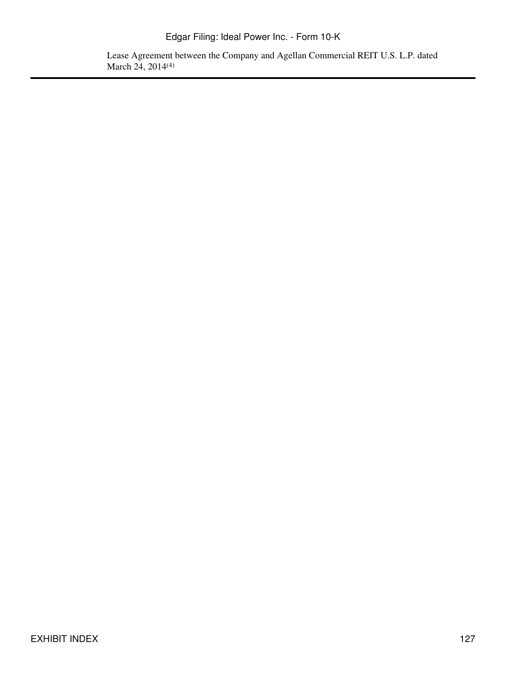Lease Agreement between the Company and Agellan Commercial REIT U.S. L.P. dated March 24, 2014<sup>(4)</sup>